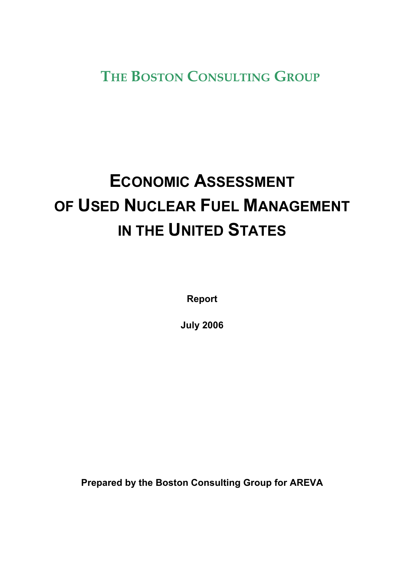**THE BOSTON CONSULTING GROUP**

# **ECONOMIC ASSESSMENT OF USED NUCLEAR FUEL MANAGEMENT IN THE UNITED STATES**

**Report** 

**July 2006** 

**Prepared by the Boston Consulting Group for AREVA**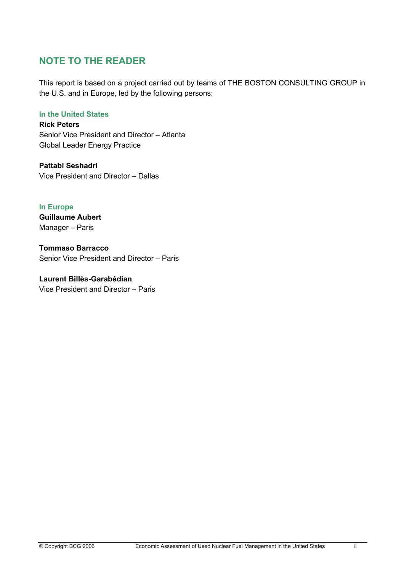# **NOTE TO THE READER**

This report is based on a project carried out by teams of THE BOSTON CONSULTING GROUP in the U.S. and in Europe, led by the following persons:

#### **In the United States**

**Rick Peters**  Senior Vice President and Director – Atlanta Global Leader Energy Practice

**Pattabi Seshadri**  Vice President and Director – Dallas

**In Europe Guillaume Aubert**  Manager – Paris

**Tommaso Barracco**  Senior Vice President and Director – Paris

**Laurent Billès-Garabédian**  Vice President and Director – Paris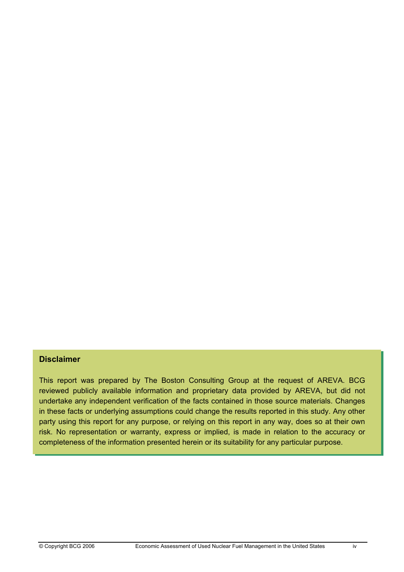#### **Disclaimer**

This report was prepared by The Boston Consulting Group at the request of AREVA. BCG reviewed publicly available information and proprietary data provided by AREVA, but did not undertake any independent verification of the facts contained in those source materials. Changes in these facts or underlying assumptions could change the results reported in this study. Any other party using this report for any purpose, or relying on this report in any way, does so at their own risk. No representation or warranty, express or implied, is made in relation to the accuracy or completeness of the information presented herein or its suitability for any particular purpose.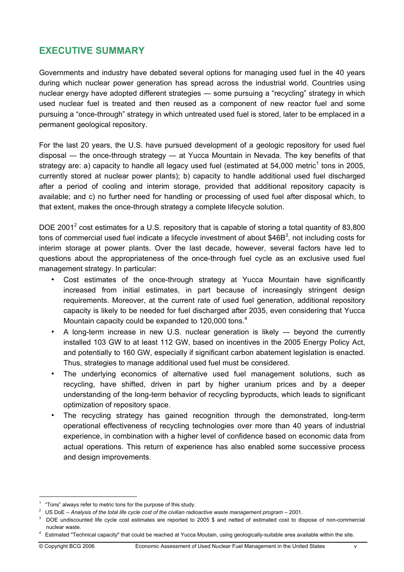# **EXECUTIVE SUMMARY**

Governments and industry have debated several options for managing used fuel in the 40 years during which nuclear power generation has spread across the industrial world. Countries using nuclear energy have adopted different strategies ― some pursuing a "recycling" strategy in which used nuclear fuel is treated and then reused as a component of new reactor fuel and some pursuing a "once-through" strategy in which untreated used fuel is stored, later to be emplaced in a permanent geological repository.

For the last 20 years, the U.S. have pursued development of a geologic repository for used fuel disposal ― the once-through strategy ― at Yucca Mountain in Nevada. The key benefits of that strategy are: a) capacity to handle all legacy used fuel (estimated at 54,000 metric<sup>1</sup> tons in 2005, currently stored at nuclear power plants); b) capacity to handle additional used fuel discharged after a period of cooling and interim storage, provided that additional repository capacity is available; and c) no further need for handling or processing of used fuel after disposal which, to that extent, makes the once-through strategy a complete lifecycle solution.

DOE 2001<sup>2</sup> cost estimates for a U.S. repository that is capable of storing a total quantity of 83,800 tons of commercial used fuel indicate a lifecycle investment of about \$46B<sup>3</sup>, not including costs for interim storage at power plants. Over the last decade, however, several factors have led to questions about the appropriateness of the once-through fuel cycle as an exclusive used fuel management strategy. In particular:

- Cost estimates of the once-through strategy at Yucca Mountain have significantly increased from initial estimates, in part because of increasingly stringent design requirements. Moreover, at the current rate of used fuel generation, additional repository capacity is likely to be needed for fuel discharged after 2035, even considering that Yucca Mountain capacity could be expanded to 120,000 tons.<sup>4</sup>
- A long-term increase in new U.S. nuclear generation is likely beyond the currently installed 103 GW to at least 112 GW, based on incentives in the 2005 Energy Policy Act, and potentially to 160 GW, especially if significant carbon abatement legislation is enacted. Thus, strategies to manage additional used fuel must be considered.
- The underlying economics of alternative used fuel management solutions, such as recycling, have shifted, driven in part by higher uranium prices and by a deeper understanding of the long-term behavior of recycling byproducts, which leads to significant optimization of repository space.
- The recycling strategy has gained recognition through the demonstrated, long-term operational effectiveness of recycling technologies over more than 40 years of industrial experience, in combination with a higher level of confidence based on economic data from actual operations. This return of experience has also enabled some successive process and design improvements.

<sup>&</sup>lt;sup>1</sup> "Tons" always refer to metric tons for the purpose of this study.<br><sup>2</sup> LIS De La Anglueia of the total life avale and of the sixilian radial

<sup>&</sup>lt;sup>2</sup> US DoE – Analysis of the total life cycle cost of the civilian radioactive waste management program – 2001.

<sup>&</sup>lt;sup>3</sup> DOE undiscounted life cycle cost estimates are reported to 2005 \$ and netted of estimated cost to dispose of non-commercial nuclear waste. 4

Estimated "Technical capacity" that could be reached at Yucca Moutain, using geologically-suitable area available within the site.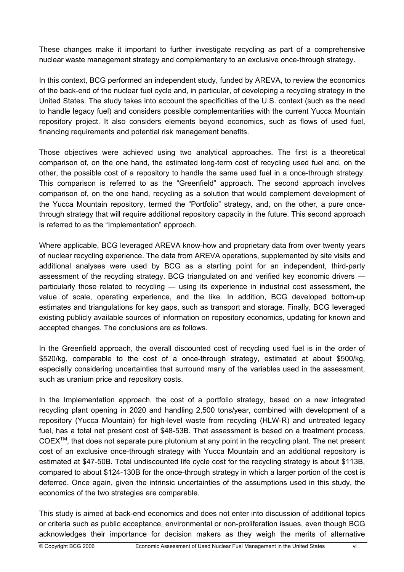These changes make it important to further investigate recycling as part of a comprehensive nuclear waste management strategy and complementary to an exclusive once-through strategy.

In this context, BCG performed an independent study, funded by AREVA, to review the economics of the back-end of the nuclear fuel cycle and, in particular, of developing a recycling strategy in the United States. The study takes into account the specificities of the U.S. context (such as the need to handle legacy fuel) and considers possible complementarities with the current Yucca Mountain repository project. It also considers elements beyond economics, such as flows of used fuel, financing requirements and potential risk management benefits.

Those objectives were achieved using two analytical approaches. The first is a theoretical comparison of, on the one hand, the estimated long-term cost of recycling used fuel and, on the other, the possible cost of a repository to handle the same used fuel in a once-through strategy. This comparison is referred to as the "Greenfield" approach. The second approach involves comparison of, on the one hand, recycling as a solution that would complement development of the Yucca Mountain repository, termed the "Portfolio" strategy, and, on the other, a pure oncethrough strategy that will require additional repository capacity in the future. This second approach is referred to as the "Implementation" approach.

Where applicable, BCG leveraged AREVA know-how and proprietary data from over twenty years of nuclear recycling experience. The data from AREVA operations, supplemented by site visits and additional analyses were used by BCG as a starting point for an independent, third-party assessment of the recycling strategy. BCG triangulated on and verified key economic drivers ― particularly those related to recycling ― using its experience in industrial cost assessment, the value of scale, operating experience, and the like. In addition, BCG developed bottom-up estimates and triangulations for key gaps, such as transport and storage. Finally, BCG leveraged existing publicly available sources of information on repository economics, updating for known and accepted changes. The conclusions are as follows.

In the Greenfield approach, the overall discounted cost of recycling used fuel is in the order of \$520/kg, comparable to the cost of a once-through strategy, estimated at about \$500/kg, especially considering uncertainties that surround many of the variables used in the assessment, such as uranium price and repository costs.

In the Implementation approach, the cost of a portfolio strategy, based on a new integrated recycling plant opening in 2020 and handling 2,500 tons/year, combined with development of a repository (Yucca Mountain) for high-level waste from recycling (HLW-R) and untreated legacy fuel, has a total net present cost of \$48-53B. That assessment is based on a treatment process,  $COEX^{TM}$ , that does not separate pure plutonium at any point in the recycling plant. The net present cost of an exclusive once-through strategy with Yucca Mountain and an additional repository is estimated at \$47-50B. Total undiscounted life cycle cost for the recycling strategy is about \$113B, compared to about \$124-130B for the once-through strategy in which a larger portion of the cost is deferred. Once again, given the intrinsic uncertainties of the assumptions used in this study, the economics of the two strategies are comparable.

This study is aimed at back-end economics and does not enter into discussion of additional topics or criteria such as public acceptance, environmental or non-proliferation issues, even though BCG acknowledges their importance for decision makers as they weigh the merits of alternative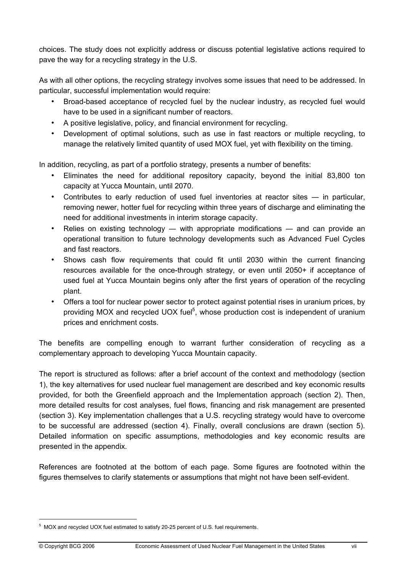choices. The study does not explicitly address or discuss potential legislative actions required to pave the way for a recycling strategy in the U.S.

As with all other options, the recycling strategy involves some issues that need to be addressed. In particular, successful implementation would require:

- Broad-based acceptance of recycled fuel by the nuclear industry, as recycled fuel would have to be used in a significant number of reactors.
- A positive legislative, policy, and financial environment for recycling.
- Development of optimal solutions, such as use in fast reactors or multiple recycling, to manage the relatively limited quantity of used MOX fuel, yet with flexibility on the timing.

In addition, recycling, as part of a portfolio strategy, presents a number of benefits:

- Eliminates the need for additional repository capacity, beyond the initial 83,800 ton capacity at Yucca Mountain, until 2070.
- Contributes to early reduction of used fuel inventories at reactor sites in particular, removing newer, hotter fuel for recycling within three years of discharge and eliminating the need for additional investments in interim storage capacity.
- Relies on existing technology with appropriate modifications and can provide an operational transition to future technology developments such as Advanced Fuel Cycles and fast reactors.
- Shows cash flow requirements that could fit until 2030 within the current financing resources available for the once-through strategy, or even until 2050+ if acceptance of used fuel at Yucca Mountain begins only after the first years of operation of the recycling plant.
- Offers a tool for nuclear power sector to protect against potential rises in uranium prices, by providing MOX and recycled UOX fuel<sup>5</sup>, whose production cost is independent of uranium prices and enrichment costs.

The benefits are compelling enough to warrant further consideration of recycling as a complementary approach to developing Yucca Mountain capacity.

The report is structured as follows: after a brief account of the context and methodology (section 1), the key alternatives for used nuclear fuel management are described and key economic results provided, for both the Greenfield approach and the Implementation approach (section 2). Then, more detailed results for cost analyses, fuel flows, financing and risk management are presented (section 3). Key implementation challenges that a U.S. recycling strategy would have to overcome to be successful are addressed (section 4). Finally, overall conclusions are drawn (section 5). Detailed information on specific assumptions, methodologies and key economic results are presented in the appendix.

References are footnoted at the bottom of each page. Some figures are footnoted within the figures themselves to clarify statements or assumptions that might not have been self-evident.

<sup>&</sup>lt;sup>5</sup> MOX and recycled UOX fuel estimated to satisfy 20-25 percent of U.S. fuel requirements.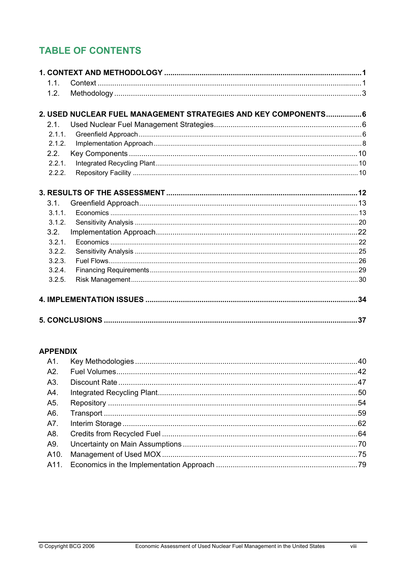# **TABLE OF CONTENTS**

| 1.1.   |                                                                 |  |
|--------|-----------------------------------------------------------------|--|
| 1.2.   |                                                                 |  |
|        |                                                                 |  |
|        | 2. USED NUCLEAR FUEL MANAGEMENT STRATEGIES AND KEY COMPONENTS 6 |  |
| 2.1.   |                                                                 |  |
| 2.1.1. |                                                                 |  |
| 2.1.2. |                                                                 |  |
| 2.2.   |                                                                 |  |
| 2.2.1. |                                                                 |  |
| 2.2.2. |                                                                 |  |
|        |                                                                 |  |
|        |                                                                 |  |
| 3.1.   |                                                                 |  |
| 3.1.1. |                                                                 |  |
| 3.1.2. |                                                                 |  |
| 3.2.   |                                                                 |  |
| 3.2.1. |                                                                 |  |
| 3.2.2. |                                                                 |  |
| 3.2.3. |                                                                 |  |
| 3.2.4. |                                                                 |  |
| 3.2.5. |                                                                 |  |
|        |                                                                 |  |
|        |                                                                 |  |
|        |                                                                 |  |

# **APPENDIX**

| A1. |  |
|-----|--|
| A2. |  |
| A3. |  |
| A4. |  |
| A5. |  |
| A6. |  |
| A7. |  |
| A8. |  |
| A9. |  |
|     |  |
|     |  |
|     |  |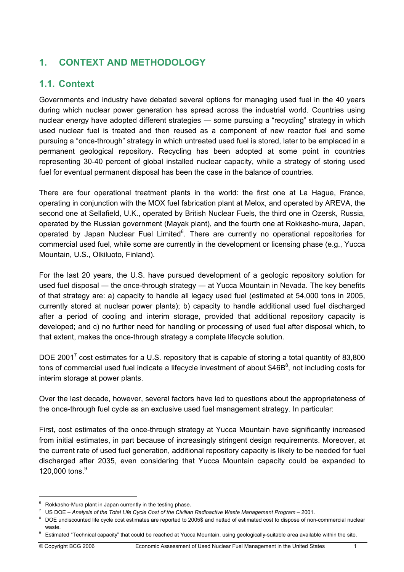# **1. CONTEXT AND METHODOLOGY**

# **1.1. Context**

Governments and industry have debated several options for managing used fuel in the 40 years during which nuclear power generation has spread across the industrial world. Countries using nuclear energy have adopted different strategies — some pursuing a "recycling" strategy in which used nuclear fuel is treated and then reused as a component of new reactor fuel and some pursuing a "once-through" strategy in which untreated used fuel is stored, later to be emplaced in a permanent geological repository. Recycling has been adopted at some point in countries representing 30-40 percent of global installed nuclear capacity, while a strategy of storing used fuel for eventual permanent disposal has been the case in the balance of countries.

There are four operational treatment plants in the world: the first one at La Hague, France, operating in conjunction with the MOX fuel fabrication plant at Melox, and operated by AREVA, the second one at Sellafield, U.K., operated by British Nuclear Fuels, the third one in Ozersk, Russia, operated by the Russian government (Mayak plant), and the fourth one at Rokkasho-mura, Japan, operated by Japan Nuclear Fuel Limited<sup>6</sup>. There are currently no operational repositories for commercial used fuel, while some are currently in the development or licensing phase (e.g., Yucca Mountain, U.S., Olkiluoto, Finland).

For the last 20 years, the U.S. have pursued development of a geologic repository solution for used fuel disposal ― the once-through strategy ― at Yucca Mountain in Nevada. The key benefits of that strategy are: a) capacity to handle all legacy used fuel (estimated at 54,000 tons in 2005, currently stored at nuclear power plants); b) capacity to handle additional used fuel discharged after a period of cooling and interim storage, provided that additional repository capacity is developed; and c) no further need for handling or processing of used fuel after disposal which, to that extent, makes the once-through strategy a complete lifecycle solution.

DOE 2001<sup>7</sup> cost estimates for a U.S. repository that is capable of storing a total quantity of 83,800 tons of commercial used fuel indicate a lifecycle investment of about \$46B<sup>8</sup>, not including costs for interim storage at power plants.

Over the last decade, however, several factors have led to questions about the appropriateness of the once-through fuel cycle as an exclusive used fuel management strategy. In particular:

First, cost estimates of the once-through strategy at Yucca Mountain have significantly increased from initial estimates, in part because of increasingly stringent design requirements. Moreover, at the current rate of used fuel generation, additional repository capacity is likely to be needed for fuel discharged after 2035, even considering that Yucca Mountain capacity could be expanded to 120,000 tons.<sup>9</sup>

 $6$  Rokkasho-Mura plant in Japan currently in the testing phase.

<sup>&</sup>lt;sup>7</sup> US DOE – Analysis of the Total Life Cycle Cost of the Civilian Radioactive Waste Management Program – 2001.<br><sup>8</sup> DOE undiscounted life avale east setimates are reported to 2005\$ and patted of estimated east to diapose o

<sup>&</sup>lt;sup>8</sup> DOE undiscounted life cycle cost estimates are reported to 2005\$ and netted of estimated cost to dispose of non-commercial nuclear

waste.<br><sup>9</sup> Estimated "Technical capacity" that could be reached at Yucca Mountain, using geologically-suitable area available within the site.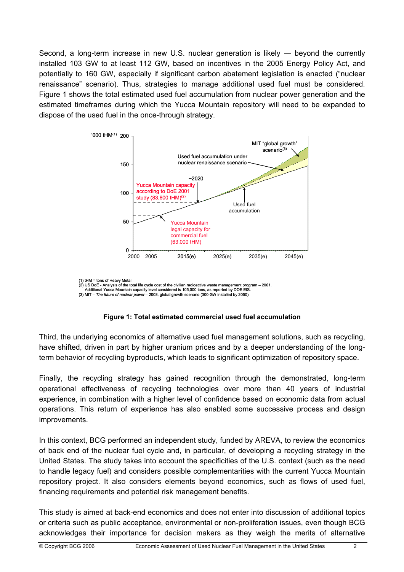Second, a long-term increase in new U.S. nuclear generation is likely ― beyond the currently installed 103 GW to at least 112 GW, based on incentives in the 2005 Energy Policy Act, and potentially to 160 GW, especially if significant carbon abatement legislation is enacted ("nuclear renaissance" scenario). Thus, strategies to manage additional used fuel must be considered. Figure 1 shows the total estimated used fuel accumulation from nuclear power generation and the estimated timeframes during which the Yucca Mountain repository will need to be expanded to dispose of the used fuel in the once-through strategy.



(1) tHM = tons of Heavy Metal (2) US DoE - Analysis of the total life cycle cost of the civilian radioactive waste management program – 2001. Additional Yucca Mountain capacity level considered is 105,000 tons, as reported by DOE EIS. (3) MIT – *The future of nuclear power* – 2003, global growth scenario (300 GW installed by 2050).



Third, the underlying economics of alternative used fuel management solutions, such as recycling, have shifted, driven in part by higher uranium prices and by a deeper understanding of the longterm behavior of recycling byproducts, which leads to significant optimization of repository space.

Finally, the recycling strategy has gained recognition through the demonstrated, long-term operational effectiveness of recycling technologies over more than 40 years of industrial experience, in combination with a higher level of confidence based on economic data from actual operations. This return of experience has also enabled some successive process and design improvements.

In this context, BCG performed an independent study, funded by AREVA, to review the economics of back end of the nuclear fuel cycle and, in particular, of developing a recycling strategy in the United States. The study takes into account the specificities of the U.S. context (such as the need to handle legacy fuel) and considers possible complementarities with the current Yucca Mountain repository project. It also considers elements beyond economics, such as flows of used fuel, financing requirements and potential risk management benefits.

This study is aimed at back-end economics and does not enter into discussion of additional topics or criteria such as public acceptance, environmental or non-proliferation issues, even though BCG acknowledges their importance for decision makers as they weigh the merits of alternative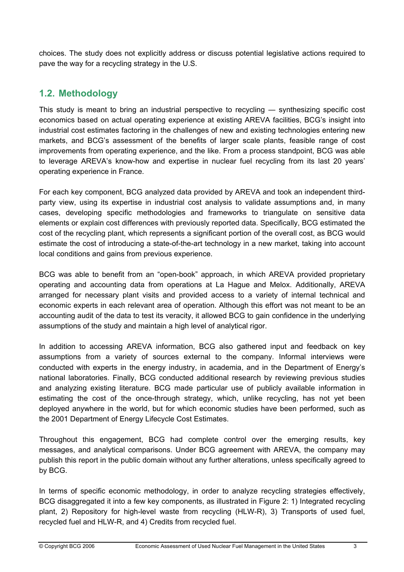choices. The study does not explicitly address or discuss potential legislative actions required to pave the way for a recycling strategy in the U.S.

# **1.2. Methodology**

This study is meant to bring an industrial perspective to recycling — synthesizing specific cost economics based on actual operating experience at existing AREVA facilities, BCG's insight into industrial cost estimates factoring in the challenges of new and existing technologies entering new markets, and BCG's assessment of the benefits of larger scale plants, feasible range of cost improvements from operating experience, and the like. From a process standpoint, BCG was able to leverage AREVA's know-how and expertise in nuclear fuel recycling from its last 20 years' operating experience in France.

For each key component, BCG analyzed data provided by AREVA and took an independent thirdparty view, using its expertise in industrial cost analysis to validate assumptions and, in many cases, developing specific methodologies and frameworks to triangulate on sensitive data elements or explain cost differences with previously reported data. Specifically, BCG estimated the cost of the recycling plant, which represents a significant portion of the overall cost, as BCG would estimate the cost of introducing a state-of-the-art technology in a new market, taking into account local conditions and gains from previous experience.

BCG was able to benefit from an "open-book" approach, in which AREVA provided proprietary operating and accounting data from operations at La Hague and Melox. Additionally, AREVA arranged for necessary plant visits and provided access to a variety of internal technical and economic experts in each relevant area of operation. Although this effort was not meant to be an accounting audit of the data to test its veracity, it allowed BCG to gain confidence in the underlying assumptions of the study and maintain a high level of analytical rigor.

In addition to accessing AREVA information, BCG also gathered input and feedback on key assumptions from a variety of sources external to the company. Informal interviews were conducted with experts in the energy industry, in academia, and in the Department of Energy's national laboratories. Finally, BCG conducted additional research by reviewing previous studies and analyzing existing literature. BCG made particular use of publicly available information in estimating the cost of the once-through strategy, which, unlike recycling, has not yet been deployed anywhere in the world, but for which economic studies have been performed, such as the 2001 Department of Energy Lifecycle Cost Estimates.

Throughout this engagement, BCG had complete control over the emerging results, key messages, and analytical comparisons. Under BCG agreement with AREVA, the company may publish this report in the public domain without any further alterations, unless specifically agreed to by BCG.

In terms of specific economic methodology, in order to analyze recycling strategies effectively, BCG disaggregated it into a few key components, as illustrated in Figure 2: 1) Integrated recycling plant, 2) Repository for high-level waste from recycling (HLW-R), 3) Transports of used fuel, recycled fuel and HLW-R, and 4) Credits from recycled fuel.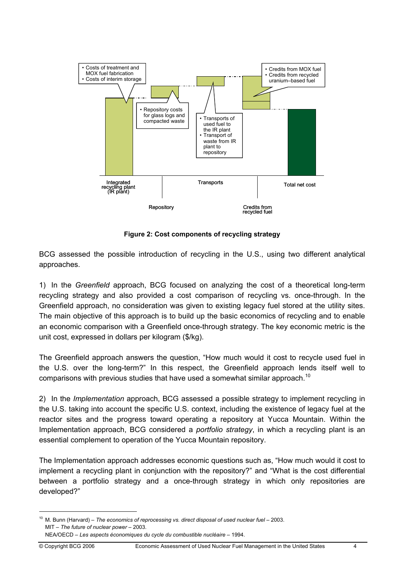

**Figure 2: Cost components of recycling strategy** 

BCG assessed the possible introduction of recycling in the U.S., using two different analytical approaches.

1) In the *Greenfield* approach, BCG focused on analyzing the cost of a theoretical long-term recycling strategy and also provided a cost comparison of recycling vs. once-through. In the Greenfield approach, no consideration was given to existing legacy fuel stored at the utility sites. The main objective of this approach is to build up the basic economics of recycling and to enable an economic comparison with a Greenfield once-through strategy. The key economic metric is the unit cost, expressed in dollars per kilogram (\$/kg).

The Greenfield approach answers the question, "How much would it cost to recycle used fuel in the U.S. over the long-term?" In this respect, the Greenfield approach lends itself well to comparisons with previous studies that have used a somewhat similar approach.<sup>10</sup>

2) In the *Implementation* approach, BCG assessed a possible strategy to implement recycling in the U.S. taking into account the specific U.S. context, including the existence of legacy fuel at the reactor sites and the progress toward operating a repository at Yucca Mountain. Within the Implementation approach, BCG considered a *portfolio strategy*, in which a recycling plant is an essential complement to operation of the Yucca Mountain repository.

The Implementation approach addresses economic questions such as, "How much would it cost to implement a recycling plant in conjunction with the repository?" and "What is the cost differential between a portfolio strategy and a once-through strategy in which only repositories are developed?"

<sup>&</sup>lt;sup>10</sup> M. Bunn (Harvard) – *The economics of reprocessing vs. direct disposal of used nuclear fuel – 2003.*  MIT – *The future of nuclear power* – 2003. NEA/OECD – *Les aspects économiques du cycle du combustible nucléaire* – 1994.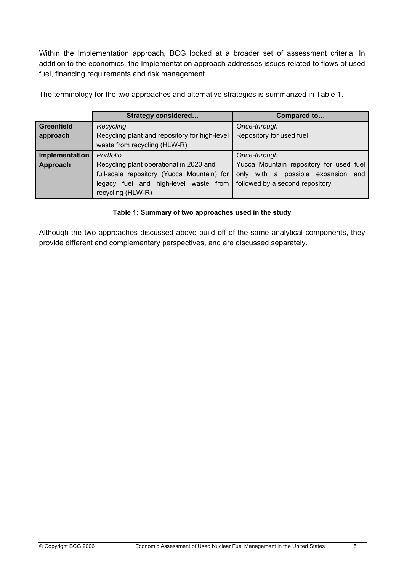Within the Implementation approach, BCG looked at a broader set of assessment criteria. In addition to the economics, the Implementation approach addresses issues related to flows of used fuel, financing requirements and risk management.

|                   | <b>Strategy considered</b>                    | Compared to                              |
|-------------------|-----------------------------------------------|------------------------------------------|
| <b>Greenfield</b> | Recycling                                     | Once-through                             |
| approach          | Recycling plant and repository for high-level | Repository for used fuel                 |
|                   | waste from recycling (HLW-R)                  |                                          |
| Implementation    | Portfolio                                     | Once-through                             |
| Approach          | Recycling plant operational in 2020 and       | Yucca Mountain repository for used fuel  |
|                   | full-scale repository (Yucca Mountain) for    | with a possible expansion<br>only<br>and |
|                   | legacy fuel and high-level waste from         | followed by a second repository          |
|                   | recycling (HLW-R)                             |                                          |

The terminology for the two approaches and alternative strategies is summarized in Table 1.

#### **Table 1: Summary of two approaches used in the study**

Although the two approaches discussed above build off of the same analytical components, they provide different and complementary perspectives, and are discussed separately.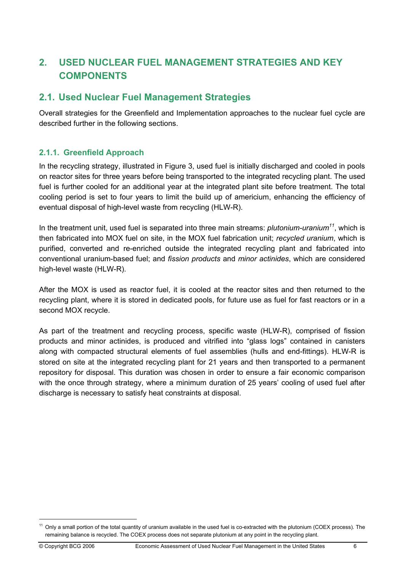# **2. USED NUCLEAR FUEL MANAGEMENT STRATEGIES AND KEY COMPONENTS**

# **2.1. Used Nuclear Fuel Management Strategies**

Overall strategies for the Greenfield and Implementation approaches to the nuclear fuel cycle are described further in the following sections.

## **2.1.1. Greenfield Approach**

In the recycling strategy, illustrated in Figure 3, used fuel is initially discharged and cooled in pools on reactor sites for three years before being transported to the integrated recycling plant. The used fuel is further cooled for an additional year at the integrated plant site before treatment. The total cooling period is set to four years to limit the build up of americium, enhancing the efficiency of eventual disposal of high-level waste from recycling (HLW-R).

In the treatment unit, used fuel is separated into three main streams: *plutonium-uranium<sup>11</sup>*, which is then fabricated into MOX fuel on site, in the MOX fuel fabrication unit; *recycled uranium*, which is purified, converted and re-enriched outside the integrated recycling plant and fabricated into conventional uranium-based fuel; and *fission products* and *minor actinides*, which are considered high-level waste (HLW-R).

After the MOX is used as reactor fuel, it is cooled at the reactor sites and then returned to the recycling plant, where it is stored in dedicated pools, for future use as fuel for fast reactors or in a second MOX recycle.

As part of the treatment and recycling process, specific waste (HLW-R), comprised of fission products and minor actinides, is produced and vitrified into "glass logs" contained in canisters along with compacted structural elements of fuel assemblies (hulls and end-fittings). HLW-R is stored on site at the integrated recycling plant for 21 years and then transported to a permanent repository for disposal. This duration was chosen in order to ensure a fair economic comparison with the once through strategy, where a minimum duration of 25 years' cooling of used fuel after discharge is necessary to satisfy heat constraints at disposal.

<sup>&</sup>lt;sup>11</sup> Only a small portion of the total quantity of uranium available in the used fuel is co-extracted with the plutonium (COEX process). The remaining balance is recycled. The COEX process does not separate plutonium at any point in the recycling plant.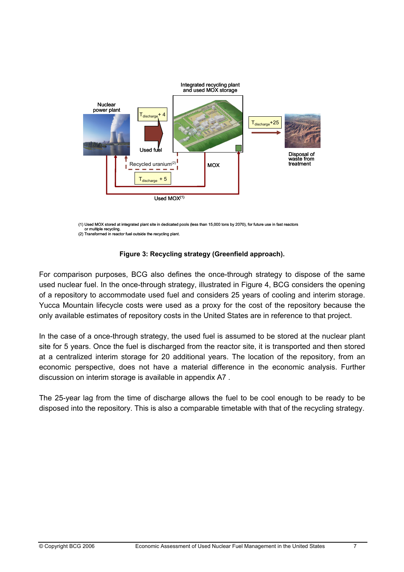

(1) Used MOX stored at integrated plant site in dedicated pools (less than 15,000 tons by 2070), for future use in fast reactors or multiple recycling. (2) Transformed in reactor fuel outside the recycling plant.

#### **Figure 3: Recycling strategy (Greenfield approach).**

For comparison purposes, BCG also defines the once-through strategy to dispose of the same used nuclear fuel. In the once-through strategy, illustrated in Figure 4, BCG considers the opening of a repository to accommodate used fuel and considers 25 years of cooling and interim storage. Yucca Mountain lifecycle costs were used as a proxy for the cost of the repository because the only available estimates of repository costs in the United States are in reference to that project.

In the case of a once-through strategy, the used fuel is assumed to be stored at the nuclear plant site for 5 years. Once the fuel is discharged from the reactor site, it is transported and then stored at a centralized interim storage for 20 additional years. The location of the repository, from an economic perspective, does not have a material difference in the economic analysis. Further discussion on interim storage is available in appendix A7 .

The 25-year lag from the time of discharge allows the fuel to be cool enough to be ready to be disposed into the repository. This is also a comparable timetable with that of the recycling strategy.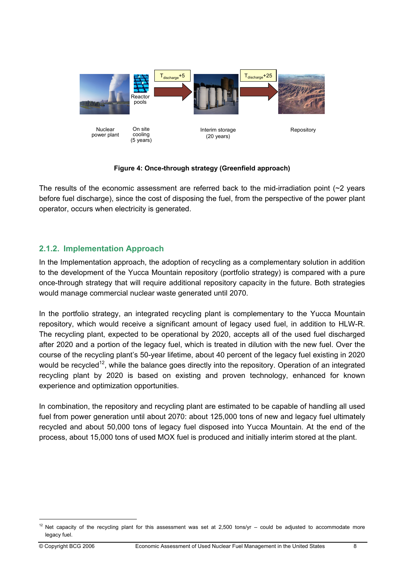

**Figure 4: Once-through strategy (Greenfield approach)** 

The results of the economic assessment are referred back to the mid-irradiation point  $\sim$  years before fuel discharge), since the cost of disposing the fuel, from the perspective of the power plant operator, occurs when electricity is generated.

## **2.1.2. Implementation Approach**

(5 years)

In the Implementation approach, the adoption of recycling as a complementary solution in addition to the development of the Yucca Mountain repository (portfolio strategy) is compared with a pure once-through strategy that will require additional repository capacity in the future. Both strategies would manage commercial nuclear waste generated until 2070.

In the portfolio strategy, an integrated recycling plant is complementary to the Yucca Mountain repository, which would receive a significant amount of legacy used fuel, in addition to HLW-R. The recycling plant, expected to be operational by 2020, accepts all of the used fuel discharged after 2020 and a portion of the legacy fuel, which is treated in dilution with the new fuel. Over the course of the recycling plant's 50-year lifetime, about 40 percent of the legacy fuel existing in 2020 would be recycled<sup>12</sup>, while the balance goes directly into the repository. Operation of an integrated recycling plant by 2020 is based on existing and proven technology, enhanced for known experience and optimization opportunities.

In combination, the repository and recycling plant are estimated to be capable of handling all used fuel from power generation until about 2070: about 125,000 tons of new and legacy fuel ultimately recycled and about 50,000 tons of legacy fuel disposed into Yucca Mountain. At the end of the process, about 15,000 tons of used MOX fuel is produced and initially interim stored at the plant.

 $12$  Net capacity of the recycling plant for this assessment was set at 2,500 tons/yr – could be adjusted to accommodate more legacy fuel.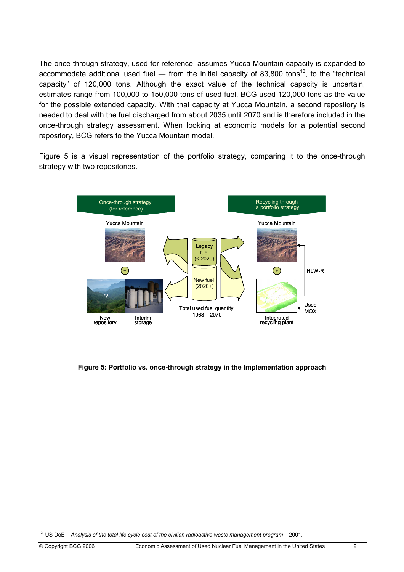The once-through strategy, used for reference, assumes Yucca Mountain capacity is expanded to accommodate additional used fuel — from the initial capacity of 83,800 tons<sup>13</sup>, to the "technical capacity" of 120,000 tons. Although the exact value of the technical capacity is uncertain, estimates range from 100,000 to 150,000 tons of used fuel, BCG used 120,000 tons as the value for the possible extended capacity. With that capacity at Yucca Mountain, a second repository is needed to deal with the fuel discharged from about 2035 until 2070 and is therefore included in the once-through strategy assessment. When looking at economic models for a potential second repository, BCG refers to the Yucca Mountain model.

Figure 5 is a visual representation of the portfolio strategy, comparing it to the once-through strategy with two repositories.



**Figure 5: Portfolio vs. once-through strategy in the Implementation approach** 

 $\overline{a}$ 

<sup>13</sup> US DoE – *Analysis of the total life cycle cost of the civilian radioactive waste management program* – 2001.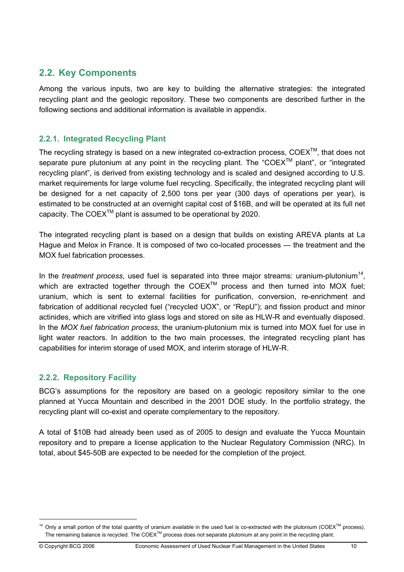# **2.2. Key Components**

Among the various inputs, two are key to building the alternative strategies: the integrated recycling plant and the geologic repository. These two components are described further in the following sections and additional information is available in appendix.

## **2.2.1. Integrated Recycling Plant**

The recycling strategy is based on a new integrated co-extraction process,  $COEX^{TM}$ , that does not separate pure plutonium at any point in the recycling plant. The "COEX<sup>TM</sup> plant", or "integrated recycling plant", is derived from existing technology and is scaled and designed according to U.S. market requirements for large volume fuel recycling. Specifically, the integrated recycling plant will be designed for a net capacity of 2,500 tons per year (300 days of operations per year), is estimated to be constructed at an overnight capital cost of \$16B, and will be operated at its full net capacity. The COEX<sup>TM</sup> plant is assumed to be operational by 2020.

The integrated recycling plant is based on a design that builds on existing AREVA plants at La Hague and Melox in France. It is composed of two co-located processes ― the treatment and the MOX fuel fabrication processes.

In the *treatment process*, used fuel is separated into three major streams: uranium-plutonium*<sup>14</sup>*, which are extracted together through the COEX<sup>TM</sup> process and then turned into MOX fuel; uranium, which is sent to external facilities for purification, conversion, re-enrichment and fabrication of additional recycled fuel ("recycled UOX", or "RepU"); and fission product and minor actinides, which are vitrified into glass logs and stored on site as HLW-R and eventually disposed. In the *MOX fuel fabrication process*, the uranium-plutonium mix is turned into MOX fuel for use in light water reactors. In addition to the two main processes, the integrated recycling plant has capabilities for interim storage of used MOX, and interim storage of HLW-R.

## **2.2.2. Repository Facility**

BCG's assumptions for the repository are based on a geologic repository similar to the one planned at Yucca Mountain and described in the 2001 DOE study. In the portfolio strategy, the recycling plant will co-exist and operate complementary to the repository.

A total of \$10B had already been used as of 2005 to design and evaluate the Yucca Mountain repository and to prepare a license application to the Nuclear Regulatory Commission (NRC). In total, about \$45-50B are expected to be needed for the completion of the project.

<sup>&</sup>lt;sup>14</sup> Only a small portion of the total quantity of uranium available in the used fuel is co-extracted with the plutonium (COEX<sup>™</sup> process). The remaining balance is recycled. The COEX<sup>™</sup> process does not separate plutonium at any point in the recycling plant.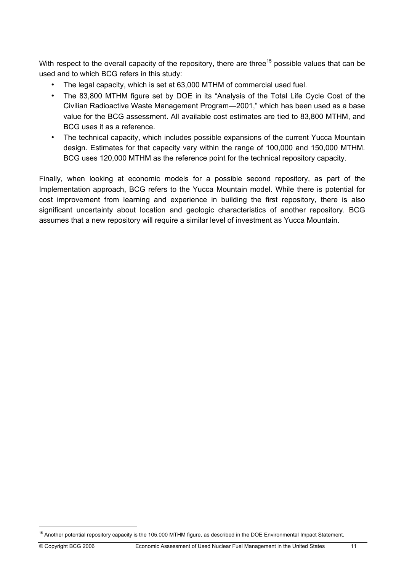With respect to the overall capacity of the repository, there are three<sup>15</sup> possible values that can be used and to which BCG refers in this study:

- The legal capacity, which is set at 63,000 MTHM of commercial used fuel.
- The 83,800 MTHM figure set by DOE in its "Analysis of the Total Life Cycle Cost of the Civilian Radioactive Waste Management Program―2001," which has been used as a base value for the BCG assessment. All available cost estimates are tied to 83,800 MTHM, and BCG uses it as a reference.
- The technical capacity, which includes possible expansions of the current Yucca Mountain design. Estimates for that capacity vary within the range of 100,000 and 150,000 MTHM. BCG uses 120,000 MTHM as the reference point for the technical repository capacity.

Finally, when looking at economic models for a possible second repository, as part of the Implementation approach, BCG refers to the Yucca Mountain model. While there is potential for cost improvement from learning and experience in building the first repository, there is also significant uncertainty about location and geologic characteristics of another repository. BCG assumes that a new repository will require a similar level of investment as Yucca Mountain.

 $\overline{a}$ 

<sup>&</sup>lt;sup>15</sup> Another potential repository capacity is the 105,000 MTHM figure, as described in the DOE Environmental Impact Statement.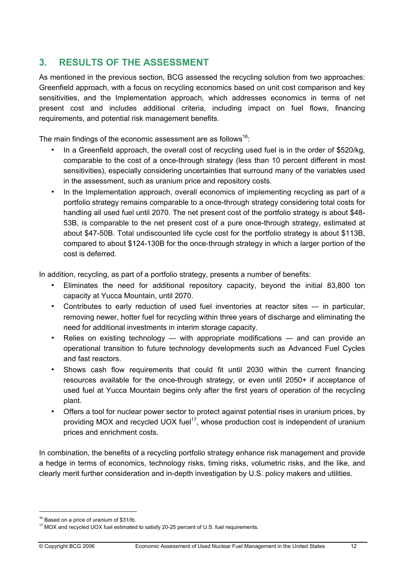# **3. RESULTS OF THE ASSESSMENT**

As mentioned in the previous section, BCG assessed the recycling solution from two approaches: Greenfield approach, with a focus on recycling economics based on unit cost comparison and key sensitivities, and the Implementation approach, which addresses economics in terms of net present cost and includes additional criteria, including impact on fuel flows, financing requirements, and potential risk management benefits.

The main findings of the economic assessment are as follows<sup>16</sup>:

- In a Greenfield approach, the overall cost of recycling used fuel is in the order of \$520/kg, comparable to the cost of a once-through strategy (less than 10 percent different in most sensitivities), especially considering uncertainties that surround many of the variables used in the assessment, such as uranium price and repository costs.
- In the Implementation approach, overall economics of implementing recycling as part of a portfolio strategy remains comparable to a once-through strategy considering total costs for handling all used fuel until 2070. The net present cost of the portfolio strategy is about \$48- 53B, is comparable to the net present cost of a pure once-through strategy, estimated at about \$47-50B. Total undiscounted life cycle cost for the portfolio strategy is about \$113B, compared to about \$124-130B for the once-through strategy in which a larger portion of the cost is deferred.

In addition, recycling, as part of a portfolio strategy, presents a number of benefits:

- Eliminates the need for additional repository capacity, beyond the initial 83,800 ton capacity at Yucca Mountain, until 2070.
- Contributes to early reduction of used fuel inventories at reactor sites in particular, removing newer, hotter fuel for recycling within three years of discharge and eliminating the need for additional investments in interim storage capacity.
- Relies on existing technology with appropriate modifications and can provide an operational transition to future technology developments such as Advanced Fuel Cycles and fast reactors.
- Shows cash flow requirements that could fit until 2030 within the current financing resources available for the once-through strategy, or even until 2050+ if acceptance of used fuel at Yucca Mountain begins only after the first years of operation of the recycling plant.
- Offers a tool for nuclear power sector to protect against potential rises in uranium prices, by providing MOX and recycled UOX fuel<sup>17</sup>, whose production cost is independent of uranium prices and enrichment costs.

In combination, the benefits of a recycling portfolio strategy enhance risk management and provide a hedge in terms of economics, technology risks, timing risks, volumetric risks, and the like, and clearly merit further consideration and in-depth investigation by U.S. policy makers and utilities.

<sup>&</sup>lt;sup>16</sup> Based on a price of uranium of \$31/lb.

<sup>&</sup>lt;sup>17</sup> MOX and recycled UOX fuel estimated to satisfy 20-25 percent of U.S. fuel requirements.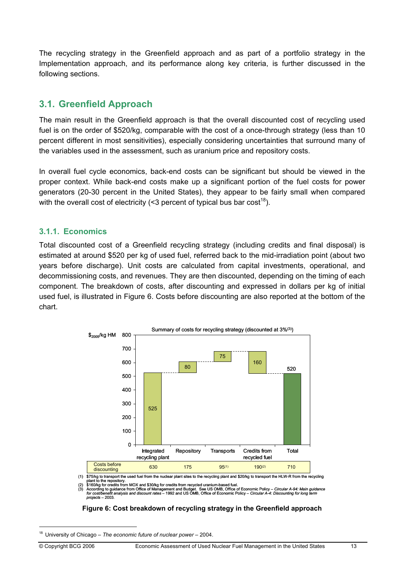The recycling strategy in the Greenfield approach and as part of a portfolio strategy in the Implementation approach, and its performance along key criteria, is further discussed in the following sections.

# **3.1. Greenfield Approach**

The main result in the Greenfield approach is that the overall discounted cost of recycling used fuel is on the order of \$520/kg, comparable with the cost of a once-through strategy (less than 10 percent different in most sensitivities), especially considering uncertainties that surround many of the variables used in the assessment, such as uranium price and repository costs.

In overall fuel cycle economics, back-end costs can be significant but should be viewed in the proper context. While back-end costs make up a significant portion of the fuel costs for power generators (20-30 percent in the United States), they appear to be fairly small when compared with the overall cost of electricity (<3 percent of typical bus bar cost<sup>18</sup>).

## **3.1.1. Economics**

Total discounted cost of a Greenfield recycling strategy (including credits and final disposal) is estimated at around \$520 per kg of used fuel, referred back to the mid-irradiation point (about two years before discharge). Unit costs are calculated from capital investments, operational, and decommissioning costs, and revenues. They are then discounted, depending on the timing of each component. The breakdown of costs, after discounting and expressed in dollars per kg of initial used fuel, is illustrated in Figure 6. Costs before discounting are also reported at the bottom of the chart.



plant to the repository.<br>(2) \$160/kg for credits from MOX and \$30/kg for credits from recycled uranium-based fuel.<br>(3) According to guidance from Office of Management and Budget. See US OMB, Office of Economic Policy – Cir

#### **Figure 6: Cost breakdown of recycling strategy in the Greenfield approach**

 $\overline{a}$ 

<sup>18</sup> University of Chicago – *The economic future of nuclear power* – 2004.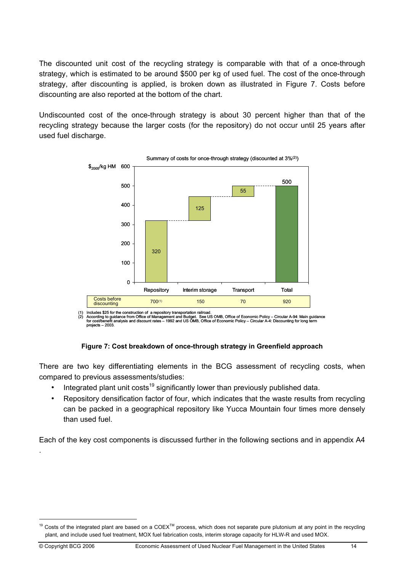The discounted unit cost of the recycling strategy is comparable with that of a once-through strategy, which is estimated to be around \$500 per kg of used fuel. The cost of the once-through strategy, after discounting is applied, is broken down as illustrated in Figure 7. Costs before discounting are also reported at the bottom of the chart.

Undiscounted cost of the once-through strategy is about 30 percent higher than that of the recycling strategy because the larger costs (for the repository) do not occur until 25 years after used fuel discharge.



Includes \$25 for the construction of a repository transportation railroad (2) According to guidance from Office of Management and Budget. See US OMB, Office of Economic Policy – Circular A-94: Main guidance<br>for cost/benefit analysis and discount rates – 1992 and US OMB, Office of Economic Policy projects – 2003.

#### **Figure 7: Cost breakdown of once-through strategy in Greenfield approach**

There are two key differentiating elements in the BCG assessment of recycling costs, when compared to previous assessments/studies:

- Integrated plant unit costs<sup>19</sup> significantly lower than previously published data.
- Repository densification factor of four, which indicates that the waste results from recycling can be packed in a geographical repository like Yucca Mountain four times more densely than used fuel.

Each of the key cost components is discussed further in the following sections and in appendix A4

.

 $19$  Costs of the integrated plant are based on a COEX<sup>TM</sup> process, which does not separate pure plutonium at any point in the recycling plant, and include used fuel treatment, MOX fuel fabrication costs, interim storage capacity for HLW-R and used MOX.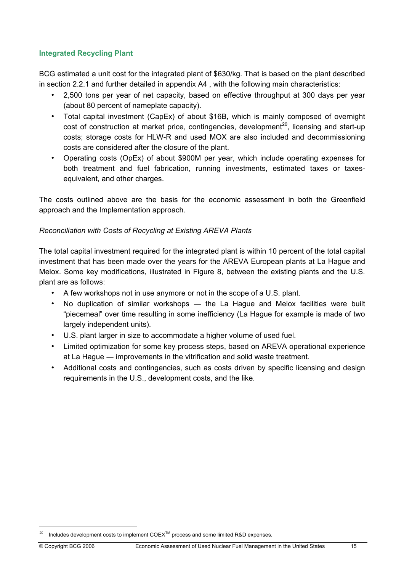#### **Integrated Recycling Plant**

BCG estimated a unit cost for the integrated plant of \$630/kg. That is based on the plant described in section 2.2.1 and further detailed in appendix A4 , with the following main characteristics:

- 2,500 tons per year of net capacity, based on effective throughput at 300 days per year (about 80 percent of nameplate capacity).
- Total capital investment (CapEx) of about \$16B, which is mainly composed of overnight cost of construction at market price, contingencies, development<sup>20</sup>, licensing and start-up costs; storage costs for HLW-R and used MOX are also included and decommissioning costs are considered after the closure of the plant.
- Operating costs (OpEx) of about \$900M per year, which include operating expenses for both treatment and fuel fabrication, running investments, estimated taxes or taxesequivalent, and other charges.

The costs outlined above are the basis for the economic assessment in both the Greenfield approach and the Implementation approach.

#### *Reconciliation with Costs of Recycling at Existing AREVA Plants*

The total capital investment required for the integrated plant is within 10 percent of the total capital investment that has been made over the years for the AREVA European plants at La Hague and Melox. Some key modifications, illustrated in Figure 8, between the existing plants and the U.S. plant are as follows:

- A few workshops not in use anymore or not in the scope of a U.S. plant.
- No duplication of similar workshops the La Hague and Melox facilities were built "piecemeal" over time resulting in some inefficiency (La Hague for example is made of two largely independent units).
- U.S. plant larger in size to accommodate a higher volume of used fuel.
- Limited optimization for some key process steps, based on AREVA operational experience at La Hague ― improvements in the vitrification and solid waste treatment.
- Additional costs and contingencies, such as costs driven by specific licensing and design requirements in the U.S., development costs, and the like.

 $\overline{a}$ 

Includes development costs to implement COEX<sup>™</sup> process and some limited R&D expenses.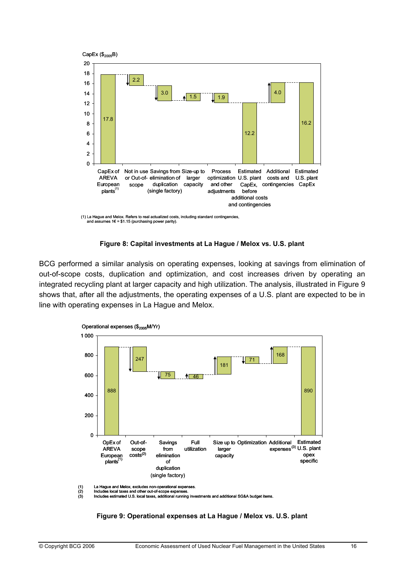

#### **Figure 8: Capital investments at La Hague / Melox vs. U.S. plant**

BCG performed a similar analysis on operating expenses, looking at savings from elimination of out-of-scope costs, duplication and optimization, and cost increases driven by operating an integrated recycling plant at larger capacity and high utilization. The analysis, illustrated in Figure 9 shows that, after all the adjustments, the operating expenses of a U.S. plant are expected to be in line with operating expenses in La Hague and Melox.



(1) La Hague and Melox, excludes non-operational expenses.<br>(2) Includes local taxes and other out-of-scope expenses.<br>(3) Includes estimated U.S. local taxes, additional running

(2) Includes local taxes and other out-of-scope expenses. (3) Includes estimated U.S. local taxes, additional running investments and additional SG&A budget items.

**Figure 9: Operational expenses at La Hague / Melox vs. U.S. plant**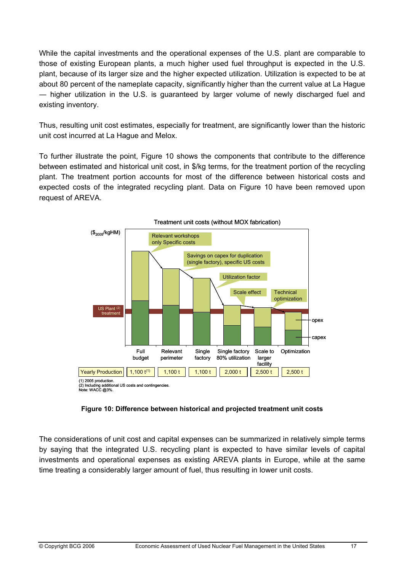While the capital investments and the operational expenses of the U.S. plant are comparable to those of existing European plants, a much higher used fuel throughput is expected in the U.S. plant, because of its larger size and the higher expected utilization. Utilization is expected to be at about 80 percent of the nameplate capacity, significantly higher than the current value at La Hague ― higher utilization in the U.S. is guaranteed by larger volume of newly discharged fuel and existing inventory.

Thus, resulting unit cost estimates, especially for treatment, are significantly lower than the historic unit cost incurred at La Hague and Melox.

To further illustrate the point, Figure 10 shows the components that contribute to the difference between estimated and historical unit cost, in \$/kg terms, for the treatment portion of the recycling plant. The treatment portion accounts for most of the difference between historical costs and expected costs of the integrated recycling plant. Data on Figure 10 have been removed upon request of AREVA.



**Figure 10: Difference between historical and projected treatment unit costs** 

The considerations of unit cost and capital expenses can be summarized in relatively simple terms by saying that the integrated U.S. recycling plant is expected to have similar levels of capital investments and operational expenses as existing AREVA plants in Europe, while at the same time treating a considerably larger amount of fuel, thus resulting in lower unit costs.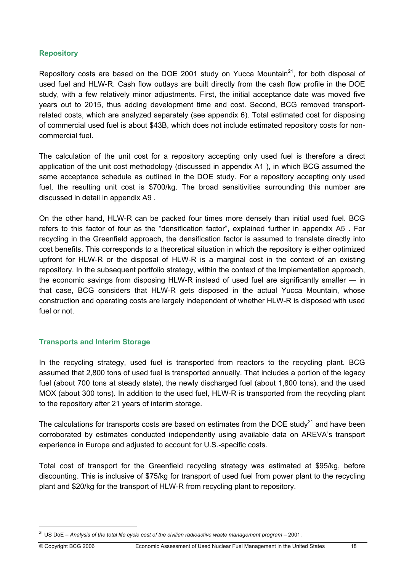#### **Repository**

Repository costs are based on the DOE 2001 study on Yucca Mountain<sup>21</sup>, for both disposal of used fuel and HLW-R. Cash flow outlays are built directly from the cash flow profile in the DOE study, with a few relatively minor adjustments. First, the initial acceptance date was moved five years out to 2015, thus adding development time and cost. Second, BCG removed transportrelated costs, which are analyzed separately (see appendix 6). Total estimated cost for disposing of commercial used fuel is about \$43B, which does not include estimated repository costs for noncommercial fuel.

The calculation of the unit cost for a repository accepting only used fuel is therefore a direct application of the unit cost methodology (discussed in appendix A1 ), in which BCG assumed the same acceptance schedule as outlined in the DOE study. For a repository accepting only used fuel, the resulting unit cost is \$700/kg. The broad sensitivities surrounding this number are discussed in detail in appendix A9 .

On the other hand, HLW-R can be packed four times more densely than initial used fuel. BCG refers to this factor of four as the "densification factor", explained further in appendix A5 . For recycling in the Greenfield approach, the densification factor is assumed to translate directly into cost benefits. This corresponds to a theoretical situation in which the repository is either optimized upfront for HLW-R or the disposal of HLW-R is a marginal cost in the context of an existing repository. In the subsequent portfolio strategy, within the context of the Implementation approach, the economic savings from disposing HLW-R instead of used fuel are significantly smaller ― in that case, BCG considers that HLW-R gets disposed in the actual Yucca Mountain, whose construction and operating costs are largely independent of whether HLW-R is disposed with used fuel or not.

#### **Transports and Interim Storage**

In the recycling strategy, used fuel is transported from reactors to the recycling plant. BCG assumed that 2,800 tons of used fuel is transported annually. That includes a portion of the legacy fuel (about 700 tons at steady state), the newly discharged fuel (about 1,800 tons), and the used MOX (about 300 tons). In addition to the used fuel, HLW-R is transported from the recycling plant to the repository after 21 years of interim storage.

The calculations for transports costs are based on estimates from the DOE study<sup>21</sup> and have been corroborated by estimates conducted independently using available data on AREVA's transport experience in Europe and adjusted to account for U.S.-specific costs.

Total cost of transport for the Greenfield recycling strategy was estimated at \$95/kg, before discounting. This is inclusive of \$75/kg for transport of used fuel from power plant to the recycling plant and \$20/kg for the transport of HLW-R from recycling plant to repository.

 $\overline{a}$ 

<sup>21</sup> US DoE – *Analysis of the total life cycle cost of the civilian radioactive waste management program* – 2001.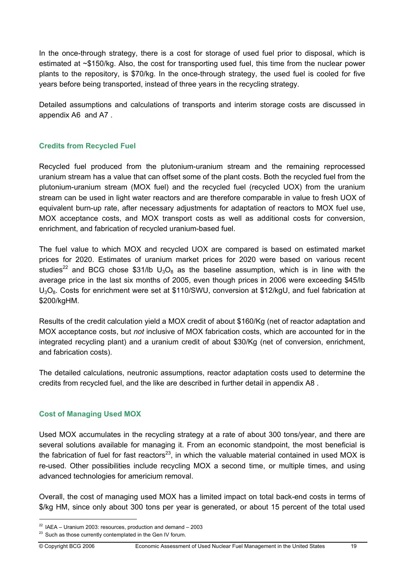In the once-through strategy, there is a cost for storage of used fuel prior to disposal, which is estimated at ~\$150/kg. Also, the cost for transporting used fuel, this time from the nuclear power plants to the repository, is \$70/kg. In the once-through strategy, the used fuel is cooled for five years before being transported, instead of three years in the recycling strategy.

Detailed assumptions and calculations of transports and interim storage costs are discussed in appendix A6 and A7 .

## **Credits from Recycled Fuel**

Recycled fuel produced from the plutonium-uranium stream and the remaining reprocessed uranium stream has a value that can offset some of the plant costs. Both the recycled fuel from the plutonium-uranium stream (MOX fuel) and the recycled fuel (recycled UOX) from the uranium stream can be used in light water reactors and are therefore comparable in value to fresh UOX of equivalent burn-up rate, after necessary adjustments for adaptation of reactors to MOX fuel use, MOX acceptance costs, and MOX transport costs as well as additional costs for conversion, enrichment, and fabrication of recycled uranium-based fuel.

The fuel value to which MOX and recycled UOX are compared is based on estimated market prices for 2020. Estimates of uranium market prices for 2020 were based on various recent studies<sup>22</sup> and BCG chose \$31/lb  $U_3O_8$  as the baseline assumption, which is in line with the average price in the last six months of 2005, even though prices in 2006 were exceeding \$45/lb U<sub>3</sub>O<sub>8</sub>. Costs for enrichment were set at \$110/SWU, conversion at \$12/kgU, and fuel fabrication at \$200/kgHM.

Results of the credit calculation yield a MOX credit of about \$160/Kg (net of reactor adaptation and MOX acceptance costs, but *not* inclusive of MOX fabrication costs, which are accounted for in the integrated recycling plant) and a uranium credit of about \$30/Kg (net of conversion, enrichment, and fabrication costs).

The detailed calculations, neutronic assumptions, reactor adaptation costs used to determine the credits from recycled fuel, and the like are described in further detail in appendix A8 .

#### **Cost of Managing Used MOX**

Used MOX accumulates in the recycling strategy at a rate of about 300 tons/year, and there are several solutions available for managing it. From an economic standpoint, the most beneficial is the fabrication of fuel for fast reactors<sup>23</sup>, in which the valuable material contained in used MOX is re-used. Other possibilities include recycling MOX a second time, or multiple times, and using advanced technologies for americium removal.

Overall, the cost of managing used MOX has a limited impact on total back-end costs in terms of \$/kg HM, since only about 300 tons per year is generated, or about 15 percent of the total used

 $22$  IAEA – Uranium 2003: resources, production and demand – 2003

 $23$  Such as those currently contemplated in the Gen IV forum.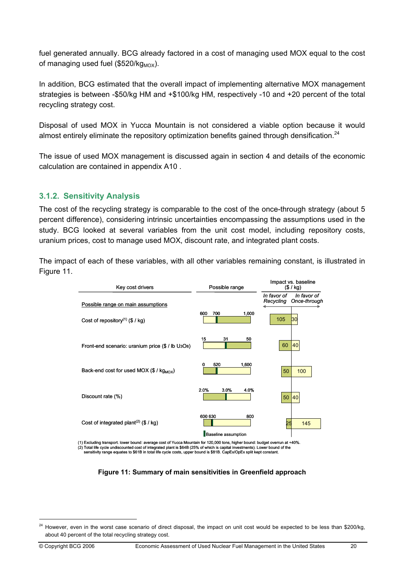fuel generated annually. BCG already factored in a cost of managing used MOX equal to the cost of managing used fuel (\$520/ $kg_{MOX}$ ).

In addition, BCG estimated that the overall impact of implementing alternative MOX management strategies is between -\$50/kg HM and +\$100/kg HM, respectively -10 and +20 percent of the total recycling strategy cost.

Disposal of used MOX in Yucca Mountain is not considered a viable option because it would almost entirely eliminate the repository optimization benefits gained through densification.<sup>24</sup>

The issue of used MOX management is discussed again in section 4 and details of the economic calculation are contained in appendix A10 .

## **3.1.2. Sensitivity Analysis**

The cost of the recycling strategy is comparable to the cost of the once-through strategy (about 5 percent difference), considering intrinsic uncertainties encompassing the assumptions used in the study. BCG looked at several variables from the unit cost model, including repository costs, uranium prices, cost to manage used MOX, discount rate, and integrated plant costs.

The impact of each of these variables, with all other variables remaining constant, is illustrated in Figure 11.



(1) Excluding transport. lower bound: average cost of Yucca Mountain for 120,000 tons, higher bound: budget overrun at +40%. (2) Total life cycle undiscounted cost of integrated plant is \$64B (25% of which is capital investments). Lower bound of the<br>sensitivity range equates to \$61B in total life cycle costs, upper bound is \$81B. CapEx/OpEx spli

**Figure 11: Summary of main sensitivities in Greenfield approach** 

<sup>&</sup>lt;sup>24</sup> However, even in the worst case scenario of direct disposal, the impact on unit cost would be expected to be less than \$200/kg, about 40 percent of the total recycling strategy cost.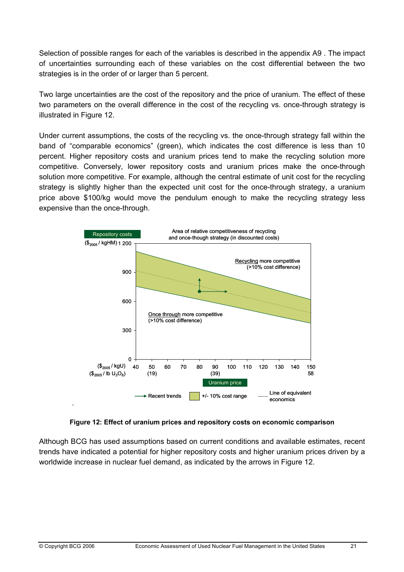Selection of possible ranges for each of the variables is described in the appendix A9 . The impact of uncertainties surrounding each of these variables on the cost differential between the two strategies is in the order of or larger than 5 percent.

Two large uncertainties are the cost of the repository and the price of uranium. The effect of these two parameters on the overall difference in the cost of the recycling vs. once-through strategy is illustrated in Figure 12.

Under current assumptions, the costs of the recycling vs. the once-through strategy fall within the band of "comparable economics" (green), which indicates the cost difference is less than 10 percent. Higher repository costs and uranium prices tend to make the recycling solution more competitive. Conversely, lower repository costs and uranium prices make the once-through solution more competitive. For example, although the central estimate of unit cost for the recycling strategy is slightly higher than the expected unit cost for the once-through strategy, a uranium price above \$100/kg would move the pendulum enough to make the recycling strategy less expensive than the once-through.



**Figure 12: Effect of uranium prices and repository costs on economic comparison** 

Although BCG has used assumptions based on current conditions and available estimates, recent trends have indicated a potential for higher repository costs and higher uranium prices driven by a worldwide increase in nuclear fuel demand, as indicated by the arrows in Figure 12.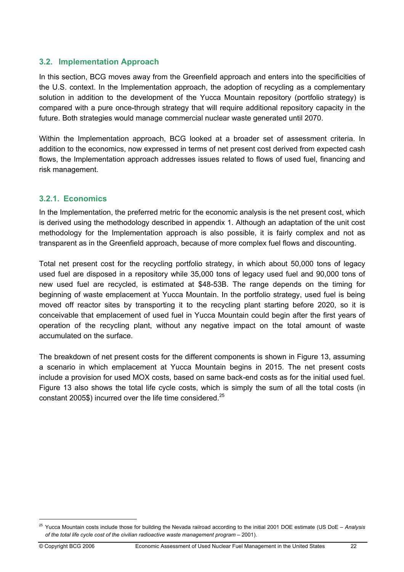## **3.2. Implementation Approach**

In this section, BCG moves away from the Greenfield approach and enters into the specificities of the U.S. context. In the Implementation approach, the adoption of recycling as a complementary solution in addition to the development of the Yucca Mountain repository (portfolio strategy) is compared with a pure once-through strategy that will require additional repository capacity in the future. Both strategies would manage commercial nuclear waste generated until 2070.

Within the Implementation approach, BCG looked at a broader set of assessment criteria. In addition to the economics, now expressed in terms of net present cost derived from expected cash flows, the Implementation approach addresses issues related to flows of used fuel, financing and risk management.

## **3.2.1. Economics**

In the Implementation, the preferred metric for the economic analysis is the net present cost, which is derived using the methodology described in appendix 1. Although an adaptation of the unit cost methodology for the Implementation approach is also possible, it is fairly complex and not as transparent as in the Greenfield approach, because of more complex fuel flows and discounting.

Total net present cost for the recycling portfolio strategy, in which about 50,000 tons of legacy used fuel are disposed in a repository while 35,000 tons of legacy used fuel and 90,000 tons of new used fuel are recycled, is estimated at \$48-53B. The range depends on the timing for beginning of waste emplacement at Yucca Mountain. In the portfolio strategy, used fuel is being moved off reactor sites by transporting it to the recycling plant starting before 2020, so it is conceivable that emplacement of used fuel in Yucca Mountain could begin after the first years of operation of the recycling plant, without any negative impact on the total amount of waste accumulated on the surface.

The breakdown of net present costs for the different components is shown in Figure 13, assuming a scenario in which emplacement at Yucca Mountain begins in 2015. The net present costs include a provision for used MOX costs, based on same back-end costs as for the initial used fuel. Figure 13 also shows the total life cycle costs, which is simply the sum of all the total costs (in constant 2005\$) incurred over the life time considered.<sup>25</sup>

<sup>25</sup> Yucca Mountain costs include those for building the Nevada railroad according to the initial 2001 DOE estimate (US DoE – *Analysis of the total life cycle cost of the civilian radioactive waste management program* – 2001).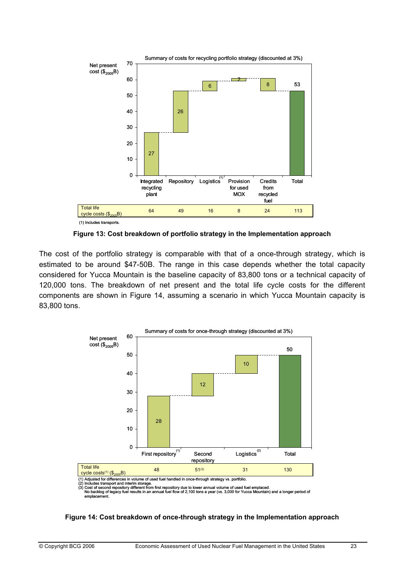

**Figure 13: Cost breakdown of portfolio strategy in the Implementation approach** 

The cost of the portfolio strategy is comparable with that of a once-through strategy, which is estimated to be around \$47-50B. The range in this case depends whether the total capacity considered for Yucca Mountain is the baseline capacity of 83,800 tons or a technical capacity of 120,000 tons. The breakdown of net present and the total life cycle costs for the different components are shown in Figure 14, assuming a scenario in which Yucca Mountain capacity is 83,800 tons.



#### **Figure 14: Cost breakdown of once-through strategy in the Implementation approach**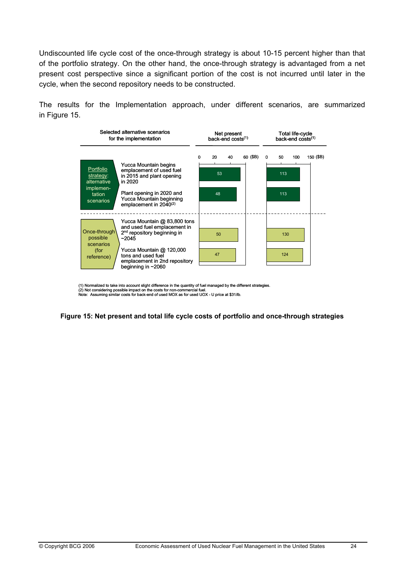Undiscounted life cycle cost of the once-through strategy is about 10-15 percent higher than that of the portfolio strategy. On the other hand, the once-through strategy is advantaged from a net present cost perspective since a significant portion of the cost is not incurred until later in the cycle, when the second repository needs to be constructed.

The results for the Implementation approach, under different scenarios, are summarized in Figure 15.



(1) Normalized to take into account slight difference in the quantity of fuel managed by the different strategies. (2) Not considering possible impact on the costs for non-commercial fuel.

Note: Assuming similar costs for back-end of used MOX as for used UOX - U price at \$31/lb.

**Figure 15: Net present and total life cycle costs of portfolio and once-through strategies**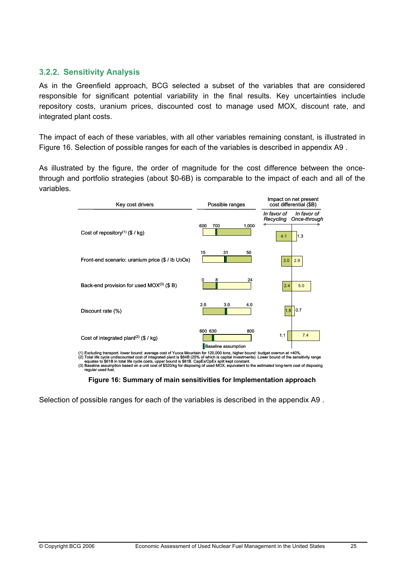#### **3.2.2. Sensitivity Analysis**

As in the Greenfield approach, BCG selected a subset of the variables that are considered responsible for significant potential variability in the final results. Key uncertainties include repository costs, uranium prices, discounted cost to manage used MOX, discount rate, and integrated plant costs.

The impact of each of these variables, with all other variables remaining constant, is illustrated in Figure 16. Selection of possible ranges for each of the variables is described in appendix A9 .

As illustrated by the figure, the order of magnitude for the cost difference between the oncethrough and portfolio strategies (about \$0-6B) is comparable to the impact of each and all of the variables.

| Key cost drivers                                                                                                                                                                                                                                                                | Possible ranges                              | Impact on net present<br>cost differential (\$B)        |  |
|---------------------------------------------------------------------------------------------------------------------------------------------------------------------------------------------------------------------------------------------------------------------------------|----------------------------------------------|---------------------------------------------------------|--|
|                                                                                                                                                                                                                                                                                 |                                              | In favor of<br>In favor of<br>Once-through<br>Recycling |  |
| Cost of repository <sup>(1)</sup> (\$ / kg)                                                                                                                                                                                                                                     | 600<br>700<br>1,000                          | 1.3<br>4.1                                              |  |
| Front-end scenario: uranium price (\$ / lb U <sub>3</sub> O <sub>8</sub> )                                                                                                                                                                                                      | 15<br>31<br>50                               | 2.9<br>3.0                                              |  |
| Back-end provision for used MOX <sup>(3)</sup> (\$ B)                                                                                                                                                                                                                           | 8<br>24<br>0                                 | 2.4<br>5.0                                              |  |
| Discount rate (%)                                                                                                                                                                                                                                                               | 2.0<br>3.0<br>4.0                            | 1.8 <br>0.7                                             |  |
| Cost of integrated plant <sup>(2)</sup> (\$ / kg)                                                                                                                                                                                                                               | 600 630<br>800<br><b>Baseline assumption</b> | 1.1<br>7.4                                              |  |
| (1) Excluding transport. lower bound: average cost of Yucca Mountain for 120,000 tons, higher bound: budget overrun at +40%.<br>(2) Total life cycle undiscounted cost of integrated plant is \$64B (25% of which is capital investments) I ower hound of the sensitivity range |                                              |                                                         |  |

(1) Excluding transport. lower bound: average cost of Yucca Mountain for 120,000 tons, higher bound: budget overrun at +40%.<br>(2) Total life cycle undiscounted cost of integrated plant is \$64B (25% of which is capital inve

**Figure 16: Summary of main sensitivities for Implementation approach** 

Selection of possible ranges for each of the variables is described in the appendix A9 .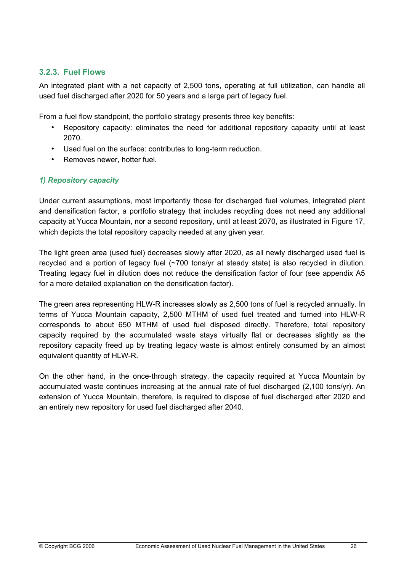## **3.2.3. Fuel Flows**

An integrated plant with a net capacity of 2,500 tons, operating at full utilization, can handle all used fuel discharged after 2020 for 50 years and a large part of legacy fuel.

From a fuel flow standpoint, the portfolio strategy presents three key benefits:

- Repository capacity: eliminates the need for additional repository capacity until at least 2070.
- Used fuel on the surface: contributes to long-term reduction.
- Removes newer, hotter fuel.

## *1) Repository capacity*

Under current assumptions, most importantly those for discharged fuel volumes, integrated plant and densification factor, a portfolio strategy that includes recycling does not need any additional capacity at Yucca Mountain, nor a second repository, until at least 2070, as illustrated in Figure 17, which depicts the total repository capacity needed at any given year.

The light green area (used fuel) decreases slowly after 2020, as all newly discharged used fuel is recycled and a portion of legacy fuel (~700 tons/yr at steady state) is also recycled in dilution. Treating legacy fuel in dilution does not reduce the densification factor of four (see appendix A5 for a more detailed explanation on the densification factor).

The green area representing HLW-R increases slowly as 2,500 tons of fuel is recycled annually. In terms of Yucca Mountain capacity, 2,500 MTHM of used fuel treated and turned into HLW-R corresponds to about 650 MTHM of used fuel disposed directly. Therefore, total repository capacity required by the accumulated waste stays virtually flat or decreases slightly as the repository capacity freed up by treating legacy waste is almost entirely consumed by an almost equivalent quantity of HLW-R.

On the other hand, in the once-through strategy, the capacity required at Yucca Mountain by accumulated waste continues increasing at the annual rate of fuel discharged (2,100 tons/yr). An extension of Yucca Mountain, therefore, is required to dispose of fuel discharged after 2020 and an entirely new repository for used fuel discharged after 2040.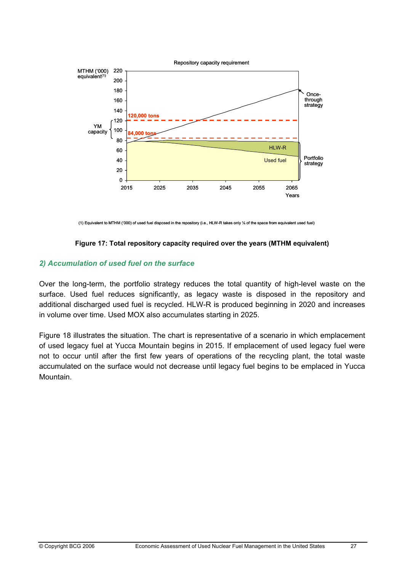

(1) Equivalent to MTHM ('000) of used fuel disposed in the repository (i.e., HLW-R takes only ¼ of the space from equivalent used fuel)

#### **Figure 17: Total repository capacity required over the years (MTHM equivalent)**

#### *2) Accumulation of used fuel on the surface*

Over the long-term, the portfolio strategy reduces the total quantity of high-level waste on the surface. Used fuel reduces significantly, as legacy waste is disposed in the repository and additional discharged used fuel is recycled. HLW-R is produced beginning in 2020 and increases in volume over time. Used MOX also accumulates starting in 2025.

Figure 18 illustrates the situation. The chart is representative of a scenario in which emplacement of used legacy fuel at Yucca Mountain begins in 2015. If emplacement of used legacy fuel were not to occur until after the first few years of operations of the recycling plant, the total waste accumulated on the surface would not decrease until legacy fuel begins to be emplaced in Yucca Mountain.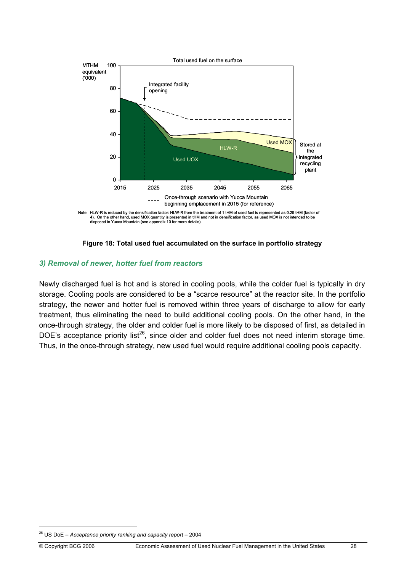



#### *3) Removal of newer, hotter fuel from reactors*

Newly discharged fuel is hot and is stored in cooling pools, while the colder fuel is typically in dry storage. Cooling pools are considered to be a "scarce resource" at the reactor site. In the portfolio strategy, the newer and hotter fuel is removed within three years of discharge to allow for early treatment, thus eliminating the need to build additional cooling pools. On the other hand, in the once-through strategy, the older and colder fuel is more likely to be disposed of first, as detailed in DOE's acceptance priority list<sup>26</sup>, since older and colder fuel does not need interim storage time. Thus, in the once-through strategy, new used fuel would require additional cooling pools capacity.

 $\overline{a}$ 

<sup>26</sup> US DoE – *Acceptance priority ranking and capacity report* – 2004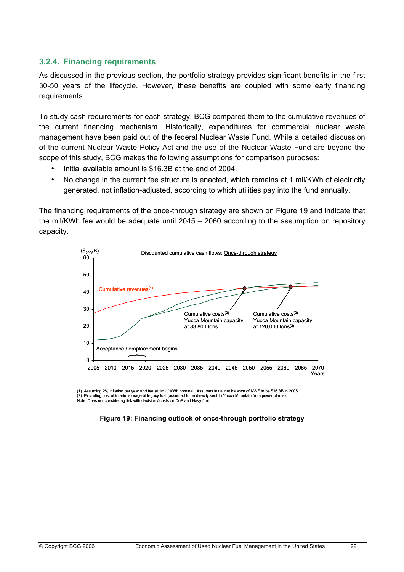### **3.2.4. Financing requirements**

As discussed in the previous section, the portfolio strategy provides significant benefits in the first 30-50 years of the lifecycle. However, these benefits are coupled with some early financing requirements.

To study cash requirements for each strategy, BCG compared them to the cumulative revenues of the current financing mechanism. Historically, expenditures for commercial nuclear waste management have been paid out of the federal Nuclear Waste Fund. While a detailed discussion of the current Nuclear Waste Policy Act and the use of the Nuclear Waste Fund are beyond the scope of this study, BCG makes the following assumptions for comparison purposes:

- Initial available amount is \$16.3B at the end of 2004.
- No change in the current fee structure is enacted, which remains at 1 mil/KWh of electricity generated, not inflation-adjusted, according to which utilities pay into the fund annually.

The financing requirements of the once-through strategy are shown on Figure 19 and indicate that the mil/KWh fee would be adequate until 2045 – 2060 according to the assumption on repository capacity.



(1) Assuming 2% inflation per year and fee at 1mil / KWh nominal. Assumes initial net balance of NWF to be \$16.3B in 2005. (2) <u>Excluding c</u>ost of interim storage of legacy fuel (assumed to be directly sent to Yucca Mountain from power plants).<br>Note: Does not considering link with decision / costs on DoE and Navy fuel.

#### **Figure 19: Financing outlook of once-through portfolio strategy**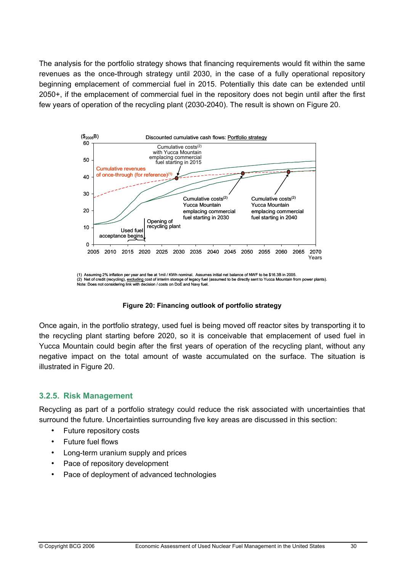The analysis for the portfolio strategy shows that financing requirements would fit within the same revenues as the once-through strategy until 2030, in the case of a fully operational repository beginning emplacement of commercial fuel in 2015. Potentially this date can be extended until 2050+, if the emplacement of commercial fuel in the repository does not begin until after the first few years of operation of the recycling plant (2030-2040). The result is shown on Figure 20.



<sup>(1)</sup> Assuming 2% inflation per year and fee at 1mil / KWh nominal. Assumes initial net balance of NWF to be \$16.3B in 2005. (2) Net of credit (recycling), <u>excluding c</u>ost of interim storage of legacy fuel (assumed to be directly sent to Yucca Mountain from power plants).<br>Note: Does not considering link with decision / costs on DoE and Navy fue

#### **Figure 20: Financing outlook of portfolio strategy**

Once again, in the portfolio strategy, used fuel is being moved off reactor sites by transporting it to the recycling plant starting before 2020, so it is conceivable that emplacement of used fuel in Yucca Mountain could begin after the first years of operation of the recycling plant, without any negative impact on the total amount of waste accumulated on the surface. The situation is illustrated in Figure 20.

#### **3.2.5. Risk Management**

Recycling as part of a portfolio strategy could reduce the risk associated with uncertainties that surround the future. Uncertainties surrounding five key areas are discussed in this section:

- Future repository costs
- Future fuel flows
- Long-term uranium supply and prices
- Pace of repository development
- Pace of deployment of advanced technologies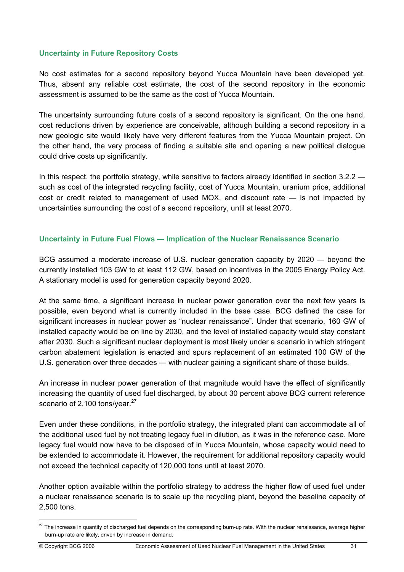#### **Uncertainty in Future Repository Costs**

No cost estimates for a second repository beyond Yucca Mountain have been developed yet. Thus, absent any reliable cost estimate, the cost of the second repository in the economic assessment is assumed to be the same as the cost of Yucca Mountain.

The uncertainty surrounding future costs of a second repository is significant. On the one hand, cost reductions driven by experience are conceivable, although building a second repository in a new geologic site would likely have very different features from the Yucca Mountain project. On the other hand, the very process of finding a suitable site and opening a new political dialogue could drive costs up significantly.

In this respect, the portfolio strategy, while sensitive to factors already identified in section 3.2.2 such as cost of the integrated recycling facility, cost of Yucca Mountain, uranium price, additional cost or credit related to management of used MOX, and discount rate ― is not impacted by uncertainties surrounding the cost of a second repository, until at least 2070.

#### **Uncertainty in Future Fuel Flows ― Implication of the Nuclear Renaissance Scenario**

BCG assumed a moderate increase of U.S. nuclear generation capacity by 2020 ― beyond the currently installed 103 GW to at least 112 GW, based on incentives in the 2005 Energy Policy Act. A stationary model is used for generation capacity beyond 2020.

At the same time, a significant increase in nuclear power generation over the next few years is possible, even beyond what is currently included in the base case. BCG defined the case for significant increases in nuclear power as "nuclear renaissance". Under that scenario, 160 GW of installed capacity would be on line by 2030, and the level of installed capacity would stay constant after 2030. Such a significant nuclear deployment is most likely under a scenario in which stringent carbon abatement legislation is enacted and spurs replacement of an estimated 100 GW of the U.S. generation over three decades — with nuclear gaining a significant share of those builds.

An increase in nuclear power generation of that magnitude would have the effect of significantly increasing the quantity of used fuel discharged, by about 30 percent above BCG current reference scenario of 2,100 tons/year.<sup>27</sup>

Even under these conditions, in the portfolio strategy, the integrated plant can accommodate all of the additional used fuel by not treating legacy fuel in dilution, as it was in the reference case. More legacy fuel would now have to be disposed of in Yucca Mountain, whose capacity would need to be extended to accommodate it. However, the requirement for additional repository capacity would not exceed the technical capacity of 120,000 tons until at least 2070.

Another option available within the portfolio strategy to address the higher flow of used fuel under a nuclear renaissance scenario is to scale up the recycling plant, beyond the baseline capacity of 2,500 tons.

<sup>&</sup>lt;sup>27</sup> The increase in quantity of discharged fuel depends on the corresponding burn-up rate. With the nuclear renaissance, average higher burn-up rate are likely, driven by increase in demand.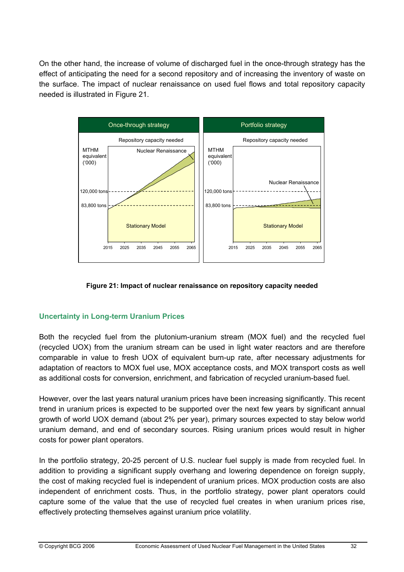On the other hand, the increase of volume of discharged fuel in the once-through strategy has the effect of anticipating the need for a second repository and of increasing the inventory of waste on the surface. The impact of nuclear renaissance on used fuel flows and total repository capacity needed is illustrated in Figure 21.





## **Uncertainty in Long-term Uranium Prices**

Both the recycled fuel from the plutonium-uranium stream (MOX fuel) and the recycled fuel (recycled UOX) from the uranium stream can be used in light water reactors and are therefore comparable in value to fresh UOX of equivalent burn-up rate, after necessary adjustments for adaptation of reactors to MOX fuel use, MOX acceptance costs, and MOX transport costs as well as additional costs for conversion, enrichment, and fabrication of recycled uranium-based fuel.

However, over the last years natural uranium prices have been increasing significantly. This recent trend in uranium prices is expected to be supported over the next few years by significant annual growth of world UOX demand (about 2% per year), primary sources expected to stay below world uranium demand, and end of secondary sources. Rising uranium prices would result in higher costs for power plant operators.

In the portfolio strategy, 20-25 percent of U.S. nuclear fuel supply is made from recycled fuel. In addition to providing a significant supply overhang and lowering dependence on foreign supply, the cost of making recycled fuel is independent of uranium prices. MOX production costs are also independent of enrichment costs. Thus, in the portfolio strategy, power plant operators could capture some of the value that the use of recycled fuel creates in when uranium prices rise, effectively protecting themselves against uranium price volatility.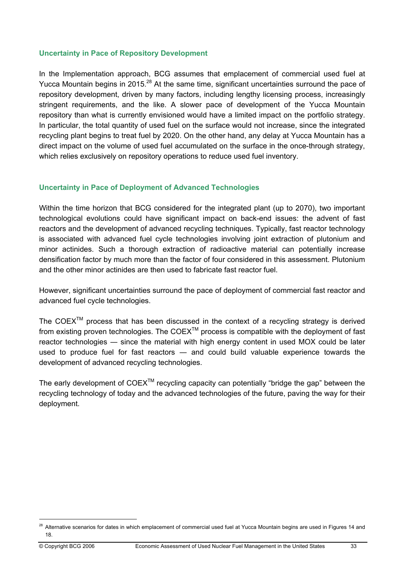#### **Uncertainty in Pace of Repository Development**

In the Implementation approach, BCG assumes that emplacement of commercial used fuel at Yucca Mountain begins in 2015.<sup>28</sup> At the same time, significant uncertainties surround the pace of repository development, driven by many factors, including lengthy licensing process, increasingly stringent requirements, and the like. A slower pace of development of the Yucca Mountain repository than what is currently envisioned would have a limited impact on the portfolio strategy. In particular, the total quantity of used fuel on the surface would not increase, since the integrated recycling plant begins to treat fuel by 2020. On the other hand, any delay at Yucca Mountain has a direct impact on the volume of used fuel accumulated on the surface in the once-through strategy, which relies exclusively on repository operations to reduce used fuel inventory.

#### **Uncertainty in Pace of Deployment of Advanced Technologies**

Within the time horizon that BCG considered for the integrated plant (up to 2070), two important technological evolutions could have significant impact on back-end issues: the advent of fast reactors and the development of advanced recycling techniques. Typically, fast reactor technology is associated with advanced fuel cycle technologies involving joint extraction of plutonium and minor actinides. Such a thorough extraction of radioactive material can potentially increase densification factor by much more than the factor of four considered in this assessment. Plutonium and the other minor actinides are then used to fabricate fast reactor fuel.

However, significant uncertainties surround the pace of deployment of commercial fast reactor and advanced fuel cycle technologies.

The COEX<sup>TM</sup> process that has been discussed in the context of a recycling strategy is derived from existing proven technologies. The COEX™ process is compatible with the deployment of fast reactor technologies — since the material with high energy content in used MOX could be later used to produce fuel for fast reactors ― and could build valuable experience towards the development of advanced recycling technologies.

The early development of  $COEX^{TM}$  recycling capacity can potentially "bridge the gap" between the recycling technology of today and the advanced technologies of the future, paving the way for their deployment.

<sup>&</sup>lt;sup>28</sup> Alternative scenarios for dates in which emplacement of commercial used fuel at Yucca Mountain begins are used in Figures 14 and 18.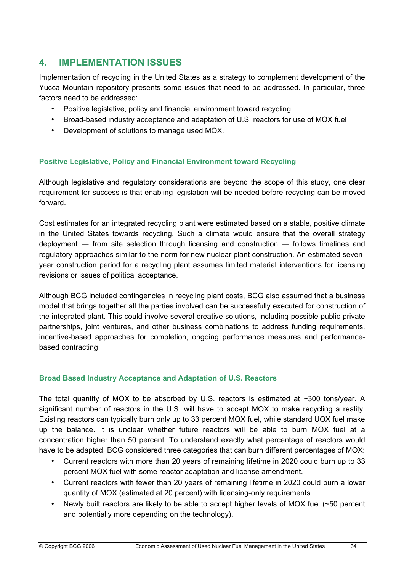# **4. IMPLEMENTATION ISSUES**

Implementation of recycling in the United States as a strategy to complement development of the Yucca Mountain repository presents some issues that need to be addressed. In particular, three factors need to be addressed:

- Positive legislative, policy and financial environment toward recycling.
- Broad-based industry acceptance and adaptation of U.S. reactors for use of MOX fuel
- Development of solutions to manage used MOX.

### **Positive Legislative, Policy and Financial Environment toward Recycling**

Although legislative and regulatory considerations are beyond the scope of this study, one clear requirement for success is that enabling legislation will be needed before recycling can be moved forward.

Cost estimates for an integrated recycling plant were estimated based on a stable, positive climate in the United States towards recycling. Such a climate would ensure that the overall strategy deployment ― from site selection through licensing and construction ― follows timelines and regulatory approaches similar to the norm for new nuclear plant construction. An estimated sevenyear construction period for a recycling plant assumes limited material interventions for licensing revisions or issues of political acceptance.

Although BCG included contingencies in recycling plant costs, BCG also assumed that a business model that brings together all the parties involved can be successfully executed for construction of the integrated plant. This could involve several creative solutions, including possible public-private partnerships, joint ventures, and other business combinations to address funding requirements, incentive-based approaches for completion, ongoing performance measures and performancebased contracting.

#### **Broad Based Industry Acceptance and Adaptation of U.S. Reactors**

The total quantity of MOX to be absorbed by U.S. reactors is estimated at ~300 tons/year. A significant number of reactors in the U.S. will have to accept MOX to make recycling a reality. Existing reactors can typically burn only up to 33 percent MOX fuel, while standard UOX fuel make up the balance. It is unclear whether future reactors will be able to burn MOX fuel at a concentration higher than 50 percent. To understand exactly what percentage of reactors would have to be adapted, BCG considered three categories that can burn different percentages of MOX:

- Current reactors with more than 20 years of remaining lifetime in 2020 could burn up to 33 percent MOX fuel with some reactor adaptation and license amendment.
- Current reactors with fewer than 20 years of remaining lifetime in 2020 could burn a lower quantity of MOX (estimated at 20 percent) with licensing-only requirements.
- Newly built reactors are likely to be able to accept higher levels of MOX fuel (~50 percent and potentially more depending on the technology).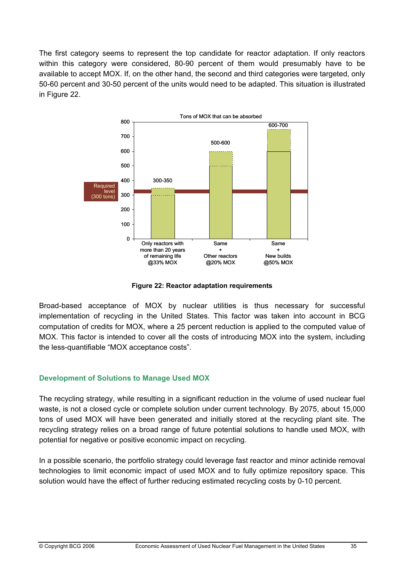The first category seems to represent the top candidate for reactor adaptation. If only reactors within this category were considered, 80-90 percent of them would presumably have to be available to accept MOX. If, on the other hand, the second and third categories were targeted, only 50-60 percent and 30-50 percent of the units would need to be adapted. This situation is illustrated in Figure 22.



**Figure 22: Reactor adaptation requirements** 

Broad-based acceptance of MOX by nuclear utilities is thus necessary for successful implementation of recycling in the United States. This factor was taken into account in BCG computation of credits for MOX, where a 25 percent reduction is applied to the computed value of MOX. This factor is intended to cover all the costs of introducing MOX into the system, including the less-quantifiable "MOX acceptance costs".

#### **Development of Solutions to Manage Used MOX**

The recycling strategy, while resulting in a significant reduction in the volume of used nuclear fuel waste, is not a closed cycle or complete solution under current technology. By 2075, about 15,000 tons of used MOX will have been generated and initially stored at the recycling plant site. The recycling strategy relies on a broad range of future potential solutions to handle used MOX, with potential for negative or positive economic impact on recycling.

In a possible scenario, the portfolio strategy could leverage fast reactor and minor actinide removal technologies to limit economic impact of used MOX and to fully optimize repository space. This solution would have the effect of further reducing estimated recycling costs by 0-10 percent.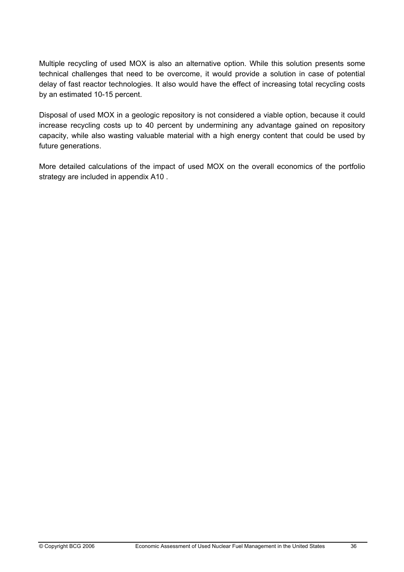Multiple recycling of used MOX is also an alternative option. While this solution presents some technical challenges that need to be overcome, it would provide a solution in case of potential delay of fast reactor technologies. It also would have the effect of increasing total recycling costs by an estimated 10-15 percent.

Disposal of used MOX in a geologic repository is not considered a viable option, because it could increase recycling costs up to 40 percent by undermining any advantage gained on repository capacity, while also wasting valuable material with a high energy content that could be used by future generations.

More detailed calculations of the impact of used MOX on the overall economics of the portfolio strategy are included in appendix A10 .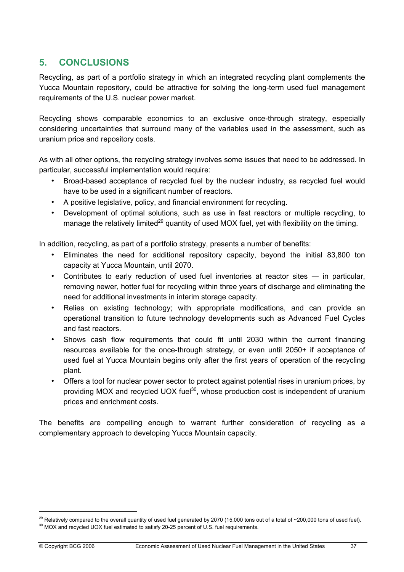# **5. CONCLUSIONS**

Recycling, as part of a portfolio strategy in which an integrated recycling plant complements the Yucca Mountain repository, could be attractive for solving the long-term used fuel management requirements of the U.S. nuclear power market.

Recycling shows comparable economics to an exclusive once-through strategy, especially considering uncertainties that surround many of the variables used in the assessment, such as uranium price and repository costs.

As with all other options, the recycling strategy involves some issues that need to be addressed. In particular, successful implementation would require:

- Broad-based acceptance of recycled fuel by the nuclear industry, as recycled fuel would have to be used in a significant number of reactors.
- A positive legislative, policy, and financial environment for recycling.
- Development of optimal solutions, such as use in fast reactors or multiple recycling, to manage the relatively limited<sup>29</sup> quantity of used MOX fuel, yet with flexibility on the timing.

In addition, recycling, as part of a portfolio strategy, presents a number of benefits:

- Eliminates the need for additional repository capacity, beyond the initial 83,800 ton capacity at Yucca Mountain, until 2070.
- Contributes to early reduction of used fuel inventories at reactor sites in particular, removing newer, hotter fuel for recycling within three years of discharge and eliminating the need for additional investments in interim storage capacity.
- Relies on existing technology; with appropriate modifications, and can provide an operational transition to future technology developments such as Advanced Fuel Cycles and fast reactors.
- Shows cash flow requirements that could fit until 2030 within the current financing resources available for the once-through strategy, or even until 2050+ if acceptance of used fuel at Yucca Mountain begins only after the first years of operation of the recycling plant.
- Offers a tool for nuclear power sector to protect against potential rises in uranium prices, by providing MOX and recycled UOX fuel<sup>30</sup>, whose production cost is independent of uranium prices and enrichment costs.

The benefits are compelling enough to warrant further consideration of recycling as a complementary approach to developing Yucca Mountain capacity.

<sup>&</sup>lt;sup>29</sup> Relatively compared to the overall quantity of used fuel generated by 2070 (15,000 tons out of a total of ~200,000 tons of used fuel).<br><sup>30</sup> MOX and recycled UOX fuel estimated to satisfy 20-25 percent of U.S. fuel re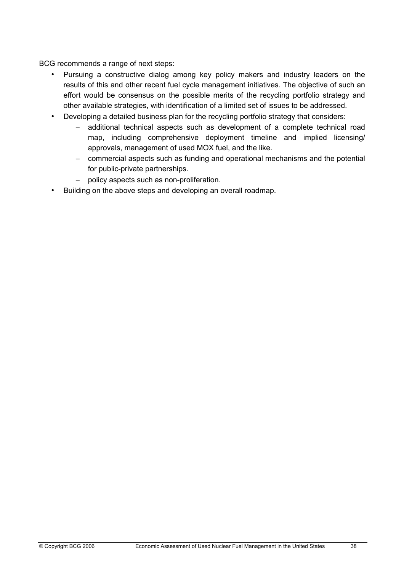BCG recommends a range of next steps:

- Pursuing a constructive dialog among key policy makers and industry leaders on the results of this and other recent fuel cycle management initiatives. The objective of such an effort would be consensus on the possible merits of the recycling portfolio strategy and other available strategies, with identification of a limited set of issues to be addressed.
- Developing a detailed business plan for the recycling portfolio strategy that considers:
	- − additional technical aspects such as development of a complete technical road map, including comprehensive deployment timeline and implied licensing/ approvals, management of used MOX fuel, and the like.
	- − commercial aspects such as funding and operational mechanisms and the potential for public-private partnerships.
	- − policy aspects such as non-proliferation.
- Building on the above steps and developing an overall roadmap.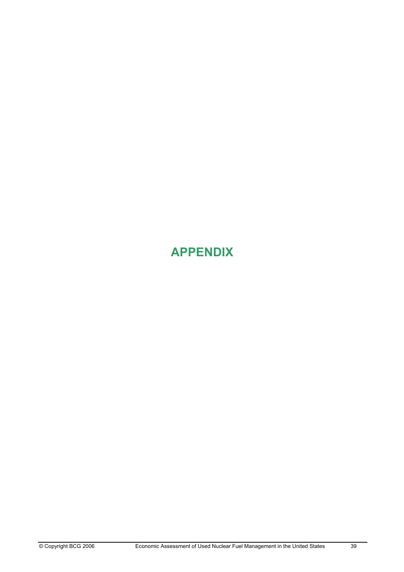# **APPENDIX**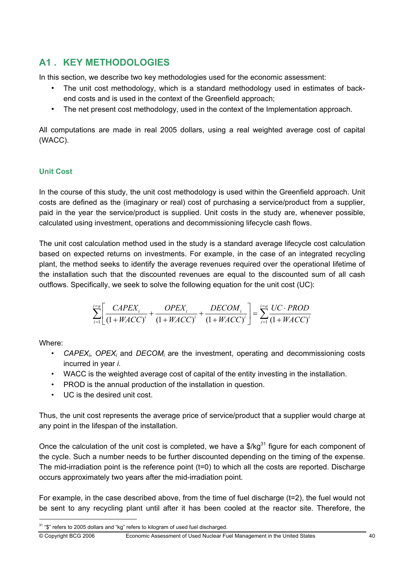# **A1 . KEY METHODOLOGIES**

In this section, we describe two key methodologies used for the economic assessment:

- The unit cost methodology, which is a standard methodology used in estimates of backend costs and is used in the context of the Greenfield approach;
- The net present cost methodology, used in the context of the Implementation approach.

All computations are made in real 2005 dollars, using a real weighted average cost of capital (WACC).

# **Unit Cost**

In the course of this study, the unit cost methodology is used within the Greenfield approach. Unit costs are defined as the (imaginary or real) cost of purchasing a service/product from a supplier, paid in the year the service/product is supplied. Unit costs in the study are, whenever possible, calculated using investment, operations and decommissioning lifecycle cash flows.

The unit cost calculation method used in the study is a standard average lifecycle cost calculation based on expected returns on investments. For example, in the case of an integrated recycling plant, the method seeks to identify the average revenues required over the operational lifetime of the installation such that the discounted revenues are equal to the discounted sum of all cash outflows. Specifically, we seek to solve the following equation for the unit cost (UC):

$$
\sum_{i=1}^{i=a} \left[ \frac{CAPEX_i}{\left(1 + WACC\right)^i} + \frac{OPEX_i}{\left(1 + WACC\right)^i} + \frac{DECOM_i}{\left(1 + WACC\right)^i} \right] = \sum_{i=1}^{i=a} \frac{UC \cdot PROD}{\left(1 + WACC\right)^i}
$$

Where:

- *CAPEXi*, *OPEXi* and *DECOMi* are the investment, operating and decommissioning costs incurred in year *i.*
- WACC is the weighted average cost of capital of the entity investing in the installation.
- PROD is the annual production of the installation in question.
- UC is the desired unit cost.

Thus, the unit cost represents the average price of service/product that a supplier would charge at any point in the lifespan of the installation.

Once the calculation of the unit cost is completed, we have a  $\frac{1}{3}$  figure for each component of the cycle. Such a number needs to be further discounted depending on the timing of the expense. The mid-irradiation point is the reference point (t=0) to which all the costs are reported. Discharge occurs approximately two years after the mid-irradiation point.

For example, in the case described above, from the time of fuel discharge (t=2), the fuel would not be sent to any recycling plant until after it has been cooled at the reactor site. Therefore, the

© Copyright BCG 2006 Economic Assessment of Used Nuclear Fuel Management in the United States 40

<sup>&</sup>lt;sup>31</sup> "\$" refers to 2005 dollars and "kg" refers to kilogram of used fuel discharged.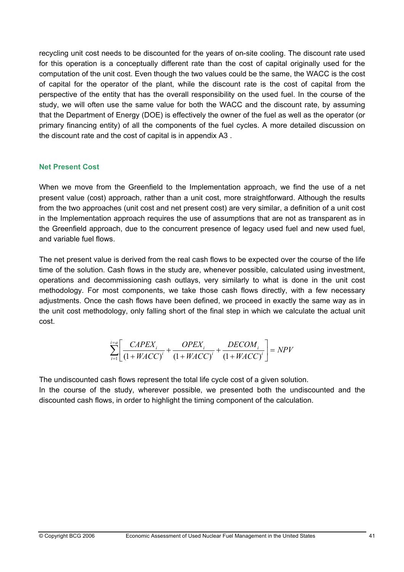recycling unit cost needs to be discounted for the years of on-site cooling. The discount rate used for this operation is a conceptually different rate than the cost of capital originally used for the computation of the unit cost. Even though the two values could be the same, the WACC is the cost of capital for the operator of the plant, while the discount rate is the cost of capital from the perspective of the entity that has the overall responsibility on the used fuel. In the course of the study, we will often use the same value for both the WACC and the discount rate, by assuming that the Department of Energy (DOE) is effectively the owner of the fuel as well as the operator (or primary financing entity) of all the components of the fuel cycles. A more detailed discussion on the discount rate and the cost of capital is in appendix A3 .

#### **Net Present Cost**

When we move from the Greenfield to the Implementation approach, we find the use of a net present value (cost) approach, rather than a unit cost, more straightforward. Although the results from the two approaches (unit cost and net present cost) are very similar, a definition of a unit cost in the Implementation approach requires the use of assumptions that are not as transparent as in the Greenfield approach, due to the concurrent presence of legacy used fuel and new used fuel, and variable fuel flows.

The net present value is derived from the real cash flows to be expected over the course of the life time of the solution. Cash flows in the study are, whenever possible, calculated using investment, operations and decommissioning cash outlays, very similarly to what is done in the unit cost methodology. For most components, we take those cash flows directly, with a few necessary adjustments. Once the cash flows have been defined, we proceed in exactly the same way as in the unit cost methodology, only falling short of the final step in which we calculate the actual unit cost.

$$
\sum_{i=1}^{i=a} \left[ \frac{CAPEX_i}{\left(1 + WACC\right)^i} + \frac{OPEX_i}{\left(1 + WACC\right)^i} + \frac{DECOM_i}{\left(1 + WACC\right)^i} \right] = NPV
$$

The undiscounted cash flows represent the total life cycle cost of a given solution.

In the course of the study, wherever possible, we presented both the undiscounted and the discounted cash flows, in order to highlight the timing component of the calculation.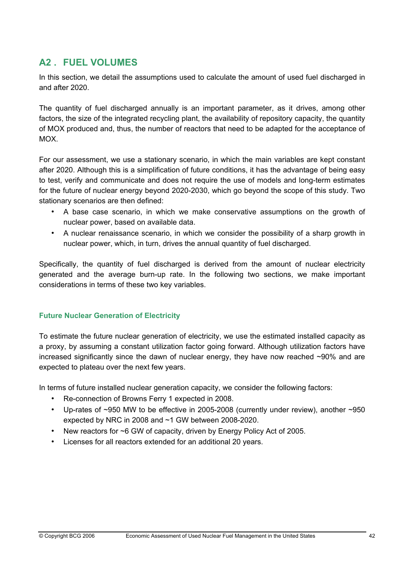# **A2 . FUEL VOLUMES**

In this section, we detail the assumptions used to calculate the amount of used fuel discharged in and after 2020.

The quantity of fuel discharged annually is an important parameter, as it drives, among other factors, the size of the integrated recycling plant, the availability of repository capacity, the quantity of MOX produced and, thus, the number of reactors that need to be adapted for the acceptance of MOX.

For our assessment, we use a stationary scenario, in which the main variables are kept constant after 2020. Although this is a simplification of future conditions, it has the advantage of being easy to test, verify and communicate and does not require the use of models and long-term estimates for the future of nuclear energy beyond 2020-2030, which go beyond the scope of this study. Two stationary scenarios are then defined:

- A base case scenario, in which we make conservative assumptions on the growth of nuclear power, based on available data.
- A nuclear renaissance scenario, in which we consider the possibility of a sharp growth in nuclear power, which, in turn, drives the annual quantity of fuel discharged.

Specifically, the quantity of fuel discharged is derived from the amount of nuclear electricity generated and the average burn-up rate. In the following two sections, we make important considerations in terms of these two key variables.

#### **Future Nuclear Generation of Electricity**

To estimate the future nuclear generation of electricity, we use the estimated installed capacity as a proxy, by assuming a constant utilization factor going forward. Although utilization factors have increased significantly since the dawn of nuclear energy, they have now reached ~90% and are expected to plateau over the next few years.

In terms of future installed nuclear generation capacity, we consider the following factors:

- Re-connection of Browns Ferry 1 expected in 2008.
- Up-rates of ~950 MW to be effective in 2005-2008 (currently under review), another ~950 expected by NRC in 2008 and ~1 GW between 2008-2020.
- New reactors for ~6 GW of capacity, driven by Energy Policy Act of 2005.
- Licenses for all reactors extended for an additional 20 years.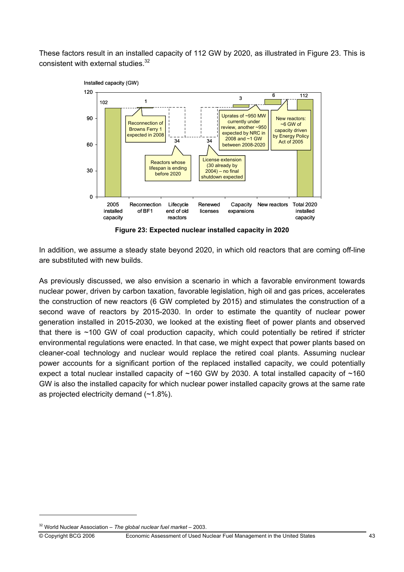These factors result in an installed capacity of 112 GW by 2020, as illustrated in Figure 23. This is consistent with external studies.<sup>32</sup>



**Figure 23: Expected nuclear installed capacity in 2020** 

In addition, we assume a steady state beyond 2020, in which old reactors that are coming off-line are substituted with new builds.

As previously discussed, we also envision a scenario in which a favorable environment towards nuclear power, driven by carbon taxation, favorable legislation, high oil and gas prices, accelerates the construction of new reactors (6 GW completed by 2015) and stimulates the construction of a second wave of reactors by 2015-2030. In order to estimate the quantity of nuclear power generation installed in 2015-2030, we looked at the existing fleet of power plants and observed that there is ~100 GW of coal production capacity, which could potentially be retired if stricter environmental regulations were enacted. In that case, we might expect that power plants based on cleaner-coal technology and nuclear would replace the retired coal plants. Assuming nuclear power accounts for a significant portion of the replaced installed capacity, we could potentially expect a total nuclear installed capacity of  $~160$  GW by 2030. A total installed capacity of  $~160$ GW is also the installed capacity for which nuclear power installed capacity grows at the same rate as projected electricity demand (~1.8%).

<sup>32</sup> World Nuclear Association – *The global nuclear fuel market* – 2003.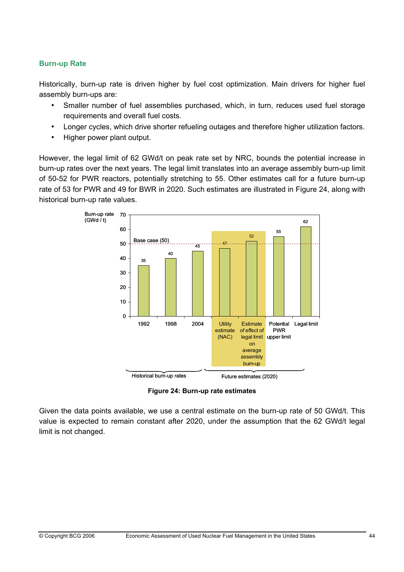#### **Burn-up Rate**

Historically, burn-up rate is driven higher by fuel cost optimization. Main drivers for higher fuel assembly burn-ups are:

- Smaller number of fuel assemblies purchased, which, in turn, reduces used fuel storage requirements and overall fuel costs.
- Longer cycles, which drive shorter refueling outages and therefore higher utilization factors.
- Higher power plant output.

However, the legal limit of 62 GWd/t on peak rate set by NRC, bounds the potential increase in burn-up rates over the next years. The legal limit translates into an average assembly burn-up limit of 50-52 for PWR reactors, potentially stretching to 55. Other estimates call for a future burn-up rate of 53 for PWR and 49 for BWR in 2020. Such estimates are illustrated in Figure 24, along with historical burn-up rate values.



**Figure 24: Burn-up rate estimates** 

Given the data points available, we use a central estimate on the burn-up rate of 50 GWd/t. This value is expected to remain constant after 2020, under the assumption that the 62 GWd/t legal limit is not changed.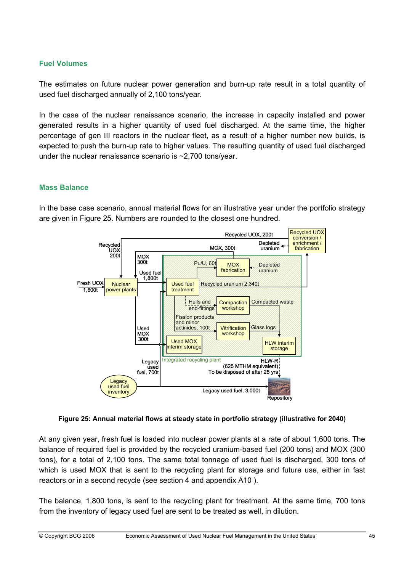#### **Fuel Volumes**

The estimates on future nuclear power generation and burn-up rate result in a total quantity of used fuel discharged annually of 2,100 tons/year.

In the case of the nuclear renaissance scenario, the increase in capacity installed and power generated results in a higher quantity of used fuel discharged. At the same time, the higher percentage of gen III reactors in the nuclear fleet, as a result of a higher number new builds, is expected to push the burn-up rate to higher values. The resulting quantity of used fuel discharged under the nuclear renaissance scenario is  $\sim$ 2,700 tons/year.

#### **Mass Balance**

In the base case scenario, annual material flows for an illustrative year under the portfolio strategy are given in Figure 25. Numbers are rounded to the closest one hundred.



**Figure 25: Annual material flows at steady state in portfolio strategy (illustrative for 2040)** 

At any given year, fresh fuel is loaded into nuclear power plants at a rate of about 1,600 tons. The balance of required fuel is provided by the recycled uranium-based fuel (200 tons) and MOX (300 tons), for a total of 2,100 tons. The same total tonnage of used fuel is discharged, 300 tons of which is used MOX that is sent to the recycling plant for storage and future use, either in fast reactors or in a second recycle (see section 4 and appendix A10 ).

The balance, 1,800 tons, is sent to the recycling plant for treatment. At the same time, 700 tons from the inventory of legacy used fuel are sent to be treated as well, in dilution.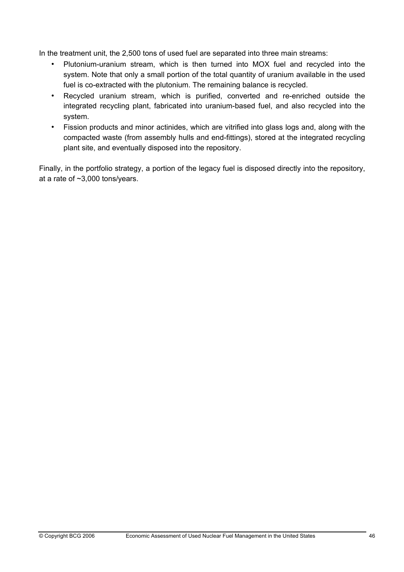In the treatment unit, the 2,500 tons of used fuel are separated into three main streams:

- Plutonium-uranium stream, which is then turned into MOX fuel and recycled into the system. Note that only a small portion of the total quantity of uranium available in the used fuel is co-extracted with the plutonium. The remaining balance is recycled.
- Recycled uranium stream, which is purified, converted and re-enriched outside the integrated recycling plant, fabricated into uranium-based fuel, and also recycled into the system.
- Fission products and minor actinides, which are vitrified into glass logs and, along with the compacted waste (from assembly hulls and end-fittings), stored at the integrated recycling plant site, and eventually disposed into the repository.

Finally, in the portfolio strategy, a portion of the legacy fuel is disposed directly into the repository, at a rate of ~3,000 tons/years.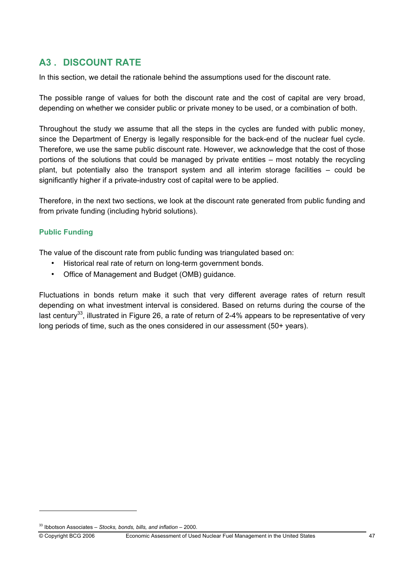# **A3 . DISCOUNT RATE**

In this section, we detail the rationale behind the assumptions used for the discount rate.

The possible range of values for both the discount rate and the cost of capital are very broad, depending on whether we consider public or private money to be used, or a combination of both.

Throughout the study we assume that all the steps in the cycles are funded with public money, since the Department of Energy is legally responsible for the back-end of the nuclear fuel cycle. Therefore, we use the same public discount rate. However, we acknowledge that the cost of those portions of the solutions that could be managed by private entities – most notably the recycling plant, but potentially also the transport system and all interim storage facilities – could be significantly higher if a private-industry cost of capital were to be applied.

Therefore, in the next two sections, we look at the discount rate generated from public funding and from private funding (including hybrid solutions).

#### **Public Funding**

The value of the discount rate from public funding was triangulated based on:

- Historical real rate of return on long-term government bonds.
- Office of Management and Budget (OMB) guidance.

Fluctuations in bonds return make it such that very different average rates of return result depending on what investment interval is considered. Based on returns during the course of the last century<sup>33</sup>, illustrated in Figure 26, a rate of return of 2-4% appears to be representative of very long periods of time, such as the ones considered in our assessment (50+ years).

<sup>33</sup> Ibbotson Associates – *Stocks, bonds, bills, and inflation* – 2000.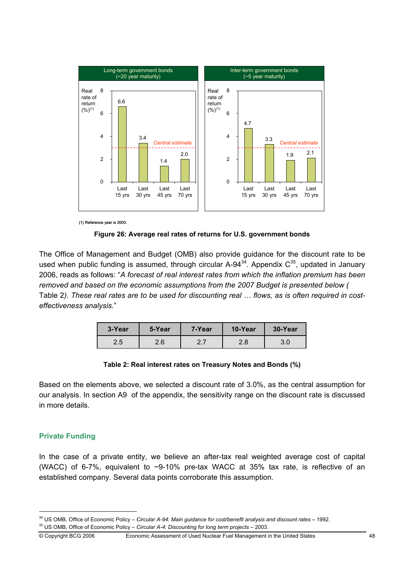

(1) Reference year is 2000.

**Figure 26: Average real rates of returns for U.S. government bonds** 

The Office of Management and Budget (OMB) also provide guidance for the discount rate to be used when public funding is assumed, through circular  $A-94^{34}$ . Appendix  $C^{35}$ , updated in January 2006, reads as follows: "*A forecast of real interest rates from which the inflation premium has been removed and based on the economic assumptions from the 2007 Budget is presented below (* Table 2*). These real rates are to be used for discounting real … flows, as is often required in costeffectiveness analysis.*"

| 3-Year | 5-Year | 7-Year | 10-Year | 30-Year |
|--------|--------|--------|---------|---------|
| 2.5    | 2.6    | ר ר    | 2.8     | 3.0     |

#### **Table 2: Real interest rates on Treasury Notes and Bonds (%)**

Based on the elements above, we selected a discount rate of 3.0%, as the central assumption for our analysis. In section A9 of the appendix, the sensitivity range on the discount rate is discussed in more details.

#### **Private Funding**

In the case of a private entity, we believe an after-tax real weighted average cost of capital (WACC) of 6-7%, equivalent to  $\sim$ 9-10% pre-tax WACC at 35% tax rate, is reflective of an established company. Several data points corroborate this assumption.

<sup>&</sup>lt;sup>34</sup> US OMB, Office of Economic Policy – Circular A-94: Main guidance for cost/benefit analysis and discount rates – 1992.<br><sup>35</sup> US OMB, Office of Economic Policy – Circular A-4: Discounting for long term projects – 2003.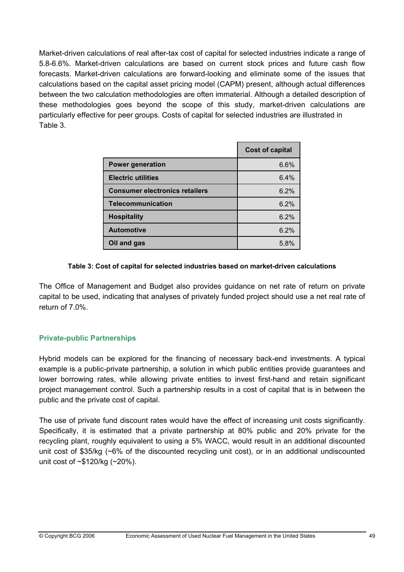Market-driven calculations of real after-tax cost of capital for selected industries indicate a range of 5.8-6.6%. Market-driven calculations are based on current stock prices and future cash flow forecasts. Market-driven calculations are forward-looking and eliminate some of the issues that calculations based on the capital asset pricing model (CAPM) present, although actual differences between the two calculation methodologies are often immaterial. Although a detailed description of these methodologies goes beyond the scope of this study, market-driven calculations are particularly effective for peer groups. Costs of capital for selected industries are illustrated in Table 3.

|                                       | <b>Cost of capital</b> |
|---------------------------------------|------------------------|
| <b>Power generation</b>               | 6.6%                   |
| <b>Electric utilities</b>             | 6.4%                   |
| <b>Consumer electronics retailers</b> | 6.2%                   |
| <b>Telecommunication</b>              | 6.2%                   |
| <b>Hospitality</b>                    | 6.2%                   |
| <b>Automotive</b>                     | 6.2%                   |
| Oil and gas                           | 5.8%                   |

#### **Table 3: Cost of capital for selected industries based on market-driven calculations**

The Office of Management and Budget also provides guidance on net rate of return on private capital to be used, indicating that analyses of privately funded project should use a net real rate of return of 7.0%.

#### **Private-public Partnerships**

Hybrid models can be explored for the financing of necessary back-end investments. A typical example is a public-private partnership, a solution in which public entities provide guarantees and lower borrowing rates, while allowing private entities to invest first-hand and retain significant project management control. Such a partnership results in a cost of capital that is in between the public and the private cost of capital.

The use of private fund discount rates would have the effect of increasing unit costs significantly. Specifically, it is estimated that a private partnership at 80% public and 20% private for the recycling plant, roughly equivalent to using a 5% WACC, would result in an additional discounted unit cost of \$35/kg (~6% of the discounted recycling unit cost), or in an additional undiscounted unit cost of ~\$120/kg (~20%).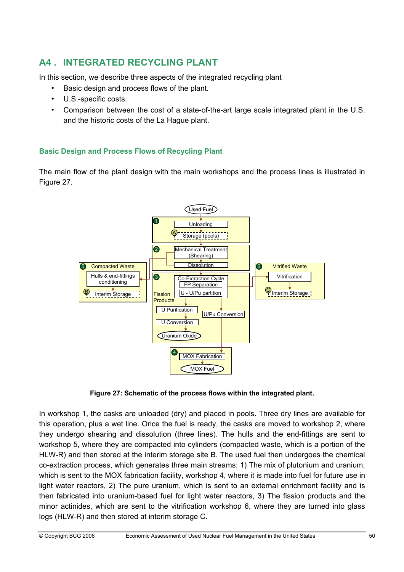# **A4 . INTEGRATED RECYCLING PLANT**

In this section, we describe three aspects of the integrated recycling plant

- Basic design and process flows of the plant.
- U.S.-specific costs.
- Comparison between the cost of a state-of-the-art large scale integrated plant in the U.S. and the historic costs of the La Hague plant.

### **Basic Design and Process Flows of Recycling Plant**

The main flow of the plant design with the main workshops and the process lines is illustrated in Figure 27.



**Figure 27: Schematic of the process flows within the integrated plant.**

In workshop 1, the casks are unloaded (dry) and placed in pools. Three dry lines are available for this operation, plus a wet line. Once the fuel is ready, the casks are moved to workshop 2, where they undergo shearing and dissolution (three lines). The hulls and the end-fittings are sent to workshop 5, where they are compacted into cylinders (compacted waste, which is a portion of the HLW-R) and then stored at the interim storage site B. The used fuel then undergoes the chemical co-extraction process, which generates three main streams: 1) The mix of plutonium and uranium, which is sent to the MOX fabrication facility, workshop 4, where it is made into fuel for future use in light water reactors, 2) The pure uranium, which is sent to an external enrichment facility and is then fabricated into uranium-based fuel for light water reactors, 3) The fission products and the minor actinides, which are sent to the vitrification workshop 6, where they are turned into glass logs (HLW-R) and then stored at interim storage C.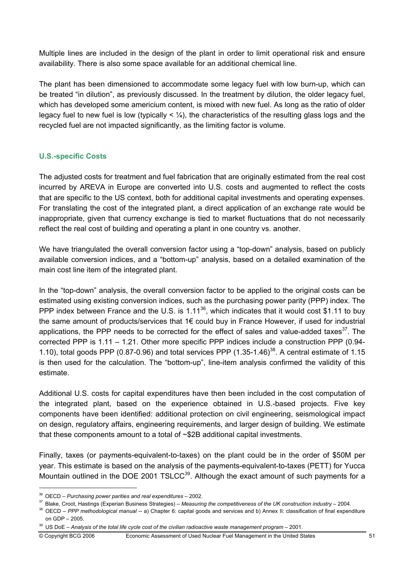Multiple lines are included in the design of the plant in order to limit operational risk and ensure availability. There is also some space available for an additional chemical line.

The plant has been dimensioned to accommodate some legacy fuel with low burn-up, which can be treated "in dilution", as previously discussed. In the treatment by dilution, the older legacy fuel, which has developed some americium content, is mixed with new fuel. As long as the ratio of older legacy fuel to new fuel is low (typically  $\lt \frac{1}{4}$ ), the characteristics of the resulting glass logs and the recycled fuel are not impacted significantly, as the limiting factor is volume.

### **U.S.-specific Costs**

The adjusted costs for treatment and fuel fabrication that are originally estimated from the real cost incurred by AREVA in Europe are converted into U.S. costs and augmented to reflect the costs that are specific to the US context, both for additional capital investments and operating expenses. For translating the cost of the integrated plant, a direct application of an exchange rate would be inappropriate, given that currency exchange is tied to market fluctuations that do not necessarily reflect the real cost of building and operating a plant in one country vs. another.

We have triangulated the overall conversion factor using a "top-down" analysis, based on publicly available conversion indices, and a "bottom-up" analysis, based on a detailed examination of the main cost line item of the integrated plant.

In the "top-down" analysis, the overall conversion factor to be applied to the original costs can be estimated using existing conversion indices, such as the purchasing power parity (PPP) index. The PPP index between France and the U.S. is 1.11<sup>36</sup>, which indicates that it would cost \$1.11 to buy the same amount of products/services that 1€ could buy in France However, if used for industrial applications, the PPP needs to be corrected for the effect of sales and value-added taxes $37$ . The corrected PPP is 1.11 – 1.21. Other more specific PPP indices include a construction PPP (0.94- 1.10), total goods PPP (0.87-0.96) and total services PPP  $(1.35-1.46)^{38}$ . A central estimate of 1.15 is then used for the calculation. The "bottom-up", line-item analysis confirmed the validity of this estimate.

Additional U.S. costs for capital expenditures have then been included in the cost computation of the integrated plant, based on the experience obtained in U.S.-based projects. Five key components have been identified: additional protection on civil engineering, seismological impact on design, regulatory affairs, engineering requirements, and larger design of building. We estimate that these components amount to a total of ~\$2B additional capital investments.

Finally, taxes (or payments-equivalent-to-taxes) on the plant could be in the order of \$50M per year. This estimate is based on the analysis of the payments-equivalent-to-taxes (PETT) for Yucca Mountain outlined in the DOE 2001 TSLCC $39$ . Although the exact amount of such payments for a

<sup>&</sup>lt;sup>36</sup> OECD – Purchasing power parities and real expenditures – 2002.<br><sup>37</sup> Blake, Croot, Hastings (Experian Business Strategies) – Measuring the competitiveness of the UK construction industry – 2004.<br><sup>38</sup> OECD – PPP method

on GDP – 2005.

<sup>39</sup> US DoE – *Analysis of the total life cycle cost of the civilian radioactive waste management program* – 2001.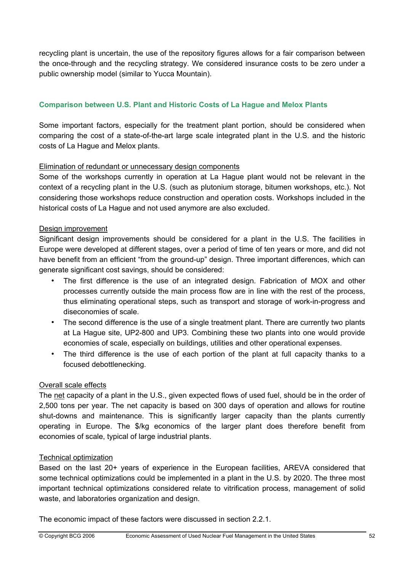recycling plant is uncertain, the use of the repository figures allows for a fair comparison between the once-through and the recycling strategy. We considered insurance costs to be zero under a public ownership model (similar to Yucca Mountain).

### **Comparison between U.S. Plant and Historic Costs of La Hague and Melox Plants**

Some important factors, especially for the treatment plant portion, should be considered when comparing the cost of a state-of-the-art large scale integrated plant in the U.S. and the historic costs of La Hague and Melox plants.

#### Elimination of redundant or unnecessary design components

Some of the workshops currently in operation at La Hague plant would not be relevant in the context of a recycling plant in the U.S. (such as plutonium storage, bitumen workshops, etc.). Not considering those workshops reduce construction and operation costs. Workshops included in the historical costs of La Hague and not used anymore are also excluded.

#### Design improvement

Significant design improvements should be considered for a plant in the U.S. The facilities in Europe were developed at different stages, over a period of time of ten years or more, and did not have benefit from an efficient "from the ground-up" design. Three important differences, which can generate significant cost savings, should be considered:

- The first difference is the use of an integrated design. Fabrication of MOX and other processes currently outside the main process flow are in line with the rest of the process, thus eliminating operational steps, such as transport and storage of work-in-progress and diseconomies of scale.
- The second difference is the use of a single treatment plant. There are currently two plants at La Hague site, UP2-800 and UP3. Combining these two plants into one would provide economies of scale, especially on buildings, utilities and other operational expenses.
- The third difference is the use of each portion of the plant at full capacity thanks to a focused debottlenecking.

#### Overall scale effects

The net capacity of a plant in the U.S., given expected flows of used fuel, should be in the order of 2,500 tons per year. The net capacity is based on 300 days of operation and allows for routine shut-downs and maintenance. This is significantly larger capacity than the plants currently operating in Europe. The \$/kg economics of the larger plant does therefore benefit from economies of scale, typical of large industrial plants.

#### Technical optimization

Based on the last 20+ years of experience in the European facilities, AREVA considered that some technical optimizations could be implemented in a plant in the U.S. by 2020. The three most important technical optimizations considered relate to vitrification process, management of solid waste, and laboratories organization and design.

The economic impact of these factors were discussed in section 2.2.1.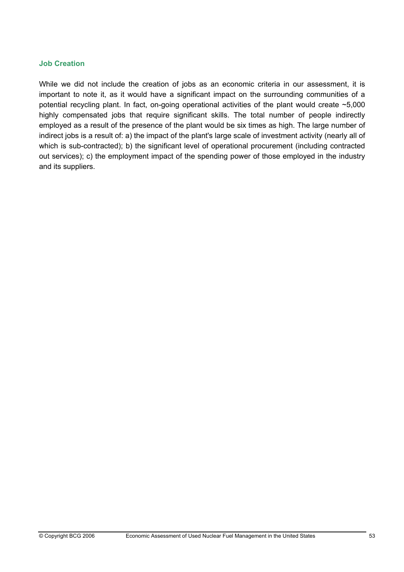#### **Job Creation**

While we did not include the creation of jobs as an economic criteria in our assessment, it is important to note it, as it would have a significant impact on the surrounding communities of a potential recycling plant. In fact, on-going operational activities of the plant would create ~5,000 highly compensated jobs that require significant skills. The total number of people indirectly employed as a result of the presence of the plant would be six times as high. The large number of indirect jobs is a result of: a) the impact of the plant's large scale of investment activity (nearly all of which is sub-contracted); b) the significant level of operational procurement (including contracted out services); c) the employment impact of the spending power of those employed in the industry and its suppliers.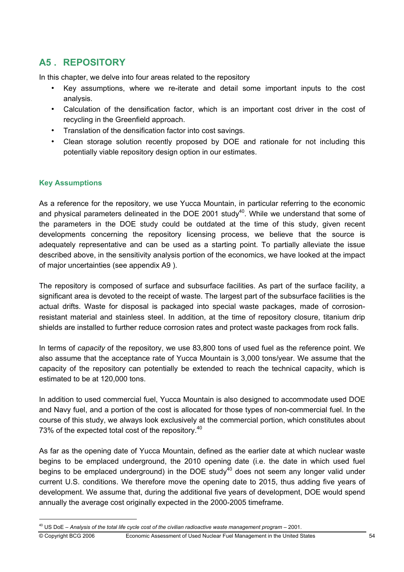# **A5 . REPOSITORY**

In this chapter, we delve into four areas related to the repository

- Key assumptions, where we re-iterate and detail some important inputs to the cost analysis.
- Calculation of the densification factor, which is an important cost driver in the cost of recycling in the Greenfield approach.
- Translation of the densification factor into cost savings.
- Clean storage solution recently proposed by DOE and rationale for not including this potentially viable repository design option in our estimates.

#### **Key Assumptions**

As a reference for the repository, we use Yucca Mountain, in particular referring to the economic and physical parameters delineated in the DOE 2001 study<sup>40</sup>. While we understand that some of the parameters in the DOE study could be outdated at the time of this study, given recent developments concerning the repository licensing process, we believe that the source is adequately representative and can be used as a starting point. To partially alleviate the issue described above, in the sensitivity analysis portion of the economics, we have looked at the impact of major uncertainties (see appendix A9 ).

The repository is composed of surface and subsurface facilities. As part of the surface facility, a significant area is devoted to the receipt of waste. The largest part of the subsurface facilities is the actual drifts. Waste for disposal is packaged into special waste packages, made of corrosionresistant material and stainless steel. In addition, at the time of repository closure, titanium drip shields are installed to further reduce corrosion rates and protect waste packages from rock falls.

In terms of *capacity* of the repository, we use 83,800 tons of used fuel as the reference point. We also assume that the acceptance rate of Yucca Mountain is 3,000 tons/year. We assume that the capacity of the repository can potentially be extended to reach the technical capacity, which is estimated to be at 120,000 tons.

In addition to used commercial fuel, Yucca Mountain is also designed to accommodate used DOE and Navy fuel, and a portion of the cost is allocated for those types of non-commercial fuel. In the course of this study, we always look exclusively at the commercial portion, which constitutes about 73% of the expected total cost of the repository.<sup>40</sup>

As far as the opening date of Yucca Mountain, defined as the earlier date at which nuclear waste begins to be emplaced underground, the 2010 opening date (i.e. the date in which used fuel begins to be emplaced underground) in the DOE study<sup>40</sup> does not seem any longer valid under current U.S. conditions. We therefore move the opening date to 2015, thus adding five years of development. We assume that, during the additional five years of development, DOE would spend annually the average cost originally expected in the 2000-2005 timeframe.

<sup>40</sup> US DoE – *Analysis of the total life cycle cost of the civilian radioactive waste management program* – 2001.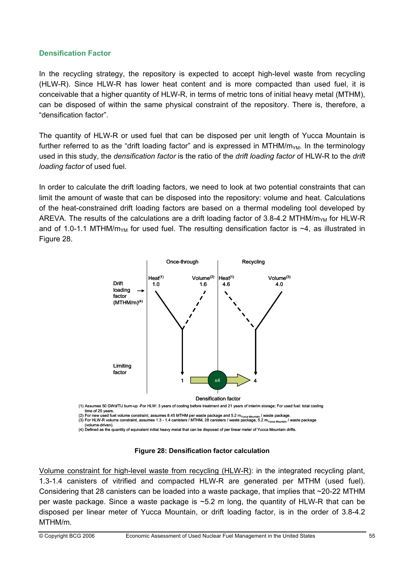#### **Densification Factor**

In the recycling strategy, the repository is expected to accept high-level waste from recycling (HLW-R). Since HLW-R has lower heat content and is more compacted than used fuel, it is conceivable that a higher quantity of HLW-R, in terms of metric tons of initial heavy metal (MTHM), can be disposed of within the same physical constraint of the repository. There is, therefore, a "densification factor".

The quantity of HLW-R or used fuel that can be disposed per unit length of Yucca Mountain is further referred to as the "drift loading factor" and is expressed in MTHM/ $m_{YM}$ . In the terminology used in this study, the *densification factor* is the ratio of the *drift loading factor* of HLW-R to the *drift loading factor* of used fuel.

In order to calculate the drift loading factors, we need to look at two potential constraints that can limit the amount of waste that can be disposed into the repository: volume and heat. Calculations of the heat-constrained drift loading factors are based on a thermal modeling tool developed by AREVA. The results of the calculations are a drift loading factor of 3.8-4.2 MTHM/ $m_{YM}$  for HLW-R and of 1.0-1.1 MTHM/m<sub>YM</sub> for used fuel. The resulting densification factor is  $\sim$ 4, as illustrated in Figure 28.



(1) Assumes 50 GWd/TU burn-up -For HLW: 3 years of cooling before treatment and 21 years of interim storage; For used fuel: total cooling time of 25 years.<br>(2) For new used fuel volume constraint, assumes 8.45 MTHM per waste package and 5.2 m<sub>Yucca Mountain</sub> / waste package.<br>(3) For HLW-R volume constraint, assumes 1.3 - 1.4 canisters / MTHM, 28 canisters /

(volume-driven). (4) Defined as the quantity of equivalent initial heavy metal that can be disposed of per linear meter of Yucca Mountain drifts.

**Figure 28: Densification factor calculation** 

Volume constraint for high-level waste from recycling (HLW-R): in the integrated recycling plant, 1.3-1.4 canisters of vitrified and compacted HLW-R are generated per MTHM (used fuel). Considering that 28 canisters can be loaded into a waste package, that implies that ~20-22 MTHM per waste package. Since a waste package is ~5.2 m long, the quantity of HLW-R that can be disposed per linear meter of Yucca Mountain, or drift loading factor, is in the order of 3.8-4.2 MTHM/m.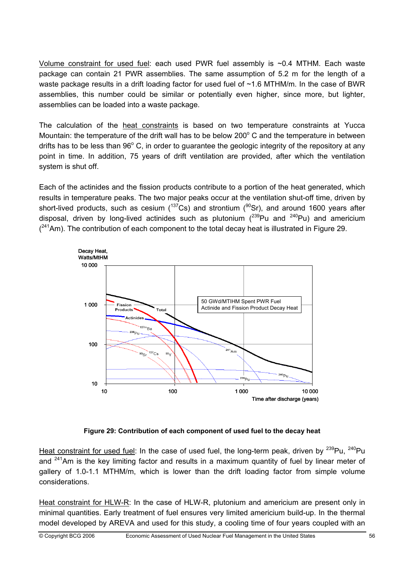Volume constraint for used fuel: each used PWR fuel assembly is ~0.4 MTHM. Each waste package can contain 21 PWR assemblies. The same assumption of 5.2 m for the length of a waste package results in a drift loading factor for used fuel of ~1.6 MTHM/m. In the case of BWR assemblies, this number could be similar or potentially even higher, since more, but lighter, assemblies can be loaded into a waste package.

The calculation of the heat constraints is based on two temperature constraints at Yucca Mountain: the temperature of the drift wall has to be below  $200^{\circ}$  C and the temperature in between drifts has to be less than  $96^{\circ}$  C, in order to guarantee the geologic integrity of the repository at any point in time. In addition, 75 years of drift ventilation are provided, after which the ventilation system is shut off.

Each of the actinides and the fission products contribute to a portion of the heat generated, which results in temperature peaks. The two major peaks occur at the ventilation shut-off time, driven by short-lived products, such as cesium ( $137Cs$ ) and strontium ( $90Sr$ ), and around 1600 years after disposal, driven by long-lived actinides such as plutonium  $(^{239}$ Pu and  $^{240}$ Pu) and americium  $(241)$ Am). The contribution of each component to the total decay heat is illustrated in Figure 29.



**Figure 29: Contribution of each component of used fuel to the decay heat** 

Heat constraint for used fuel: In the case of used fuel, the long-term peak, driven by  $^{239}$ Pu,  $^{240}$ Pu and  $241$ Am is the key limiting factor and results in a maximum quantity of fuel by linear meter of gallery of 1.0-1.1 MTHM/m, which is lower than the drift loading factor from simple volume considerations.

Heat constraint for HLW-R: In the case of HLW-R, plutonium and americium are present only in minimal quantities. Early treatment of fuel ensures very limited americium build-up. In the thermal model developed by AREVA and used for this study, a cooling time of four years coupled with an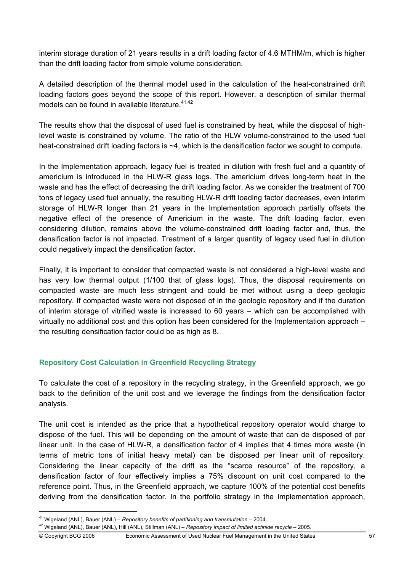interim storage duration of 21 years results in a drift loading factor of 4.6 MTHM/m, which is higher than the drift loading factor from simple volume consideration.

A detailed description of the thermal model used in the calculation of the heat-constrained drift loading factors goes beyond the scope of this report. However, a description of similar thermal models can be found in available literature.<sup>41,42</sup>

The results show that the disposal of used fuel is constrained by heat, while the disposal of highlevel waste is constrained by volume. The ratio of the HLW volume-constrained to the used fuel heat-constrained drift loading factors is ~4, which is the densification factor we sought to compute.

In the Implementation approach, legacy fuel is treated in dilution with fresh fuel and a quantity of americium is introduced in the HLW-R glass logs. The americium drives long-term heat in the waste and has the effect of decreasing the drift loading factor. As we consider the treatment of 700 tons of legacy used fuel annually, the resulting HLW-R drift loading factor decreases, even interim storage of HLW-R longer than 21 years in the Implementation approach partially offsets the negative effect of the presence of Americium in the waste. The drift loading factor, even considering dilution, remains above the volume-constrained drift loading factor and, thus, the densification factor is not impacted. Treatment of a larger quantity of legacy used fuel in dilution could negatively impact the densification factor.

Finally, it is important to consider that compacted waste is not considered a high-level waste and has very low thermal output (1/100 that of glass logs). Thus, the disposal requirements on compacted waste are much less stringent and could be met without using a deep geologic repository. If compacted waste were not disposed of in the geologic repository and if the duration of interim storage of vitrified waste is increased to 60 years – which can be accomplished with virtually no additional cost and this option has been considered for the Implementation approach – the resulting densification factor could be as high as 8.

## **Repository Cost Calculation in Greenfield Recycling Strategy**

To calculate the cost of a repository in the recycling strategy, in the Greenfield approach, we go back to the definition of the unit cost and we leverage the findings from the densification factor analysis.

The unit cost is intended as the price that a hypothetical repository operator would charge to dispose of the fuel. This will be depending on the amount of waste that can de disposed of per linear unit. In the case of HLW-R, a densification factor of 4 implies that 4 times more waste (in terms of metric tons of initial heavy metal) can be disposed per linear unit of repository. Considering the linear capacity of the drift as the "scarce resource" of the repository, a densification factor of four effectively implies a 75% discount on unit cost compared to the reference point. Thus, in the Greenfield approach, we capture 100% of the potential cost benefits deriving from the densification factor. In the portfolio strategy in the Implementation approach,

<sup>&</sup>lt;sup>41</sup> Wigeland (ANL), Bauer (ANL) – *Repository benefits of partitioning and transmutation* – 2004.<br><sup>42</sup> Wigeland (ANL), Bauer (ANL), Hill (ANL), Stillman (ANL) – *Repository impact of limited actinide recycle* – 2005.

<sup>©</sup> Copyright BCG 2006 Economic Assessment of Used Nuclear Fuel Management in the United States 57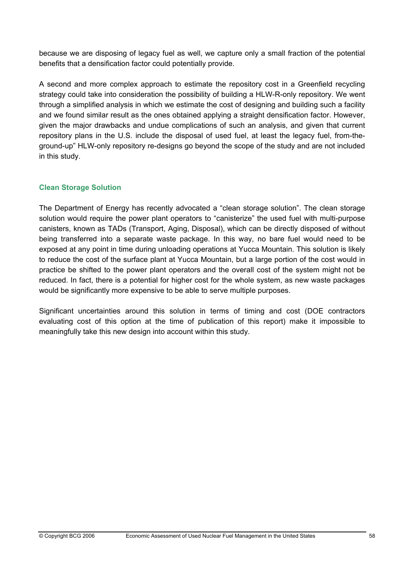because we are disposing of legacy fuel as well, we capture only a small fraction of the potential benefits that a densification factor could potentially provide.

A second and more complex approach to estimate the repository cost in a Greenfield recycling strategy could take into consideration the possibility of building a HLW-R-only repository. We went through a simplified analysis in which we estimate the cost of designing and building such a facility and we found similar result as the ones obtained applying a straight densification factor. However, given the major drawbacks and undue complications of such an analysis, and given that current repository plans in the U.S. include the disposal of used fuel, at least the legacy fuel, from-theground-up" HLW-only repository re-designs go beyond the scope of the study and are not included in this study.

### **Clean Storage Solution**

The Department of Energy has recently advocated a "clean storage solution". The clean storage solution would require the power plant operators to "canisterize" the used fuel with multi-purpose canisters, known as TADs (Transport, Aging, Disposal), which can be directly disposed of without being transferred into a separate waste package. In this way, no bare fuel would need to be exposed at any point in time during unloading operations at Yucca Mountain. This solution is likely to reduce the cost of the surface plant at Yucca Mountain, but a large portion of the cost would in practice be shifted to the power plant operators and the overall cost of the system might not be reduced. In fact, there is a potential for higher cost for the whole system, as new waste packages would be significantly more expensive to be able to serve multiple purposes.

Significant uncertainties around this solution in terms of timing and cost (DOE contractors evaluating cost of this option at the time of publication of this report) make it impossible to meaningfully take this new design into account within this study.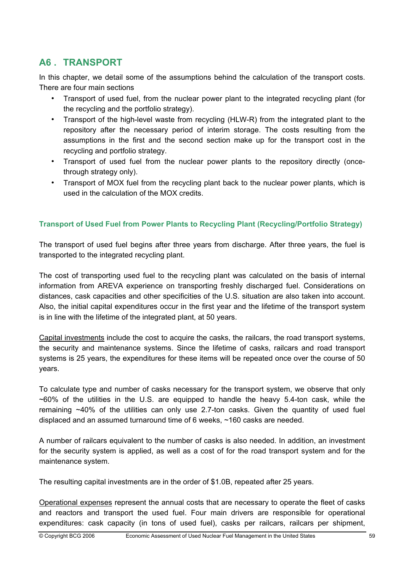# **A6 . TRANSPORT**

In this chapter, we detail some of the assumptions behind the calculation of the transport costs. There are four main sections

- Transport of used fuel, from the nuclear power plant to the integrated recycling plant (for the recycling and the portfolio strategy).
- Transport of the high-level waste from recycling (HLW-R) from the integrated plant to the repository after the necessary period of interim storage. The costs resulting from the assumptions in the first and the second section make up for the transport cost in the recycling and portfolio strategy.
- Transport of used fuel from the nuclear power plants to the repository directly (oncethrough strategy only).
- Transport of MOX fuel from the recycling plant back to the nuclear power plants, which is used in the calculation of the MOX credits.

#### **Transport of Used Fuel from Power Plants to Recycling Plant (Recycling/Portfolio Strategy)**

The transport of used fuel begins after three years from discharge. After three years, the fuel is transported to the integrated recycling plant.

The cost of transporting used fuel to the recycling plant was calculated on the basis of internal information from AREVA experience on transporting freshly discharged fuel. Considerations on distances, cask capacities and other specificities of the U.S. situation are also taken into account. Also, the initial capital expenditures occur in the first year and the lifetime of the transport system is in line with the lifetime of the integrated plant, at 50 years.

Capital investments include the cost to acquire the casks, the railcars, the road transport systems, the security and maintenance systems. Since the lifetime of casks, railcars and road transport systems is 25 years, the expenditures for these items will be repeated once over the course of 50 years.

To calculate type and number of casks necessary for the transport system, we observe that only  $\sim$ 60% of the utilities in the U.S. are equipped to handle the heavy 5.4-ton cask, while the remaining  $\sim$ 40% of the utilities can only use 2.7-ton casks. Given the quantity of used fuel displaced and an assumed turnaround time of 6 weeks, ~160 casks are needed.

A number of railcars equivalent to the number of casks is also needed. In addition, an investment for the security system is applied, as well as a cost of for the road transport system and for the maintenance system.

The resulting capital investments are in the order of \$1.0B, repeated after 25 years.

Operational expenses represent the annual costs that are necessary to operate the fleet of casks and reactors and transport the used fuel. Four main drivers are responsible for operational expenditures: cask capacity (in tons of used fuel), casks per railcars, railcars per shipment,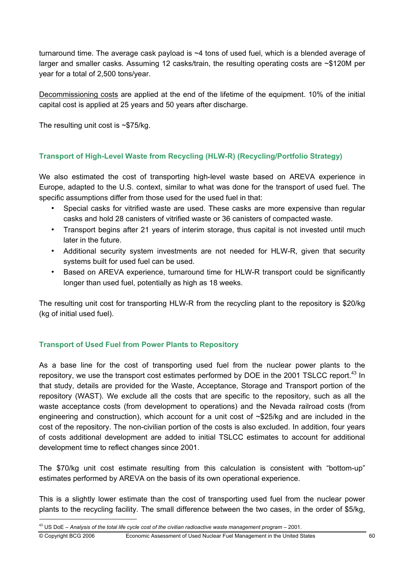turnaround time. The average cask payload is ~4 tons of used fuel, which is a blended average of larger and smaller casks. Assuming 12 casks/train, the resulting operating costs are ~\$120M per year for a total of 2,500 tons/year.

Decommissioning costs are applied at the end of the lifetime of the equipment. 10% of the initial capital cost is applied at 25 years and 50 years after discharge.

The resulting unit cost is ~\$75/kg.

### **Transport of High-Level Waste from Recycling (HLW-R) (Recycling/Portfolio Strategy)**

We also estimated the cost of transporting high-level waste based on AREVA experience in Europe, adapted to the U.S. context, similar to what was done for the transport of used fuel. The specific assumptions differ from those used for the used fuel in that:

- Special casks for vitrified waste are used. These casks are more expensive than regular casks and hold 28 canisters of vitrified waste or 36 canisters of compacted waste.
- Transport begins after 21 years of interim storage, thus capital is not invested until much later in the future.
- Additional security system investments are not needed for HLW-R, given that security systems built for used fuel can be used.
- Based on AREVA experience, turnaround time for HLW-R transport could be significantly longer than used fuel, potentially as high as 18 weeks.

The resulting unit cost for transporting HLW-R from the recycling plant to the repository is \$20/kg (kg of initial used fuel).

#### **Transport of Used Fuel from Power Plants to Repository**

As a base line for the cost of transporting used fuel from the nuclear power plants to the repository, we use the transport cost estimates performed by DOE in the 2001 TSLCC report.<sup>43</sup> In that study, details are provided for the Waste, Acceptance, Storage and Transport portion of the repository (WAST). We exclude all the costs that are specific to the repository, such as all the waste acceptance costs (from development to operations) and the Nevada railroad costs (from engineering and construction), which account for a unit cost of ~\$25/kg and are included in the cost of the repository. The non-civilian portion of the costs is also excluded. In addition, four years of costs additional development are added to initial TSLCC estimates to account for additional development time to reflect changes since 2001.

The \$70/kg unit cost estimate resulting from this calculation is consistent with "bottom-up" estimates performed by AREVA on the basis of its own operational experience.

This is a slightly lower estimate than the cost of transporting used fuel from the nuclear power plants to the recycling facility. The small difference between the two cases, in the order of \$5/kg,

<sup>43</sup> US DoE – *Analysis of the total life cycle cost of the civilian radioactive waste management program* – 2001.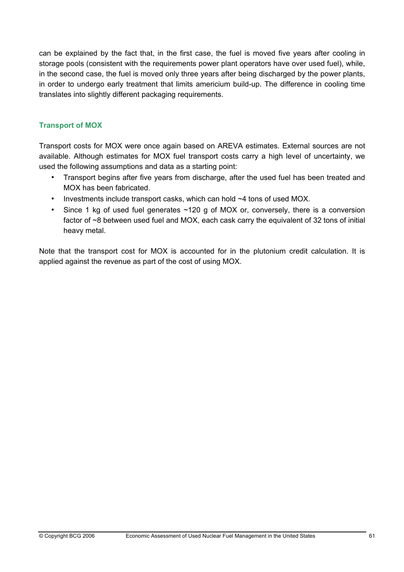can be explained by the fact that, in the first case, the fuel is moved five years after cooling in storage pools (consistent with the requirements power plant operators have over used fuel), while, in the second case, the fuel is moved only three years after being discharged by the power plants, in order to undergo early treatment that limits americium build-up. The difference in cooling time translates into slightly different packaging requirements.

### **Transport of MOX**

Transport costs for MOX were once again based on AREVA estimates. External sources are not available. Although estimates for MOX fuel transport costs carry a high level of uncertainty, we used the following assumptions and data as a starting point:

- Transport begins after five years from discharge, after the used fuel has been treated and MOX has been fabricated.
- Investments include transport casks, which can hold ~4 tons of used MOX.
- Since 1 kg of used fuel generates ~120 g of MOX or, conversely, there is a conversion factor of ~8 between used fuel and MOX, each cask carry the equivalent of 32 tons of initial heavy metal.

Note that the transport cost for MOX is accounted for in the plutonium credit calculation. It is applied against the revenue as part of the cost of using MOX.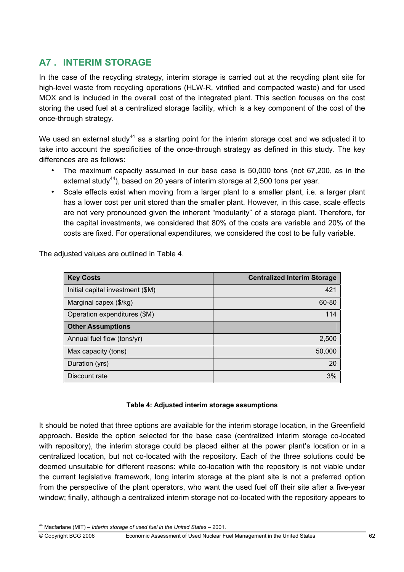# **A7 . INTERIM STORAGE**

In the case of the recycling strategy, interim storage is carried out at the recycling plant site for high-level waste from recycling operations (HLW-R, vitrified and compacted waste) and for used MOX and is included in the overall cost of the integrated plant. This section focuses on the cost storing the used fuel at a centralized storage facility, which is a key component of the cost of the once-through strategy.

We used an external study<sup>44</sup> as a starting point for the interim storage cost and we adjusted it to take into account the specificities of the once-through strategy as defined in this study. The key differences are as follows:

- The maximum capacity assumed in our base case is 50,000 tons (not 67,200, as in the external study<sup>44</sup>), based on 20 years of interim storage at 2,500 tons per year.
- Scale effects exist when moving from a larger plant to a smaller plant, i.e. a larger plant has a lower cost per unit stored than the smaller plant. However, in this case, scale effects are not very pronounced given the inherent "modularity" of a storage plant. Therefore, for the capital investments, we considered that 80% of the costs are variable and 20% of the costs are fixed. For operational expenditures, we considered the cost to be fully variable.

The adiusted values are outlined in Table 4.

| <b>Key Costs</b>                 | <b>Centralized Interim Storage</b> |
|----------------------------------|------------------------------------|
| Initial capital investment (\$M) | 421                                |
| Marginal capex (\$/kg)           | 60-80                              |
| Operation expenditures (\$M)     | 114                                |
| <b>Other Assumptions</b>         |                                    |
| Annual fuel flow (tons/yr)       | 2,500                              |
| Max capacity (tons)              | 50,000                             |
| Duration (yrs)                   | 20                                 |
| Discount rate                    | 3%                                 |

#### **Table 4: Adjusted interim storage assumptions**

It should be noted that three options are available for the interim storage location, in the Greenfield approach. Beside the option selected for the base case (centralized interim storage co-located with repository), the interim storage could be placed either at the power plant's location or in a centralized location, but not co-located with the repository. Each of the three solutions could be deemed unsuitable for different reasons: while co-location with the repository is not viable under the current legislative framework, long interim storage at the plant site is not a preferred option from the perspective of the plant operators, who want the used fuel off their site after a five-year window; finally, although a centralized interim storage not co-located with the repository appears to

© Copyright BCG 2006 Economic Assessment of Used Nuclear Fuel Management in the United States 62

<sup>44</sup> Macfarlane (MIT) – *Interim storage of used fuel in the United States* – 2001.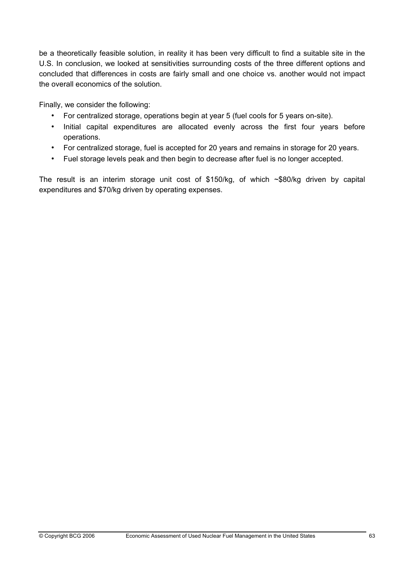be a theoretically feasible solution, in reality it has been very difficult to find a suitable site in the U.S. In conclusion, we looked at sensitivities surrounding costs of the three different options and concluded that differences in costs are fairly small and one choice vs. another would not impact the overall economics of the solution.

Finally, we consider the following:

- For centralized storage, operations begin at year 5 (fuel cools for 5 years on-site).
- Initial capital expenditures are allocated evenly across the first four years before operations.
- For centralized storage, fuel is accepted for 20 years and remains in storage for 20 years.
- Fuel storage levels peak and then begin to decrease after fuel is no longer accepted.

The result is an interim storage unit cost of \$150/kg, of which  $\sim$ \$80/kg driven by capital expenditures and \$70/kg driven by operating expenses.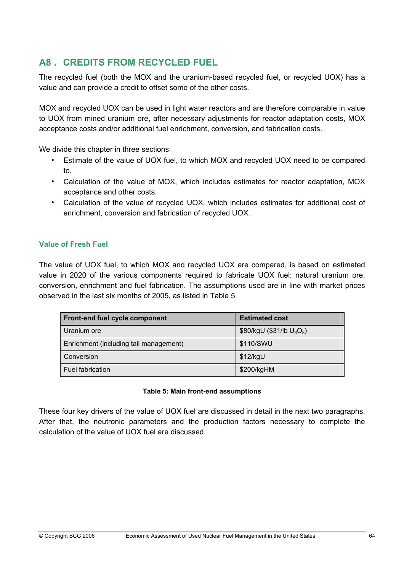## **A8 . CREDITS FROM RECYCLED FUEL**

The recycled fuel (both the MOX and the uranium-based recycled fuel, or recycled UOX) has a value and can provide a credit to offset some of the other costs.

MOX and recycled UOX can be used in light water reactors and are therefore comparable in value to UOX from mined uranium ore, after necessary adjustments for reactor adaptation costs, MOX acceptance costs and/or additional fuel enrichment, conversion, and fabrication costs.

We divide this chapter in three sections:

- Estimate of the value of UOX fuel, to which MOX and recycled UOX need to be compared to.
- Calculation of the value of MOX, which includes estimates for reactor adaptation, MOX acceptance and other costs.
- Calculation of the value of recycled UOX, which includes estimates for additional cost of enrichment, conversion and fabrication of recycled UOX.

## **Value of Fresh Fuel**

The value of UOX fuel, to which MOX and recycled UOX are compared, is based on estimated value in 2020 of the various components required to fabricate UOX fuel: natural uranium ore, conversion, enrichment and fuel fabrication. The assumptions used are in line with market prices observed in the last six months of 2005, as listed in Table 5.

| Front-end fuel cycle component         | <b>Estimated cost</b>        |
|----------------------------------------|------------------------------|
| Uranium ore                            | \$80/kgU (\$31/lb $U_3O_8$ ) |
| Enrichment (including tail management) | \$110/SWU                    |
| Conversion                             | \$12/kgU                     |
| Fuel fabrication                       | \$200/kgHM                   |

#### **Table 5: Main front-end assumptions**

These four key drivers of the value of UOX fuel are discussed in detail in the next two paragraphs. After that, the neutronic parameters and the production factors necessary to complete the calculation of the value of UOX fuel are discussed.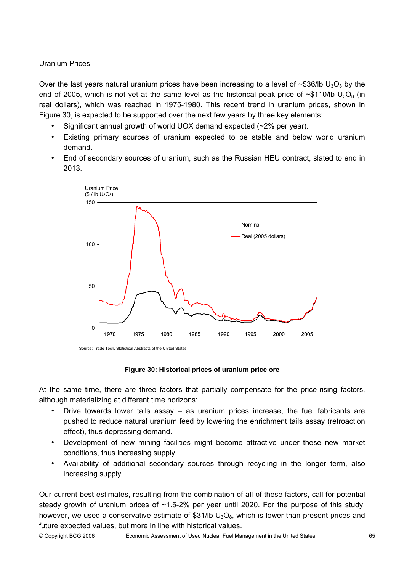## Uranium Prices

Over the last years natural uranium prices have been increasing to a level of ~\$36/lb  $U_3O_8$  by the end of 2005, which is not yet at the same level as the historical peak price of  $\sim$ \$110/lb  $U_3O_8$  (in real dollars), which was reached in 1975-1980. This recent trend in uranium prices, shown in Figure 30, is expected to be supported over the next few years by three key elements:

- Significant annual growth of world UOX demand expected (~2% per year).
- Existing primary sources of uranium expected to be stable and below world uranium demand.
- End of secondary sources of uranium, such as the Russian HEU contract, slated to end in 2013.



Source: Trade Tech, Statistical Abstracts of the United States

**Figure 30: Historical prices of uranium price ore** 

At the same time, there are three factors that partially compensate for the price-rising factors, although materializing at different time horizons:

- Drive towards lower tails assay as uranium prices increase, the fuel fabricants are pushed to reduce natural uranium feed by lowering the enrichment tails assay (retroaction effect), thus depressing demand.
- Development of new mining facilities might become attractive under these new market conditions, thus increasing supply.
- Availability of additional secondary sources through recycling in the longer term, also increasing supply.

Our current best estimates, resulting from the combination of all of these factors, call for potential steady growth of uranium prices of  $~1.5-2%$  per year until 2020. For the purpose of this study, however, we used a conservative estimate of \$31/lb  $U_3O_8$ , which is lower than present prices and future expected values, but more in line with historical values.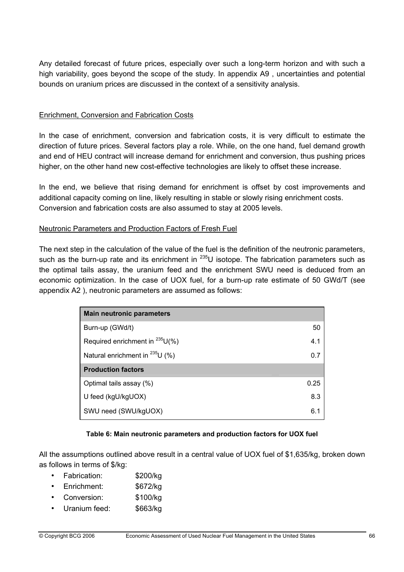Any detailed forecast of future prices, especially over such a long-term horizon and with such a high variability, goes beyond the scope of the study. In appendix A9 , uncertainties and potential bounds on uranium prices are discussed in the context of a sensitivity analysis.

### Enrichment, Conversion and Fabrication Costs

In the case of enrichment, conversion and fabrication costs, it is very difficult to estimate the direction of future prices. Several factors play a role. While, on the one hand, fuel demand growth and end of HEU contract will increase demand for enrichment and conversion, thus pushing prices higher, on the other hand new cost-effective technologies are likely to offset these increase.

In the end, we believe that rising demand for enrichment is offset by cost improvements and additional capacity coming on line, likely resulting in stable or slowly rising enrichment costs. Conversion and fabrication costs are also assumed to stay at 2005 levels.

### Neutronic Parameters and Production Factors of Fresh Fuel

The next step in the calculation of the value of the fuel is the definition of the neutronic parameters, such as the burn-up rate and its enrichment in  $^{235}$ U isotope. The fabrication parameters such as the optimal tails assay, the uranium feed and the enrichment SWU need is deduced from an economic optimization. In the case of UOX fuel, for a burn-up rate estimate of 50 GWd/T (see appendix A2 ), neutronic parameters are assumed as follows:

| <b>Main neutronic parameters</b>     |      |
|--------------------------------------|------|
| Burn-up (GWd/t)                      | 50   |
| Required enrichment in $^{235}U\%$ ) | 4.1  |
| Natural enrichment in $^{235}$ U (%) | 0.7  |
| <b>Production factors</b>            |      |
| Optimal tails assay (%)              | 0.25 |
| U feed (kgU/kgUOX)                   | 8.3  |
| SWU need (SWU/kgUOX)                 | 6.1  |

#### **Table 6: Main neutronic parameters and production factors for UOX fuel**

All the assumptions outlined above result in a central value of UOX fuel of \$1,635/kg, broken down as follows in terms of \$/kg:

- Fabrication: \$200/kg
- Enrichment: \$672/kg
- Conversion: \$100/kg
- Uranium feed: \$663/kg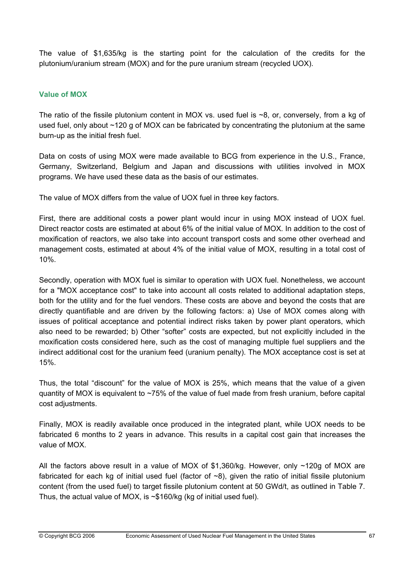The value of \$1,635/kg is the starting point for the calculation of the credits for the plutonium/uranium stream (MOX) and for the pure uranium stream (recycled UOX).

## **Value of MOX**

The ratio of the fissile plutonium content in MOX vs. used fuel is  $\sim8$ , or, conversely, from a kg of used fuel, only about ~120 g of MOX can be fabricated by concentrating the plutonium at the same burn-up as the initial fresh fuel.

Data on costs of using MOX were made available to BCG from experience in the U.S., France, Germany, Switzerland, Belgium and Japan and discussions with utilities involved in MOX programs. We have used these data as the basis of our estimates.

The value of MOX differs from the value of UOX fuel in three key factors.

First, there are additional costs a power plant would incur in using MOX instead of UOX fuel. Direct reactor costs are estimated at about 6% of the initial value of MOX. In addition to the cost of moxification of reactors, we also take into account transport costs and some other overhead and management costs, estimated at about 4% of the initial value of MOX, resulting in a total cost of 10%.

Secondly, operation with MOX fuel is similar to operation with UOX fuel. Nonetheless, we account for a "MOX acceptance cost" to take into account all costs related to additional adaptation steps, both for the utility and for the fuel vendors. These costs are above and beyond the costs that are directly quantifiable and are driven by the following factors: a) Use of MOX comes along with issues of political acceptance and potential indirect risks taken by power plant operators, which also need to be rewarded; b) Other "softer" costs are expected, but not explicitly included in the moxification costs considered here, such as the cost of managing multiple fuel suppliers and the indirect additional cost for the uranium feed (uranium penalty). The MOX acceptance cost is set at 15%.

Thus, the total "discount" for the value of MOX is 25%, which means that the value of a given quantity of MOX is equivalent to  $~75\%$  of the value of fuel made from fresh uranium, before capital cost adjustments.

Finally, MOX is readily available once produced in the integrated plant, while UOX needs to be fabricated 6 months to 2 years in advance. This results in a capital cost gain that increases the value of MOX.

All the factors above result in a value of MOX of \$1,360/kg. However, only ~120g of MOX are fabricated for each kg of initial used fuel (factor of  $\sim$ 8), given the ratio of initial fissile plutonium content (from the used fuel) to target fissile plutonium content at 50 GWd/t, as outlined in Table 7. Thus, the actual value of MOX, is  $\sim$ \$160/kg (kg of initial used fuel).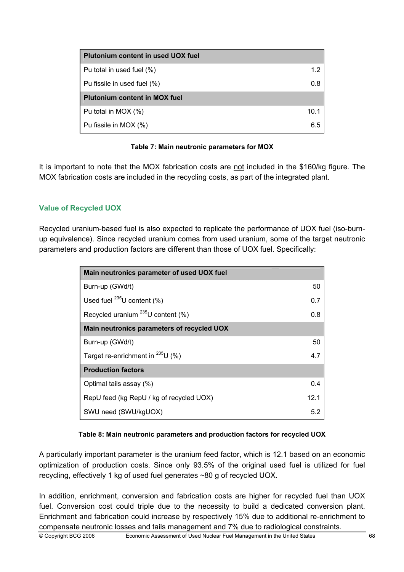| Plutonium content in used UOX fuel   |      |
|--------------------------------------|------|
| Pu total in used fuel (%)            | 1.2  |
| Pu fissile in used fuel (%)          | 0.8  |
| <b>Plutonium content in MOX fuel</b> |      |
| Pu total in MOX (%)                  | 10.1 |
| Pu fissile in MOX (%)                | 6.5  |

## **Table 7: Main neutronic parameters for MOX**

It is important to note that the MOX fabrication costs are not included in the \$160/kg figure. The MOX fabrication costs are included in the recycling costs, as part of the integrated plant.

## **Value of Recycled UOX**

Recycled uranium-based fuel is also expected to replicate the performance of UOX fuel (iso-burnup equivalence). Since recycled uranium comes from used uranium, some of the target neutronic parameters and production factors are different than those of UOX fuel. Specifically:

| Main neutronics parameter of used UOX fuel |      |
|--------------------------------------------|------|
| Burn-up (GWd/t)                            | 50   |
| Used fuel $^{235}$ U content (%)           | 0.7  |
| Recycled uranium $^{235}$ U content (%)    | 0.8  |
| Main neutronics parameters of recycled UOX |      |
| Burn-up (GWd/t)                            | 50   |
| Target re-enrichment in $^{235}$ U (%)     | 4.7  |
| <b>Production factors</b>                  |      |
| Optimal tails assay (%)                    | 0.4  |
| RepU feed (kg RepU / kg of recycled UOX)   | 12.1 |
| SWU need (SWU/kgUOX)                       | 5.2  |

## **Table 8: Main neutronic parameters and production factors for recycled UOX**

A particularly important parameter is the uranium feed factor, which is 12.1 based on an economic optimization of production costs. Since only 93.5% of the original used fuel is utilized for fuel recycling, effectively 1 kg of used fuel generates ~80 g of recycled UOX.

In addition, enrichment, conversion and fabrication costs are higher for recycled fuel than UOX fuel. Conversion cost could triple due to the necessity to build a dedicated conversion plant. Enrichment and fabrication could increase by respectively 15% due to additional re-enrichment to compensate neutronic losses and tails management and 7% due to radiological constraints.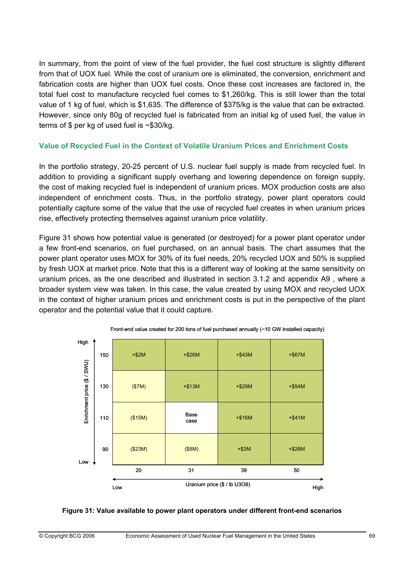In summary, from the point of view of the fuel provider, the fuel cost structure is slightly different from that of UOX fuel. While the cost of uranium ore is eliminated, the conversion, enrichment and fabrication costs are higher than UOX fuel costs. Once these cost increases are factored in, the total fuel cost to manufacture recycled fuel comes to \$1,260/kg. This is still lower than the total value of 1 kg of fuel, which is \$1,635. The difference of \$375/kg is the value that can be extracted. However, since only 80g of recycled fuel is fabricated from an initial kg of used fuel, the value in terms of \$ per kg of used fuel is ~\$30/kg.

### **Value of Recycled Fuel in the Context of Volatile Uranium Prices and Enrichment Costs**

In the portfolio strategy, 20-25 percent of U.S. nuclear fuel supply is made from recycled fuel. In addition to providing a significant supply overhang and lowering dependence on foreign supply, the cost of making recycled fuel is independent of uranium prices. MOX production costs are also independent of enrichment costs. Thus, in the portfolio strategy, power plant operators could potentially capture some of the value that the use of recycled fuel creates in when uranium prices rise, effectively protecting themselves against uranium price volatility.

Figure 31 shows how potential value is generated (or destroyed) for a power plant operator under a few front-end scenarios, on fuel purchased, on an annual basis. The chart assumes that the power plant operator uses MOX for 30% of its fuel needs, 20% recycled UOX and 50% is supplied by fresh UOX at market price. Note that this is a different way of looking at the same sensitivity on uranium prices, as the one described and illustrated in section 3.1.2 and appendix A9 , where a broader system view was taken. In this case, the value created by using MOX and recycled UOX in the context of higher uranium prices and enrichment costs is put in the perspective of the plant operator and the potential value that it could capture.





#### **Figure 31: Value available to power plant operators under different front-end scenarios**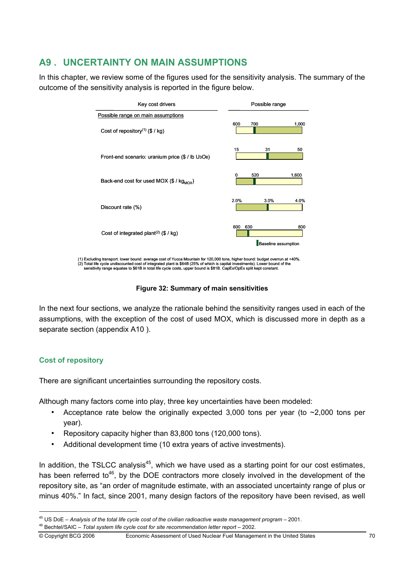# **A9 . UNCERTAINTY ON MAIN ASSUMPTIONS**

In this chapter, we review some of the figures used for the sensitivity analysis. The summary of the outcome of the sensitivity analysis is reported in the figure below.

| Possible range                                  |
|-------------------------------------------------|
|                                                 |
| 600<br>700<br>1,000                             |
| 15<br>31<br>50                                  |
| 520<br>1,600<br>0                               |
| 2.0%<br>3.0%<br>4.0%                            |
| 600<br>630<br>800<br><b>Baseline assumption</b> |
|                                                 |

(1) Excluding transport. lower bound: average cost of Yucca Mountain for 120,000 tons, higher bound: budget overrun at +40%. (2) Total life cycle undiscounted cost of integrated plant is \$64B (25% of which is capital investments). Lower bound of the<br>sensitivity range equates to \$61B in total life cycle costs, upper bound is \$81B. CapEx/OpEx spli

### **Figure 32: Summary of main sensitivities**

In the next four sections, we analyze the rationale behind the sensitivity ranges used in each of the assumptions, with the exception of the cost of used MOX, which is discussed more in depth as a separate section (appendix A10 ).

## **Cost of repository**

There are significant uncertainties surrounding the repository costs.

Although many factors come into play, three key uncertainties have been modeled:

- Acceptance rate below the originally expected 3,000 tons per year (to  $\sim$ 2,000 tons per year).
- Repository capacity higher than 83,800 tons (120,000 tons).
- Additional development time (10 extra years of active investments).

In addition, the TSLCC analysis<sup>45</sup>, which we have used as a starting point for our cost estimates, has been referred to<sup>46</sup>, by the DOE contractors more closely involved in the development of the repository site, as "an order of magnitude estimate, with an associated uncertainty range of plus or minus 40%." In fact, since 2001, many design factors of the repository have been revised, as well

<sup>&</sup>lt;sup>45</sup> US DoE – Analysis of the total life cycle cost of the civilian radioactive waste management program – 2001.<br><sup>46</sup> Bechtel/SAIC – *Total system life cycle cost for site recommendation letter report – 2002.*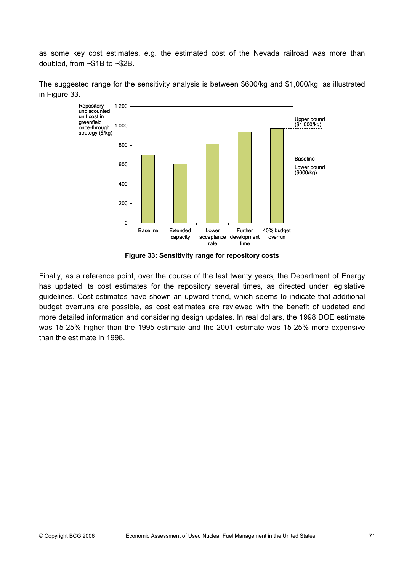as some key cost estimates, e.g. the estimated cost of the Nevada railroad was more than doubled, from ~\$1B to ~\$2B.



The suggested range for the sensitivity analysis is between \$600/kg and \$1,000/kg, as illustrated in Figure 33.

**Figure 33: Sensitivity range for repository costs** 

Finally, as a reference point, over the course of the last twenty years, the Department of Energy has updated its cost estimates for the repository several times, as directed under legislative guidelines. Cost estimates have shown an upward trend, which seems to indicate that additional budget overruns are possible, as cost estimates are reviewed with the benefit of updated and more detailed information and considering design updates. In real dollars, the 1998 DOE estimate was 15-25% higher than the 1995 estimate and the 2001 estimate was 15-25% more expensive than the estimate in 1998.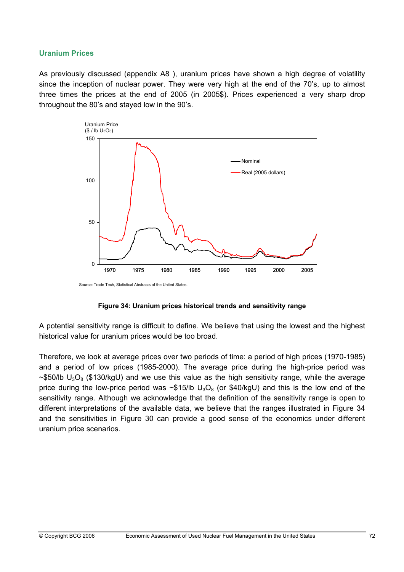#### **Uranium Prices**

As previously discussed (appendix A8 ), uranium prices have shown a high degree of volatility since the inception of nuclear power. They were very high at the end of the 70's, up to almost three times the prices at the end of 2005 (in 2005\$). Prices experienced a very sharp drop throughout the 80's and stayed low in the 90's.



Source: Trade Tech, Statistical Abstracts of the United States.

#### **Figure 34: Uranium prices historical trends and sensitivity range**

A potential sensitivity range is difficult to define. We believe that using the lowest and the highest historical value for uranium prices would be too broad.

Therefore, we look at average prices over two periods of time: a period of high prices (1970-1985) and a period of low prices (1985-2000). The average price during the high-price period was ~\$50/lb  $U_3O_8$  (\$130/kgU) and we use this value as the high sensitivity range, while the average price during the low-price period was  $\sim$ \$15/lb  $U_3O_8$  (or \$40/kgU) and this is the low end of the sensitivity range. Although we acknowledge that the definition of the sensitivity range is open to different interpretations of the available data, we believe that the ranges illustrated in Figure 34 and the sensitivities in Figure 30 can provide a good sense of the economics under different uranium price scenarios.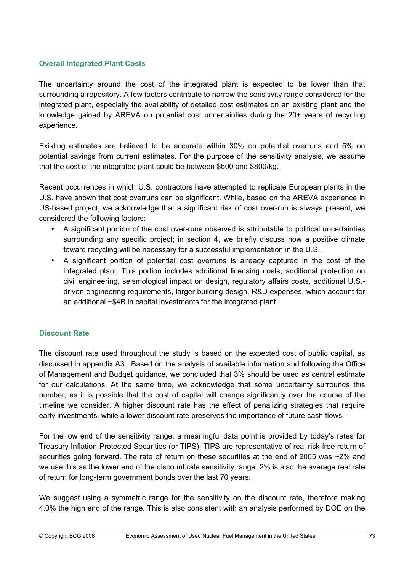### **Overall Integrated Plant Costs**

The uncertainty around the cost of the integrated plant is expected to be lower than that surrounding a repository. A few factors contribute to narrow the sensitivity range considered for the integrated plant, especially the availability of detailed cost estimates on an existing plant and the knowledge gained by AREVA on potential cost uncertainties during the 20+ years of recycling experience.

Existing estimates are believed to be accurate within 30% on potential overruns and 5% on potential savings from current estimates. For the purpose of the sensitivity analysis, we assume that the cost of the integrated plant could be between \$600 and \$800/kg.

Recent occurrences in which U.S. contractors have attempted to replicate European plants in the U.S. have shown that cost overruns can be significant. While, based on the AREVA experience in US-based project, we acknowledge that a significant risk of cost over-run is always present, we considered the following factors:

- A significant portion of the cost over-runs observed is attributable to political uncertainties surrounding any specific project; in section 4, we briefly discuss how a positive climate toward recycling will be necessary for a successful implementation in the U.S..
- A significant portion of potential cost overruns is already captured in the cost of the integrated plant. This portion includes additional licensing costs, additional protection on civil engineering, seismological impact on design, regulatory affairs costs, additional U.S. driven engineering requirements, larger building design, R&D expenses, which account for an additional ~\$4B in capital investments for the integrated plant.

## **Discount Rate**

The discount rate used throughout the study is based on the expected cost of public capital, as discussed in appendix A3 . Based on the analysis of available information and following the Office of Management and Budget guidance, we concluded that 3% should be used as central estimate for our calculations. At the same time, we acknowledge that some uncertainty surrounds this number, as it is possible that the cost of capital will change significantly over the course of the timeline we consider. A higher discount rate has the effect of penalizing strategies that require early investments, while a lower discount rate preserves the importance of future cash flows.

For the low end of the sensitivity range, a meaningful data point is provided by today's rates for Treasury Inflation-Protected Securities (or TIPS). TIPS are representative of real risk-free return of securities going forward. The rate of return on these securities at the end of 2005 was ~2% and we use this as the lower end of the discount rate sensitivity range. 2% is also the average real rate of return for long-term government bonds over the last 70 years.

We suggest using a symmetric range for the sensitivity on the discount rate, therefore making 4.0% the high end of the range. This is also consistent with an analysis performed by DOE on the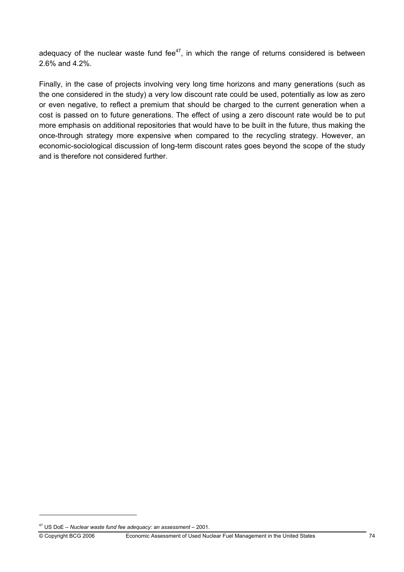adequacy of the nuclear waste fund fee $47$ , in which the range of returns considered is between 2.6% and 4.2%.

Finally, in the case of projects involving very long time horizons and many generations (such as the one considered in the study) a very low discount rate could be used, potentially as low as zero or even negative, to reflect a premium that should be charged to the current generation when a cost is passed on to future generations. The effect of using a zero discount rate would be to put more emphasis on additional repositories that would have to be built in the future, thus making the once-through strategy more expensive when compared to the recycling strategy. However, an economic-sociological discussion of long-term discount rates goes beyond the scope of the study and is therefore not considered further.

<sup>47</sup> US DoE – *Nuclear waste fund fee adequacy: an assessment* – 2001.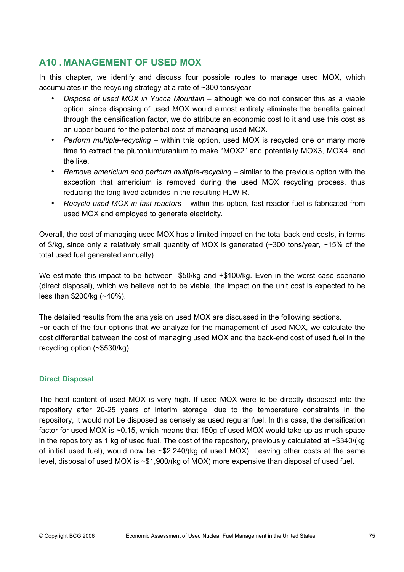## **A10 . MANAGEMENT OF USED MOX**

In this chapter, we identify and discuss four possible routes to manage used MOX, which accumulates in the recycling strategy at a rate of ~300 tons/year:

- *Dispose of used MOX in Yucca Mountain* although we do not consider this as a viable option, since disposing of used MOX would almost entirely eliminate the benefits gained through the densification factor, we do attribute an economic cost to it and use this cost as an upper bound for the potential cost of managing used MOX.
- *Perform multiple-recycling* within this option, used MOX is recycled one or many more time to extract the plutonium/uranium to make "MOX2" and potentially MOX3, MOX4, and the like.
- *Remove americium and perform multiple-recycling* similar to the previous option with the exception that americium is removed during the used MOX recycling process, thus reducing the long-lived actinides in the resulting HLW-R.
- *Recycle used MOX in fast reactors* within this option, fast reactor fuel is fabricated from used MOX and employed to generate electricity.

Overall, the cost of managing used MOX has a limited impact on the total back-end costs, in terms of \$/kg, since only a relatively small quantity of MOX is generated (~300 tons/year, ~15% of the total used fuel generated annually).

We estimate this impact to be between -\$50/kg and +\$100/kg. Even in the worst case scenario (direct disposal), which we believe not to be viable, the impact on the unit cost is expected to be less than \$200/kg (~40%).

The detailed results from the analysis on used MOX are discussed in the following sections. For each of the four options that we analyze for the management of used MOX, we calculate the cost differential between the cost of managing used MOX and the back-end cost of used fuel in the recycling option (~\$530/kg).

## **Direct Disposal**

The heat content of used MOX is very high. If used MOX were to be directly disposed into the repository after 20-25 years of interim storage, due to the temperature constraints in the repository, it would not be disposed as densely as used regular fuel. In this case, the densification factor for used MOX is ~0.15, which means that 150g of used MOX would take up as much space in the repository as 1 kg of used fuel. The cost of the repository, previously calculated at  $\sim$ \$340/(kg of initial used fuel), would now be  $\approx 2.240$ /(kg of used MOX). Leaving other costs at the same level, disposal of used MOX is ~\$1,900/(kg of MOX) more expensive than disposal of used fuel.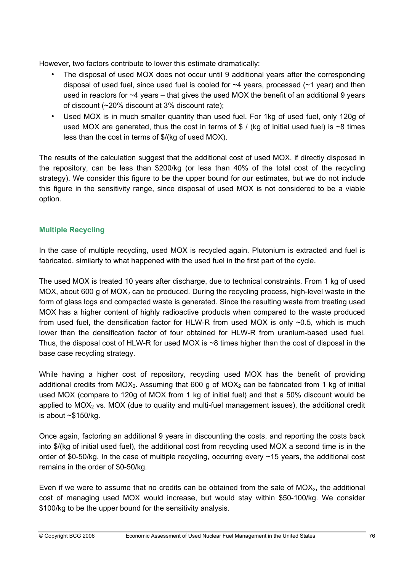However, two factors contribute to lower this estimate dramatically:

- The disposal of used MOX does not occur until 9 additional years after the corresponding disposal of used fuel, since used fuel is cooled for  $\sim$ 4 years, processed ( $\sim$ 1 year) and then used in reactors for  $\sim$ 4 years – that gives the used MOX the benefit of an additional 9 years of discount (~20% discount at 3% discount rate);
- Used MOX is in much smaller quantity than used fuel. For 1kg of used fuel, only 120g of used MOX are generated, thus the cost in terms of  $$ / (kg \text{ of initial used fuel})$  is ~8 times less than the cost in terms of \$/(kg of used MOX).

The results of the calculation suggest that the additional cost of used MOX, if directly disposed in the repository, can be less than \$200/kg (or less than 40% of the total cost of the recycling strategy). We consider this figure to be the upper bound for our estimates, but we do not include this figure in the sensitivity range, since disposal of used MOX is not considered to be a viable option.

## **Multiple Recycling**

In the case of multiple recycling, used MOX is recycled again. Plutonium is extracted and fuel is fabricated, similarly to what happened with the used fuel in the first part of the cycle.

The used MOX is treated 10 years after discharge, due to technical constraints. From 1 kg of used MOX, about 600 g of MOX<sub>2</sub> can be produced. During the recycling process, high-level waste in the form of glass logs and compacted waste is generated. Since the resulting waste from treating used MOX has a higher content of highly radioactive products when compared to the waste produced from used fuel, the densification factor for HLW-R from used MOX is only ~0.5, which is much lower than the densification factor of four obtained for HLW-R from uranium-based used fuel. Thus, the disposal cost of HLW-R for used MOX is  $\sim$ 8 times higher than the cost of disposal in the base case recycling strategy.

While having a higher cost of repository, recycling used MOX has the benefit of providing additional credits from MOX<sub>2</sub>. Assuming that 600 g of MOX<sub>2</sub> can be fabricated from 1 kg of initial used MOX (compare to 120g of MOX from 1 kg of initial fuel) and that a 50% discount would be applied to  $MOX<sub>2</sub>$  vs. MOX (due to quality and multi-fuel management issues), the additional credit is about  $~5150$ /kg.

Once again, factoring an additional 9 years in discounting the costs, and reporting the costs back into \$/(kg of initial used fuel), the additional cost from recycling used MOX a second time is in the order of \$0-50/kg. In the case of multiple recycling, occurring every ~15 years, the additional cost remains in the order of \$0-50/kg.

Even if we were to assume that no credits can be obtained from the sale of  $MOX<sub>2</sub>$ , the additional cost of managing used MOX would increase, but would stay within \$50-100/kg. We consider \$100/kg to be the upper bound for the sensitivity analysis.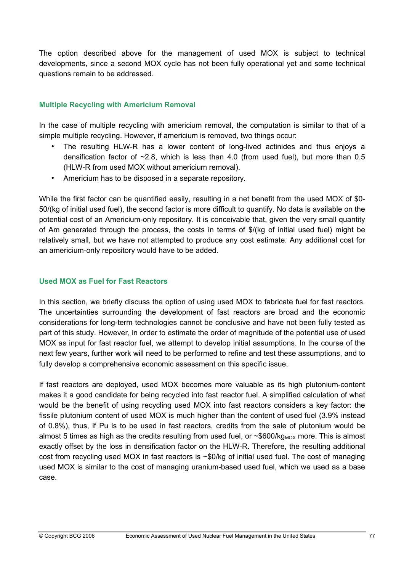The option described above for the management of used MOX is subject to technical developments, since a second MOX cycle has not been fully operational yet and some technical questions remain to be addressed.

## **Multiple Recycling with Americium Removal**

In the case of multiple recycling with americium removal, the computation is similar to that of a simple multiple recycling. However, if americium is removed, two things occur:

- The resulting HLW-R has a lower content of long-lived actinides and thus enjoys a densification factor of  $\sim$  2.8, which is less than 4.0 (from used fuel), but more than 0.5 (HLW-R from used MOX without americium removal).
- Americium has to be disposed in a separate repository.

While the first factor can be quantified easily, resulting in a net benefit from the used MOX of \$0- 50/(kg of initial used fuel), the second factor is more difficult to quantify. No data is available on the potential cost of an Americium-only repository. It is conceivable that, given the very small quantity of Am generated through the process, the costs in terms of \$/(kg of initial used fuel) might be relatively small, but we have not attempted to produce any cost estimate. Any additional cost for an americium-only repository would have to be added.

## **Used MOX as Fuel for Fast Reactors**

In this section, we briefly discuss the option of using used MOX to fabricate fuel for fast reactors. The uncertainties surrounding the development of fast reactors are broad and the economic considerations for long-term technologies cannot be conclusive and have not been fully tested as part of this study. However, in order to estimate the order of magnitude of the potential use of used MOX as input for fast reactor fuel, we attempt to develop initial assumptions. In the course of the next few years, further work will need to be performed to refine and test these assumptions, and to fully develop a comprehensive economic assessment on this specific issue.

If fast reactors are deployed, used MOX becomes more valuable as its high plutonium-content makes it a good candidate for being recycled into fast reactor fuel. A simplified calculation of what would be the benefit of using recycling used MOX into fast reactors considers a key factor: the fissile plutonium content of used MOX is much higher than the content of used fuel (3.9% instead of 0.8%), thus, if Pu is to be used in fast reactors, credits from the sale of plutonium would be almost 5 times as high as the credits resulting from used fuel, or  $\sim$ \$600/kg<sub>MOX</sub> more. This is almost exactly offset by the loss in densification factor on the HLW-R. Therefore, the resulting additional cost from recycling used MOX in fast reactors is ~\$0/kg of initial used fuel. The cost of managing used MOX is similar to the cost of managing uranium-based used fuel, which we used as a base case.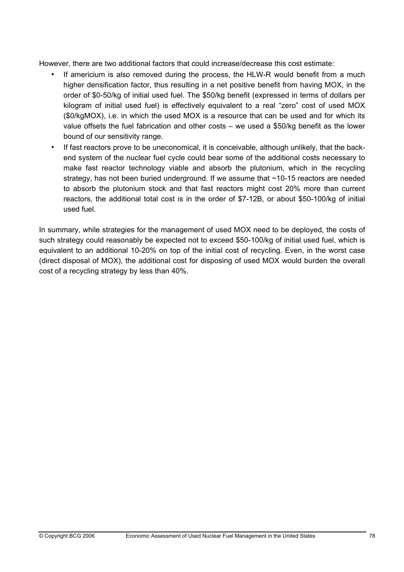However, there are two additional factors that could increase/decrease this cost estimate:

- If americium is also removed during the process, the HLW-R would benefit from a much higher densification factor, thus resulting in a net positive benefit from having MOX, in the order of \$0-50/kg of initial used fuel. The \$50/kg benefit (expressed in terms of dollars per kilogram of initial used fuel) is effectively equivalent to a real "zero" cost of used MOX (\$0/kgMOX), i.e. in which the used MOX is a resource that can be used and for which its value offsets the fuel fabrication and other costs – we used a \$50/kg benefit as the lower bound of our sensitivity range.
- If fast reactors prove to be uneconomical, it is conceivable, although unlikely, that the backend system of the nuclear fuel cycle could bear some of the additional costs necessary to make fast reactor technology viable and absorb the plutonium, which in the recycling strategy, has not been buried underground. If we assume that ~10-15 reactors are needed to absorb the plutonium stock and that fast reactors might cost 20% more than current reactors, the additional total cost is in the order of \$7-12B, or about \$50-100/kg of initial used fuel.

In summary, while strategies for the management of used MOX need to be deployed, the costs of such strategy could reasonably be expected not to exceed \$50-100/kg of initial used fuel, which is equivalent to an additional 10-20% on top of the initial cost of recycling. Even, in the worst case (direct disposal of MOX), the additional cost for disposing of used MOX would burden the overall cost of a recycling strategy by less than 40%.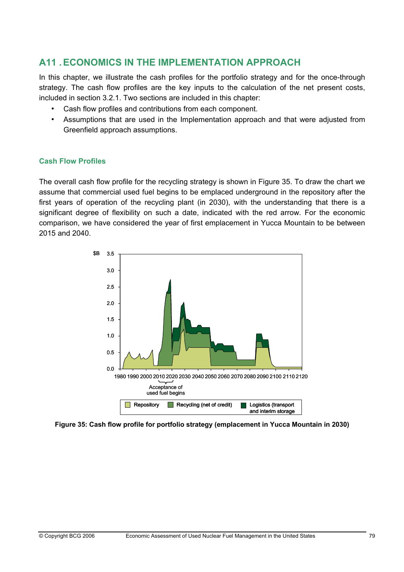## **A11 . ECONOMICS IN THE IMPLEMENTATION APPROACH**

In this chapter, we illustrate the cash profiles for the portfolio strategy and for the once-through strategy. The cash flow profiles are the key inputs to the calculation of the net present costs, included in section 3.2.1. Two sections are included in this chapter:

- Cash flow profiles and contributions from each component.
- Assumptions that are used in the Implementation approach and that were adjusted from Greenfield approach assumptions.

### **Cash Flow Profiles**

The overall cash flow profile for the recycling strategy is shown in Figure 35. To draw the chart we assume that commercial used fuel begins to be emplaced underground in the repository after the first years of operation of the recycling plant (in 2030), with the understanding that there is a significant degree of flexibility on such a date, indicated with the red arrow. For the economic comparison, we have considered the year of first emplacement in Yucca Mountain to be between 2015 and 2040.



**Figure 35: Cash flow profile for portfolio strategy (emplacement in Yucca Mountain in 2030)**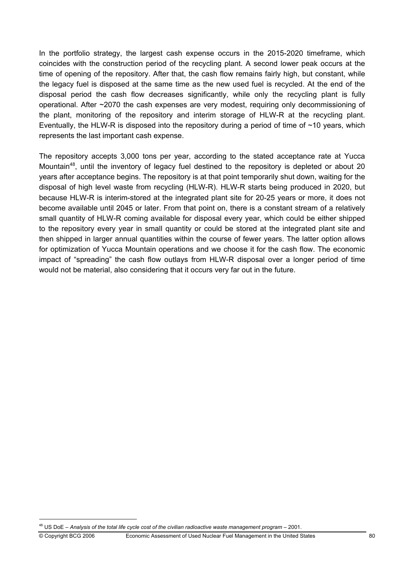In the portfolio strategy, the largest cash expense occurs in the 2015-2020 timeframe, which coincides with the construction period of the recycling plant. A second lower peak occurs at the time of opening of the repository. After that, the cash flow remains fairly high, but constant, while the legacy fuel is disposed at the same time as the new used fuel is recycled. At the end of the disposal period the cash flow decreases significantly, while only the recycling plant is fully operational. After ~2070 the cash expenses are very modest, requiring only decommissioning of the plant, monitoring of the repository and interim storage of HLW-R at the recycling plant. Eventually, the HLW-R is disposed into the repository during a period of time of  $\sim$ 10 years, which represents the last important cash expense.

The repository accepts 3,000 tons per year, according to the stated acceptance rate at Yucca Mountain<sup>48</sup>, until the inventory of legacy fuel destined to the repository is depleted or about 20 years after acceptance begins. The repository is at that point temporarily shut down, waiting for the disposal of high level waste from recycling (HLW-R). HLW-R starts being produced in 2020, but because HLW-R is interim-stored at the integrated plant site for 20-25 years or more, it does not become available until 2045 or later. From that point on, there is a constant stream of a relatively small quantity of HLW-R coming available for disposal every year, which could be either shipped to the repository every year in small quantity or could be stored at the integrated plant site and then shipped in larger annual quantities within the course of fewer years. The latter option allows for optimization of Yucca Mountain operations and we choose it for the cash flow. The economic impact of "spreading" the cash flow outlays from HLW-R disposal over a longer period of time would not be material, also considering that it occurs very far out in the future.

<sup>48</sup> US DoE – *Analysis of the total life cycle cost of the civilian radioactive waste management program* – 2001.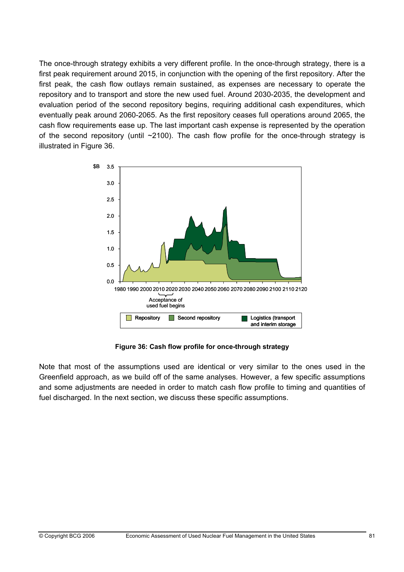The once-through strategy exhibits a very different profile. In the once-through strategy, there is a first peak requirement around 2015, in conjunction with the opening of the first repository. After the first peak, the cash flow outlays remain sustained, as expenses are necessary to operate the repository and to transport and store the new used fuel. Around 2030-2035, the development and evaluation period of the second repository begins, requiring additional cash expenditures, which eventually peak around 2060-2065. As the first repository ceases full operations around 2065, the cash flow requirements ease up. The last important cash expense is represented by the operation of the second repository (until ~2100). The cash flow profile for the once-through strategy is illustrated in Figure 36.



**Figure 36: Cash flow profile for once-through strategy** 

Note that most of the assumptions used are identical or very similar to the ones used in the Greenfield approach, as we build off of the same analyses. However, a few specific assumptions and some adjustments are needed in order to match cash flow profile to timing and quantities of fuel discharged. In the next section, we discuss these specific assumptions.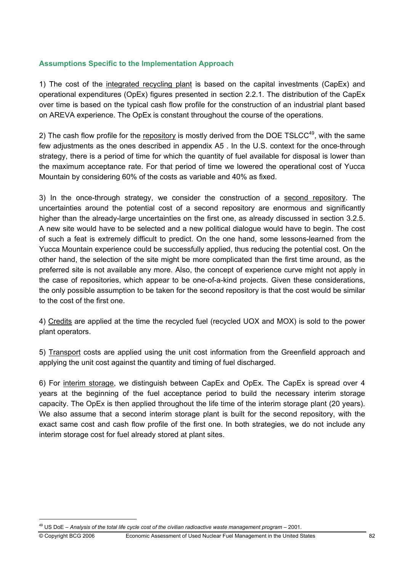## **Assumptions Specific to the Implementation Approach**

1) The cost of the integrated recycling plant is based on the capital investments (CapEx) and operational expenditures (OpEx) figures presented in section 2.2.1. The distribution of the CapEx over time is based on the typical cash flow profile for the construction of an industrial plant based on AREVA experience. The OpEx is constant throughout the course of the operations.

2) The cash flow profile for the repository is mostly derived from the DOE TSLCC $49$ , with the same few adjustments as the ones described in appendix A5 . In the U.S. context for the once-through strategy, there is a period of time for which the quantity of fuel available for disposal is lower than the maximum acceptance rate. For that period of time we lowered the operational cost of Yucca Mountain by considering 60% of the costs as variable and 40% as fixed.

3) In the once-through strategy, we consider the construction of a second repository. The uncertainties around the potential cost of a second repository are enormous and significantly higher than the already-large uncertainties on the first one, as already discussed in section 3.2.5. A new site would have to be selected and a new political dialogue would have to begin. The cost of such a feat is extremely difficult to predict. On the one hand, some lessons-learned from the Yucca Mountain experience could be successfully applied, thus reducing the potential cost. On the other hand, the selection of the site might be more complicated than the first time around, as the preferred site is not available any more. Also, the concept of experience curve might not apply in the case of repositories, which appear to be one-of-a-kind projects. Given these considerations, the only possible assumption to be taken for the second repository is that the cost would be similar to the cost of the first one.

4) Credits are applied at the time the recycled fuel (recycled UOX and MOX) is sold to the power plant operators.

5) Transport costs are applied using the unit cost information from the Greenfield approach and applying the unit cost against the quantity and timing of fuel discharged.

6) For interim storage, we distinguish between CapEx and OpEx. The CapEx is spread over 4 years at the beginning of the fuel acceptance period to build the necessary interim storage capacity. The OpEx is then applied throughout the life time of the interim storage plant (20 years). We also assume that a second interim storage plant is built for the second repository, with the exact same cost and cash flow profile of the first one. In both strategies, we do not include any interim storage cost for fuel already stored at plant sites.

<sup>49</sup> US DoE – *Analysis of the total life cycle cost of the civilian radioactive waste management program* – 2001.

<sup>©</sup> Copyright BCG 2006 Economic Assessment of Used Nuclear Fuel Management in the United States 82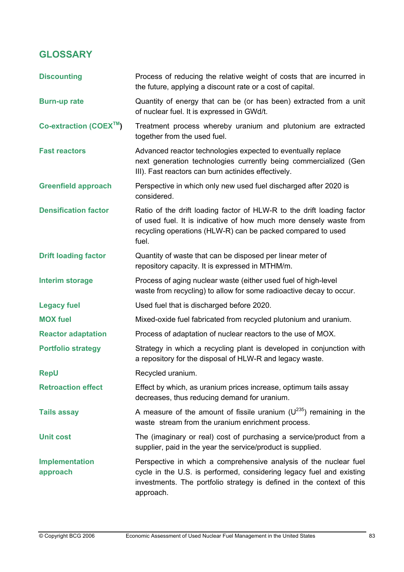# **GLOSSARY**

| <b>Discounting</b>                  | Process of reducing the relative weight of costs that are incurred in<br>the future, applying a discount rate or a cost of capital.                                                                                             |
|-------------------------------------|---------------------------------------------------------------------------------------------------------------------------------------------------------------------------------------------------------------------------------|
| <b>Burn-up rate</b>                 | Quantity of energy that can be (or has been) extracted from a unit<br>of nuclear fuel. It is expressed in GWd/t.                                                                                                                |
| Co-extraction (COEX <sup>TM</sup> ) | Treatment process whereby uranium and plutonium are extracted<br>together from the used fuel.                                                                                                                                   |
| <b>Fast reactors</b>                | Advanced reactor technologies expected to eventually replace<br>next generation technologies currently being commercialized (Gen<br>III). Fast reactors can burn actinides effectively.                                         |
| <b>Greenfield approach</b>          | Perspective in which only new used fuel discharged after 2020 is<br>considered.                                                                                                                                                 |
| <b>Densification factor</b>         | Ratio of the drift loading factor of HLW-R to the drift loading factor<br>of used fuel. It is indicative of how much more densely waste from<br>recycling operations (HLW-R) can be packed compared to used<br>fuel.            |
| <b>Drift loading factor</b>         | Quantity of waste that can be disposed per linear meter of<br>repository capacity. It is expressed in MTHM/m.                                                                                                                   |
| <b>Interim storage</b>              | Process of aging nuclear waste (either used fuel of high-level<br>waste from recycling) to allow for some radioactive decay to occur.                                                                                           |
| <b>Legacy fuel</b>                  | Used fuel that is discharged before 2020.                                                                                                                                                                                       |
| <b>MOX fuel</b>                     | Mixed-oxide fuel fabricated from recycled plutonium and uranium.                                                                                                                                                                |
| <b>Reactor adaptation</b>           | Process of adaptation of nuclear reactors to the use of MOX.                                                                                                                                                                    |
| <b>Portfolio strategy</b>           | Strategy in which a recycling plant is developed in conjunction with<br>a repository for the disposal of HLW-R and legacy waste.                                                                                                |
| <b>RepU</b>                         | Recycled uranium.                                                                                                                                                                                                               |
| <b>Retroaction effect</b>           | Effect by which, as uranium prices increase, optimum tails assay<br>decreases, thus reducing demand for uranium.                                                                                                                |
| <b>Tails assay</b>                  | A measure of the amount of fissile uranium $(U^{235})$ remaining in the<br>waste stream from the uranium enrichment process.                                                                                                    |
| <b>Unit cost</b>                    | The (imaginary or real) cost of purchasing a service/product from a<br>supplier, paid in the year the service/product is supplied.                                                                                              |
| <b>Implementation</b><br>approach   | Perspective in which a comprehensive analysis of the nuclear fuel<br>cycle in the U.S. is performed, considering legacy fuel and existing<br>investments. The portfolio strategy is defined in the context of this<br>approach. |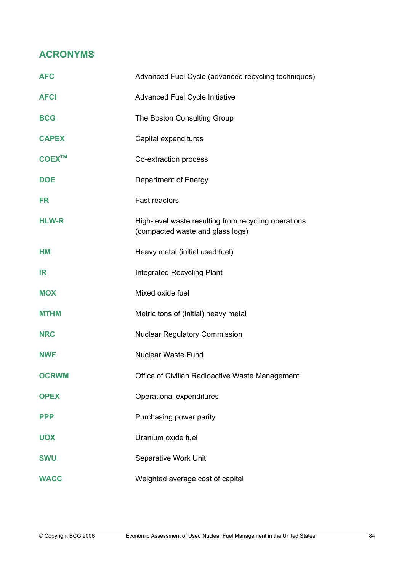## **ACRONYMS**

| <b>AFC</b>   | Advanced Fuel Cycle (advanced recycling techniques)                                      |
|--------------|------------------------------------------------------------------------------------------|
| <b>AFCI</b>  | <b>Advanced Fuel Cycle Initiative</b>                                                    |
| <b>BCG</b>   | The Boston Consulting Group                                                              |
| <b>CAPEX</b> | Capital expenditures                                                                     |
| <b>COEX™</b> | Co-extraction process                                                                    |
| <b>DOE</b>   | Department of Energy                                                                     |
| <b>FR</b>    | Fast reactors                                                                            |
| <b>HLW-R</b> | High-level waste resulting from recycling operations<br>(compacted waste and glass logs) |
| <b>HM</b>    | Heavy metal (initial used fuel)                                                          |
| IR           | <b>Integrated Recycling Plant</b>                                                        |
| <b>MOX</b>   | Mixed oxide fuel                                                                         |
| <b>MTHM</b>  | Metric tons of (initial) heavy metal                                                     |
| <b>NRC</b>   | <b>Nuclear Regulatory Commission</b>                                                     |
| <b>NWF</b>   | <b>Nuclear Waste Fund</b>                                                                |
| <b>OCRWM</b> | Office of Civilian Radioactive Waste Management                                          |
| <b>OPEX</b>  | Operational expenditures                                                                 |
| <b>PPP</b>   | Purchasing power parity                                                                  |
| <b>UOX</b>   | Uranium oxide fuel                                                                       |
| <b>SWU</b>   | Separative Work Unit                                                                     |
| <b>WACC</b>  | Weighted average cost of capital                                                         |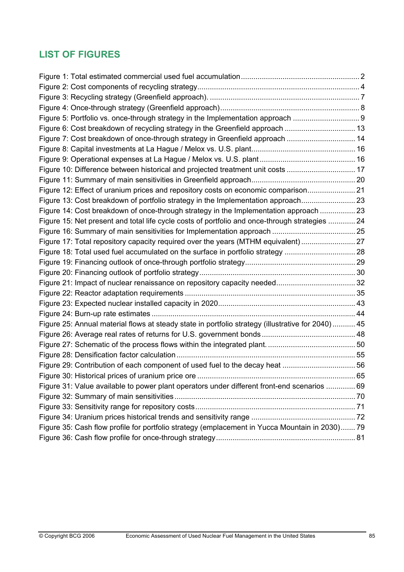# **LIST OF FIGURES**

| Figure 5: Portfolio vs. once-through strategy in the Implementation approach  9                   |     |
|---------------------------------------------------------------------------------------------------|-----|
| Figure 6: Cost breakdown of recycling strategy in the Greenfield approach  13                     |     |
| Figure 7: Cost breakdown of once-through strategy in Greenfield approach  14                      |     |
|                                                                                                   |     |
|                                                                                                   |     |
| Figure 10: Difference between historical and projected treatment unit costs  17                   |     |
|                                                                                                   |     |
| Figure 12: Effect of uranium prices and repository costs on economic comparison                   |     |
| Figure 13: Cost breakdown of portfolio strategy in the Implementation approach                    |     |
| Figure 14: Cost breakdown of once-through strategy in the Implementation approach  23             |     |
| Figure 15: Net present and total life cycle costs of portfolio and once-through strategies  24    |     |
|                                                                                                   |     |
| Figure 17: Total repository capacity required over the years (MTHM equivalent)                    |     |
| Figure 18: Total used fuel accumulated on the surface in portfolio strategy 28                    |     |
|                                                                                                   |     |
|                                                                                                   |     |
|                                                                                                   |     |
|                                                                                                   |     |
|                                                                                                   |     |
|                                                                                                   |     |
| Figure 25: Annual material flows at steady state in portfolio strategy (illustrative for 2040) 45 |     |
|                                                                                                   |     |
|                                                                                                   |     |
|                                                                                                   |     |
|                                                                                                   |     |
| Figure 30: Historical prices of uranium price ore                                                 | .65 |
| Figure 31: Value available to power plant operators under different front-end scenarios  69       |     |
|                                                                                                   |     |
|                                                                                                   |     |
|                                                                                                   |     |
| Figure 35: Cash flow profile for portfolio strategy (emplacement in Yucca Mountain in 2030) 79    |     |
|                                                                                                   |     |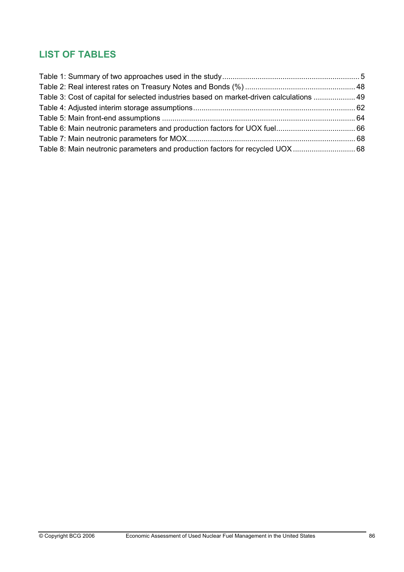# **LIST OF TABLES**

| Table 3: Cost of capital for selected industries based on market-driven calculations  49 |  |
|------------------------------------------------------------------------------------------|--|
|                                                                                          |  |
|                                                                                          |  |
|                                                                                          |  |
|                                                                                          |  |
|                                                                                          |  |